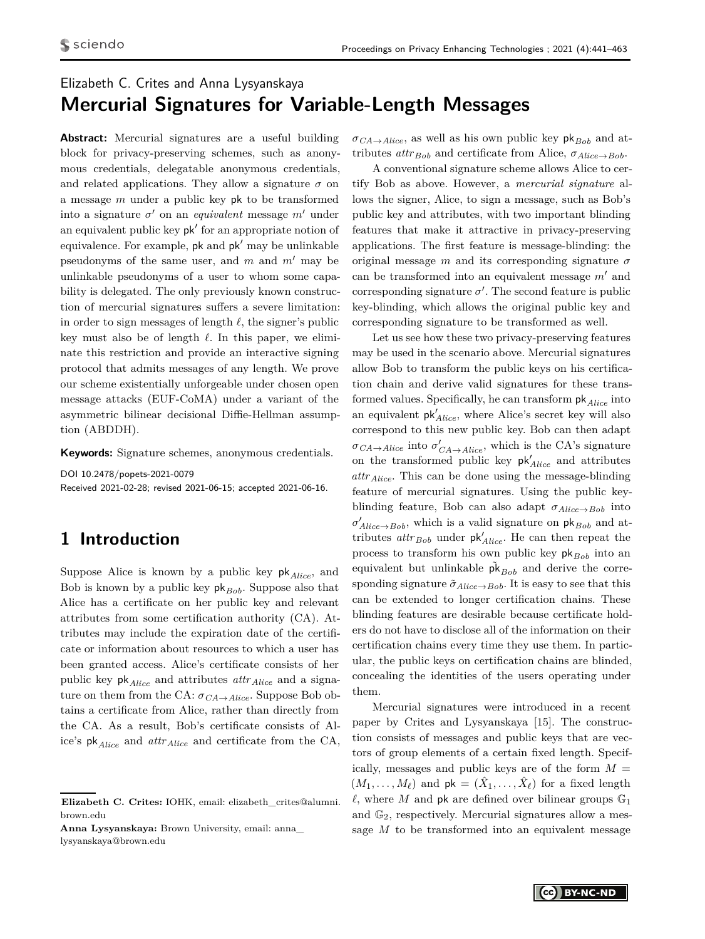# Elizabeth C. Crites and Anna Lysyanskaya **Mercurial Signatures for Variable-Length Messages**

**Abstract:** Mercurial signatures are a useful building block for privacy-preserving schemes, such as anonymous credentials, delegatable anonymous credentials, and related applications. They allow a signature  $\sigma$  on a message *m* under a public key pk to be transformed into a signature  $\sigma'$  on an *equivalent* message  $m'$  under an equivalent public key  $pk'$  for an appropriate notion of equivalence. For example,  $pk$  and  $pk'$  may be unlinkable pseudonyms of the same user, and  $m$  and  $m'$  may be unlinkable pseudonyms of a user to whom some capability is delegated. The only previously known construction of mercurial signatures suffers a severe limitation: in order to sign messages of length  $\ell$ , the signer's public key must also be of length  $\ell$ . In this paper, we eliminate this restriction and provide an interactive signing protocol that admits messages of any length. We prove our scheme existentially unforgeable under chosen open message attacks (EUF-CoMA) under a variant of the asymmetric bilinear decisional Diffie-Hellman assumption (ABDDH).

**Keywords:** Signature schemes, anonymous credentials.

DOI 10.2478/popets-2021-0079 Received 2021-02-28; revised 2021-06-15; accepted 2021-06-16.

# **1 Introduction**

Suppose Alice is known by a public key pk*Alice*, and Bob is known by a public key  $pk_{Bob}$ . Suppose also that Alice has a certificate on her public key and relevant attributes from some certification authority (CA). Attributes may include the expiration date of the certificate or information about resources to which a user has been granted access. Alice's certificate consists of her public key pk*Alice* and attributes *attrAlice* and a signature on them from the CA:  $\sigma_{CA \rightarrow Alice}$ . Suppose Bob obtains a certificate from Alice, rather than directly from the CA. As a result, Bob's certificate consists of Alice's pk*Alice* and *attrAlice* and certificate from the CA,

**Anna Lysyanskaya:** Brown University, email: anna\_ lysyanskaya@brown.edu

 $\sigma_{CA \rightarrow Alice}$ , as well as his own public key pk<sub>*Bob*</sub> and attributes  $attr_{Bob}$  and certificate from Alice,  $\sigma_{Alice \rightarrow Bob}$ .

A conventional signature scheme allows Alice to certify Bob as above. However, a *mercurial signature* allows the signer, Alice, to sign a message, such as Bob's public key and attributes, with two important blinding features that make it attractive in privacy-preserving applications. The first feature is message-blinding: the original message *m* and its corresponding signature *σ* can be transformed into an equivalent message  $m'$  and corresponding signature  $\sigma'$ . The second feature is public key-blinding, which allows the original public key and corresponding signature to be transformed as well.

Let us see how these two privacy-preserving features may be used in the scenario above. Mercurial signatures allow Bob to transform the public keys on his certification chain and derive valid signatures for these transformed values. Specifically, he can transform  $\mathsf{pk}_{Alice}$  into an equivalent  $pk'_{Alice}$ , where Alice's secret key will also correspond to this new public key. Bob can then adapt  $\sigma_{CA \to Alice}$  into  $\sigma'_{CA \to Alice}$ , which is the CA's signature on the transformed public key  $pk'_{Alice}$  and attributes *attrAlice*. This can be done using the message-blinding feature of mercurial signatures. Using the public keyblinding feature, Bob can also adapt *σAlice*→*Bob* into  $\sigma'_{Alice \rightarrow Bob}$ , which is a valid signature on  $pk_{Bob}$  and attributes  $attr_{Bob}$  under  $pk'_{Alice}$ . He can then repeat the process to transform his own public key  $pk_{Bob}$  into an equivalent but unlinkable  $\tilde{pk}_{Bob}$  and derive the corresponding signature  $\tilde{\sigma}_{Alice \to Bob}$ . It is easy to see that this can be extended to longer certification chains. These blinding features are desirable because certificate holders do not have to disclose all of the information on their certification chains every time they use them. In particular, the public keys on certification chains are blinded, concealing the identities of the users operating under them.

Mercurial signatures were introduced in a recent paper by Crites and Lysyanskaya [15]. The construction consists of messages and public keys that are vectors of group elements of a certain fixed length. Specifically, messages and public keys are of the form  $M =$  $(M_1, \ldots, M_\ell)$  and  $pk = (\hat{X}_1, \ldots, \hat{X}_\ell)$  for a fixed length  $\ell$ , where *M* and pk are defined over bilinear groups  $\mathbb{G}_1$ and  $\mathbb{G}_2$ , respectively. Mercurial signatures allow a message *M* to be transformed into an equivalent message

**Elizabeth C. Crites:** IOHK, email: elizabeth\_crites@alumni. brown.edu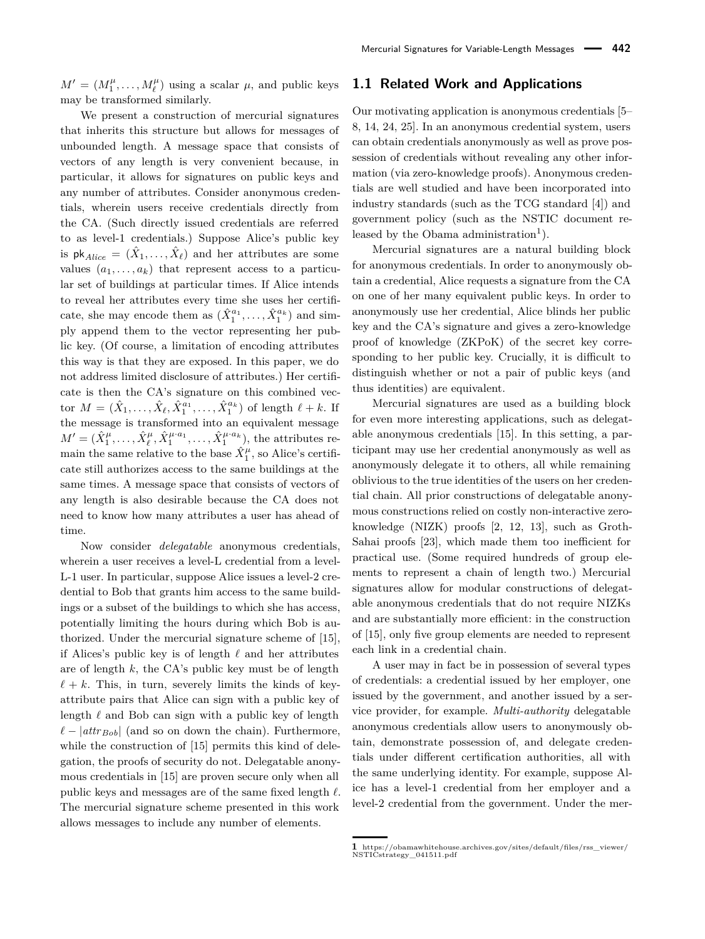$M' = (M_1^{\mu}, \dots, M_{\ell}^{\mu})$  using a scalar  $\mu$ , and public keys may be transformed similarly.

We present a construction of mercurial signatures that inherits this structure but allows for messages of unbounded length. A message space that consists of vectors of any length is very convenient because, in particular, it allows for signatures on public keys and any number of attributes. Consider anonymous credentials, wherein users receive credentials directly from the CA. (Such directly issued credentials are referred to as level-1 credentials.) Suppose Alice's public key is  $\mathsf{pk}_{Alice} = (\hat{X}_1, \ldots, \hat{X}_\ell)$  and her attributes are some values  $(a_1, \ldots, a_k)$  that represent access to a particular set of buildings at particular times. If Alice intends to reveal her attributes every time she uses her certificate, she may encode them as  $(\hat{X}_1^{a_1}, \ldots, \hat{X}_1^{a_k})$  and simply append them to the vector representing her public key. (Of course, a limitation of encoding attributes this way is that they are exposed. In this paper, we do not address limited disclosure of attributes.) Her certificate is then the CA's signature on this combined vector  $M = (\hat{X}_1, ..., \hat{X}_{\ell}, \hat{X}_1^{a_1}, ..., \hat{X}_1^{a_k})$  of length  $\ell + k$ . If the message is transformed into an equivalent message  $M' = (\hat{X}_1^{\mu}, \dots, \hat{X}_{\ell}^{\mu}, \hat{X}_1^{\mu \cdot a_1}, \dots, \hat{X}_1^{\mu \cdot a_k})$ , the attributes remain the same relative to the base  $\hat{X}^{\mu}_1$ , so Alice's certificate still authorizes access to the same buildings at the same times. A message space that consists of vectors of any length is also desirable because the CA does not need to know how many attributes a user has ahead of time.

Now consider *delegatable* anonymous credentials, wherein a user receives a level-L credential from a level-L-1 user. In particular, suppose Alice issues a level-2 credential to Bob that grants him access to the same buildings or a subset of the buildings to which she has access, potentially limiting the hours during which Bob is authorized. Under the mercurial signature scheme of [15], if Alices's public key is of length  $\ell$  and her attributes are of length *k*, the CA's public key must be of length  $\ell + k$ . This, in turn, severely limits the kinds of keyattribute pairs that Alice can sign with a public key of length  $\ell$  and Bob can sign with a public key of length  $\ell$  − |*attr*<sub>*Bob*</sub>| (and so on down the chain). Furthermore, while the construction of [15] permits this kind of delegation, the proofs of security do not. Delegatable anonymous credentials in [15] are proven secure only when all public keys and messages are of the same fixed length  $\ell$ . The mercurial signature scheme presented in this work allows messages to include any number of elements.

#### **1.1 Related Work and Applications**

Our motivating application is anonymous credentials [5– 8, 14, 24, 25]. In an anonymous credential system, users can obtain credentials anonymously as well as prove possession of credentials without revealing any other information (via zero-knowledge proofs). Anonymous credentials are well studied and have been incorporated into industry standards (such as the TCG standard [4]) and government policy (such as the NSTIC document released by the Obama administration<sup>1</sup>).

Mercurial signatures are a natural building block for anonymous credentials. In order to anonymously obtain a credential, Alice requests a signature from the CA on one of her many equivalent public keys. In order to anonymously use her credential, Alice blinds her public key and the CA's signature and gives a zero-knowledge proof of knowledge (ZKPoK) of the secret key corresponding to her public key. Crucially, it is difficult to distinguish whether or not a pair of public keys (and thus identities) are equivalent.

Mercurial signatures are used as a building block for even more interesting applications, such as delegatable anonymous credentials [15]. In this setting, a participant may use her credential anonymously as well as anonymously delegate it to others, all while remaining oblivious to the true identities of the users on her credential chain. All prior constructions of delegatable anonymous constructions relied on costly non-interactive zeroknowledge (NIZK) proofs [2, 12, 13], such as Groth-Sahai proofs [23], which made them too inefficient for practical use. (Some required hundreds of group elements to represent a chain of length two.) Mercurial signatures allow for modular constructions of delegatable anonymous credentials that do not require NIZKs and are substantially more efficient: in the construction of [15], only five group elements are needed to represent each link in a credential chain.

A user may in fact be in possession of several types of credentials: a credential issued by her employer, one issued by the government, and another issued by a service provider, for example. *Multi-authority* delegatable anonymous credentials allow users to anonymously obtain, demonstrate possession of, and delegate credentials under different certification authorities, all with the same underlying identity. For example, suppose Alice has a level-1 credential from her employer and a level-2 credential from the government. Under the mer-

**<sup>1</sup>** https://obamawhitehouse.archives.gov/sites/default/files/rss\_viewer/ NSTICstrategy\_041511.pdf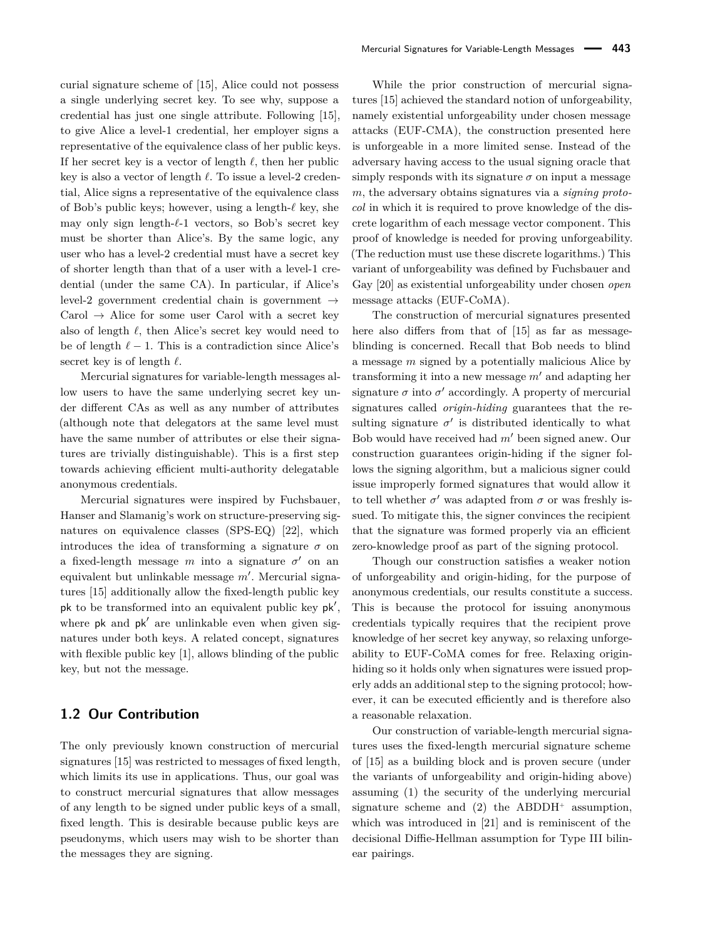curial signature scheme of [15], Alice could not possess a single underlying secret key. To see why, suppose a credential has just one single attribute. Following [15], to give Alice a level-1 credential, her employer signs a representative of the equivalence class of her public keys. If her secret key is a vector of length  $\ell$ , then her public key is also a vector of length  $\ell$ . To issue a level-2 credential, Alice signs a representative of the equivalence class of Bob's public keys; however, using a length- $\ell$  key, she may only sign length- $\ell$ -1 vectors, so Bob's secret key must be shorter than Alice's. By the same logic, any user who has a level-2 credential must have a secret key of shorter length than that of a user with a level-1 credential (under the same CA). In particular, if Alice's level-2 government credential chain is government  $\rightarrow$ Carol  $\rightarrow$  Alice for some user Carol with a secret key also of length  $\ell$ , then Alice's secret key would need to be of length  $\ell - 1$ . This is a contradiction since Alice's secret key is of length  $\ell$ .

Mercurial signatures for variable-length messages allow users to have the same underlying secret key under different CAs as well as any number of attributes (although note that delegators at the same level must have the same number of attributes or else their signatures are trivially distinguishable). This is a first step towards achieving efficient multi-authority delegatable anonymous credentials.

Mercurial signatures were inspired by Fuchsbauer, Hanser and Slamanig's work on structure-preserving signatures on equivalence classes (SPS-EQ) [22], which introduces the idea of transforming a signature  $\sigma$  on a fixed-length message  $m$  into a signature  $\sigma'$  on an equivalent but unlinkable message m'. Mercurial signatures [15] additionally allow the fixed-length public key  $pk$  to be transformed into an equivalent public key  $pk'$ , where pk and pk' are unlinkable even when given signatures under both keys. A related concept, signatures with flexible public key [1], allows blinding of the public key, but not the message.

#### **1.2 Our Contribution**

The only previously known construction of mercurial signatures [15] was restricted to messages of fixed length, which limits its use in applications. Thus, our goal was to construct mercurial signatures that allow messages of any length to be signed under public keys of a small, fixed length. This is desirable because public keys are pseudonyms, which users may wish to be shorter than the messages they are signing.

While the prior construction of mercurial signatures [15] achieved the standard notion of unforgeability, namely existential unforgeability under chosen message attacks (EUF-CMA), the construction presented here is unforgeable in a more limited sense. Instead of the adversary having access to the usual signing oracle that simply responds with its signature  $\sigma$  on input a message *m*, the adversary obtains signatures via a *signing protocol* in which it is required to prove knowledge of the discrete logarithm of each message vector component. This proof of knowledge is needed for proving unforgeability. (The reduction must use these discrete logarithms.) This variant of unforgeability was defined by Fuchsbauer and Gay [20] as existential unforgeability under chosen *open* message attacks (EUF-CoMA).

The construction of mercurial signatures presented here also differs from that of [15] as far as messageblinding is concerned. Recall that Bob needs to blind a message *m* signed by a potentially malicious Alice by transforming it into a new message  $m'$  and adapting her signature  $\sigma$  into  $\sigma'$  accordingly. A property of mercurial signatures called *origin-hiding* guarantees that the resulting signature  $\sigma'$  is distributed identically to what Bob would have received had  $m'$  been signed anew. Our construction guarantees origin-hiding if the signer follows the signing algorithm, but a malicious signer could issue improperly formed signatures that would allow it to tell whether  $\sigma'$  was adapted from  $\sigma$  or was freshly issued. To mitigate this, the signer convinces the recipient that the signature was formed properly via an efficient zero-knowledge proof as part of the signing protocol.

Though our construction satisfies a weaker notion of unforgeability and origin-hiding, for the purpose of anonymous credentials, our results constitute a success. This is because the protocol for issuing anonymous credentials typically requires that the recipient prove knowledge of her secret key anyway, so relaxing unforgeability to EUF-CoMA comes for free. Relaxing originhiding so it holds only when signatures were issued properly adds an additional step to the signing protocol; however, it can be executed efficiently and is therefore also a reasonable relaxation.

Our construction of variable-length mercurial signatures uses the fixed-length mercurial signature scheme of [15] as a building block and is proven secure (under the variants of unforgeability and origin-hiding above) assuming (1) the security of the underlying mercurial signature scheme and (2) the ABDDH<sup>+</sup> assumption, which was introduced in [21] and is reminiscent of the decisional Diffie-Hellman assumption for Type III bilinear pairings.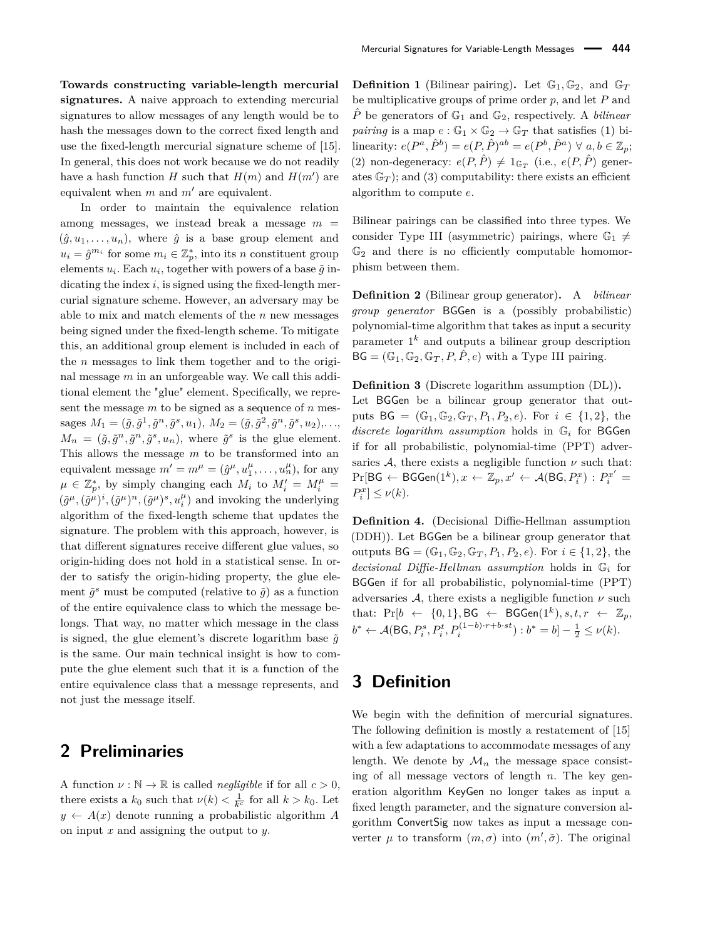**Towards constructing variable-length mercurial signatures.** A naive approach to extending mercurial signatures to allow messages of any length would be to hash the messages down to the correct fixed length and use the fixed-length mercurial signature scheme of [15]. In general, this does not work because we do not readily have a hash function *H* such that  $H(m)$  and  $H(m')$  are equivalent when  $m$  and  $m'$  are equivalent.

In order to maintain the equivalence relation among messages, we instead break a message  $m =$  $(\hat{g}, u_1, \ldots, u_n)$ , where  $\hat{g}$  is a base group element and  $u_i = \hat{g}^{m_i}$  for some  $m_i \in \mathbb{Z}_p^*$ , into its *n* constituent group elements  $u_i$ . Each  $u_i$ , together with powers of a base  $\tilde{g}$  indicating the index *i*, is signed using the fixed-length mercurial signature scheme. However, an adversary may be able to mix and match elements of the *n* new messages being signed under the fixed-length scheme. To mitigate this, an additional group element is included in each of the *n* messages to link them together and to the original message *m* in an unforgeable way. We call this additional element the "glue" element. Specifically, we represent the message *m* to be signed as a sequence of *n* messages  $M_1 = (\tilde{g}, \tilde{g}^1, \tilde{g}^n, \tilde{g}^s, u_1), M_2 = (\tilde{g}, \tilde{g}^2, \tilde{g}^n, \tilde{g}^s, u_2), \dots,$  $M_n = (\tilde{g}, \tilde{g}^n, \tilde{g}^n, \tilde{g}^s, u_n)$ , where  $\tilde{g}^s$  is the glue element. This allows the message *m* to be transformed into an equivalent message  $m' = m^{\mu} = (\hat{g}^{\mu}, u_1^{\mu}, \dots, u_n^{\mu}),$  for any  $\mu \in \mathbb{Z}_p^*$ , by simply changing each  $M_i$  to  $M'_i = M''_i =$  $(\tilde{g}^{\mu}, (\tilde{g}^{\mu})^i, (\tilde{g}^{\mu})^n, (\tilde{g}^{\mu})^s, u_i^{\mu})$  and invoking the underlying algorithm of the fixed-length scheme that updates the signature. The problem with this approach, however, is that different signatures receive different glue values, so origin-hiding does not hold in a statistical sense. In order to satisfy the origin-hiding property, the glue element  $\tilde{g}^s$  must be computed (relative to  $\tilde{g}$ ) as a function of the entire equivalence class to which the message belongs. That way, no matter which message in the class is signed, the glue element's discrete logarithm base  $\tilde{q}$ is the same. Our main technical insight is how to compute the glue element such that it is a function of the entire equivalence class that a message represents, and not just the message itself.

## **2 Preliminaries**

A function  $\nu : \mathbb{N} \to \mathbb{R}$  is called *negligible* if for all  $c > 0$ , there exists a  $k_0$  such that  $\nu(k) < \frac{1}{k^c}$  for all  $k > k_0$ . Let  $y \leftarrow A(x)$  denote running a probabilistic algorithm *A* on input *x* and assigning the output to *y*.

**Definition 1** (Bilinear pairing). Let  $\mathbb{G}_1, \mathbb{G}_2$ , and  $\mathbb{G}_T$ be multiplicative groups of prime order *p*, and let *P* and  $\hat{P}$  be generators of  $\mathbb{G}_1$  and  $\mathbb{G}_2$ , respectively. A *bilinear pairing* is a map  $e : \mathbb{G}_1 \times \mathbb{G}_2 \to \mathbb{G}_T$  that satisfies (1) bi- $\text{linearity: } e(P^a, \hat{P}^b) = e(P, \hat{P})^{ab} = e(P^b, \hat{P}^a) \,\forall \, a, b \in \mathbb{Z}_p;$ (2) non-degeneracy:  $e(P, \hat{P}) \neq 1_{\mathbb{G}_T}$  (i.e.,  $e(P, \hat{P})$  generates  $\mathbb{G}_T$ ; and (3) computability: there exists an efficient algorithm to compute *e*.

Bilinear pairings can be classified into three types. We consider Type III (asymmetric) pairings, where  $\mathbb{G}_1 \neq$  $\mathbb{G}_2$  and there is no efficiently computable homomorphism between them.

**Definition 2** (Bilinear group generator)**.** A *bilinear group generator* BGGen is a (possibly probabilistic) polynomial-time algorithm that takes as input a security parameter 1 *<sup>k</sup>* and outputs a bilinear group description  $BG = (\mathbb{G}_1, \mathbb{G}_2, \mathbb{G}_T, P, \hat{P}, e)$  with a Type III pairing.

**Definition 3** (Discrete logarithm assumption (DL))**.**

Let BGGen be a bilinear group generator that outputs  $BG = (\mathbb{G}_1, \mathbb{G}_2, \mathbb{G}_T, P_1, P_2, e)$ . For  $i \in \{1, 2\}$ , the *discrete logarithm assumption* holds in G*<sup>i</sup>* for BGGen if for all probabilistic, polynomial-time (PPT) adversaries  $A$ , there exists a negligible function  $\nu$  such that:  $\Pr[\mathsf{BG} \leftarrow \mathsf{BGGen}(1^k), x \leftarrow \mathbb{Z}_p, x' \leftarrow \mathcal{A}(\mathsf{BG}, P_i^x) : P_i^{x'} = \emptyset$  $P_i^x] \leq \nu(k)$ .

**Definition 4.** (Decisional Diffie-Hellman assumption (DDH)). Let BGGen be a bilinear group generator that outputs  $BG = (\mathbb{G}_1, \mathbb{G}_2, \mathbb{G}_T, P_1, P_2, e)$ . For  $i \in \{1, 2\}$ , the *decisional Diffie-Hellman assumption* holds in G*<sup>i</sup>* for BGGen if for all probabilistic, polynomial-time (PPT) adversaries  $A$ , there exists a negligible function  $\nu$  such that: Pr[ $b$  ← {0,1}, BG ← BGGen( $1^k$ )*, s, t, r* ←  $\mathbb{Z}_p$ *,*  $b^* \leftarrow A(\textsf{BG}, P_i^s, P_i^t, P_i^{(1-b)\cdot r + b \cdot st}) : b^* = b] - \frac{1}{2} \leq \nu(k).$ 

# **3 Definition**

We begin with the definition of mercurial signatures. The following definition is mostly a restatement of [15] with a few adaptations to accommodate messages of any length. We denote by  $\mathcal{M}_n$  the message space consisting of all message vectors of length *n*. The key generation algorithm KeyGen no longer takes as input a fixed length parameter, and the signature conversion algorithm ConvertSig now takes as input a message converter  $\mu$  to transform  $(m, \sigma)$  into  $(m', \tilde{\sigma})$ . The original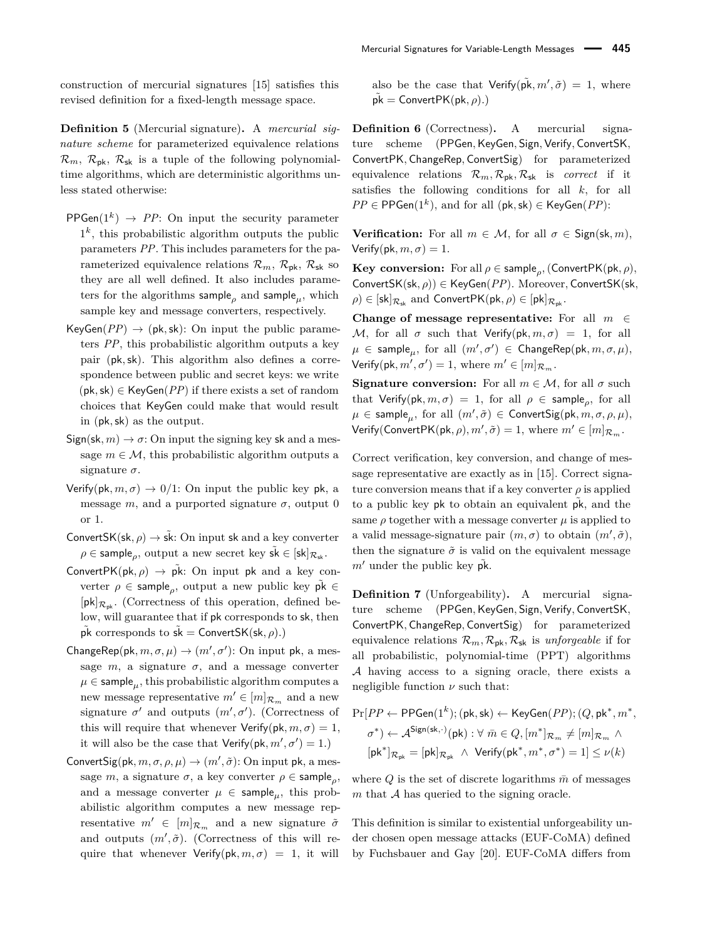construction of mercurial signatures [15] satisfies this revised definition for a fixed-length message space.

**Definition 5** (Mercurial signature)**.** A *mercurial signature scheme* for parameterized equivalence relations  $\mathcal{R}_m$ ,  $\mathcal{R}_{\text{pk}}$ ,  $\mathcal{R}_{\text{sk}}$  is a tuple of the following polynomialtime algorithms, which are deterministic algorithms unless stated otherwise:

- $PPGen(1^k) \rightarrow PP:$  On input the security parameter  $1<sup>k</sup>$ , this probabilistic algorithm outputs the public parameters *PP*. This includes parameters for the parameterized equivalence relations  $\mathcal{R}_m$ ,  $\mathcal{R}_{\rm pk}$ ,  $\mathcal{R}_{\rm sk}$  so they are all well defined. It also includes parameters for the algorithms sample*<sup>ρ</sup>* and sample*µ*, which sample key and message converters, respectively.
- $KevGen(PP) \rightarrow (pk, sk)$ : On input the public parameters *PP*, this probabilistic algorithm outputs a key pair (pk*,*sk). This algorithm also defines a correspondence between public and secret keys: we write  $(pk, sk) \in \text{KeyGen}(PP)$  if there exists a set of random choices that KeyGen could make that would result in (pk*,*sk) as the output.
- $Sign(sk, m) \rightarrow \sigma$ : On input the signing key sk and a message  $m \in \mathcal{M}$ , this probabilistic algorithm outputs a signature *σ*.
- Verify(pk,  $m, \sigma$ )  $\rightarrow$  0/1: On input the public key pk, a message *m*, and a purported signature  $\sigma$ , output 0 or 1.
- ConvertSK(sk,  $\rho$ )  $\rightarrow$  sk: On input sk and a key converter  $\rho \in \mathsf{sample}_\rho$ , output a new secret key  $\tilde{\mathsf{sk}} \in [\mathsf{sk}]_{\mathcal{R}_{\mathsf{sk}}}.$
- ConvertPK( $pk, \rho$ )  $\rightarrow$   $pk$ : On input pk and a key converter  $\rho \in \textsf{sample}_{\rho}$ , output a new public key  $\tilde{\mathsf{pk}} \in$  $[pk]_{\mathcal{R}_{nk}}$ . (Correctness of this operation, defined below, will guarantee that if pk corresponds to sk, then  $\tilde{pk}$  corresponds to  $s\tilde{k}$  = ConvertSK(sk, ρ).)
- ChangeRep(pk,  $m, \sigma, \mu$ )  $\rightarrow$   $(m', \sigma')$ : On input pk, a message  $m$ , a signature  $\sigma$ , and a message converter  $\mu \in \textsf{sample}_{\mu}$ , this probabilistic algorithm computes a new message representative  $m' \in [m]_{\mathcal{R}_m}$  and a new signature  $\sigma'$  and outputs  $(m', \sigma')$ . (Correctness of this will require that whenever  $Verify(pk, m, \sigma) = 1$ , it will also be the case that  $Verify(pk, m', \sigma') = 1$ .)
- ConvertSig(pk,  $m, \sigma, \rho, \mu$ )  $\rightarrow$   $(m', \tilde{\sigma})$ : On input pk, a message *m*, a signature  $\sigma$ , a key converter  $\rho \in \textsf{sample}_{\rho}$ , and a message converter  $\mu \in \text{sample}_{\mu}$ , this probabilistic algorithm computes a new message representative  $m' \in [m]_{\mathcal{R}_m}$  and a new signature  $\tilde{\sigma}$ and outputs  $(m', \tilde{\sigma})$ . (Correctness of this will require that whenever  $Verify(pk, m, \sigma) = 1$ , it will

also be the case that  $Verify(p\tilde{k}, m', \tilde{\sigma}) = 1$ , where  $\tilde{pk} =$  ConvertPK(pk,  $\rho$ ).)

**Definition 6** (Correctness)**.** A mercurial signature scheme (PPGen*,*KeyGen*,* Sign*,* Verify*,* ConvertSK*,* ConvertPK*,* ChangeRep*,* ConvertSig) for parameterized equivalence relations  $\mathcal{R}_m$ ,  $\mathcal{R}_{nk}$ ,  $\mathcal{R}_{sk}$  is *correct* if it satisfies the following conditions for all *k*, for all  $PP \in \mathsf{PPGen}(1^k)$ , and for all  $(\mathsf{pk}, \mathsf{sk}) \in \mathsf{KeyGen}(PP)$ :

**Verification:** For all  $m \in \mathcal{M}$ , for all  $\sigma \in$  Sign(sk, m), Verify(pk,  $m, \sigma$ ) = 1.

**Key conversion:** For all  $\rho \in \mathsf{sample}_\rho,$  (ConvertPK(pk,  $\rho$ ), ConvertSK(sk*, ρ*)) ∈ KeyGen(*PP*)*.* Moreover*,* ConvertSK(sk*,*  $\rho$ )  $\in$  [sk] $_{\mathcal{R}_{\text{sk}}}$  and ConvertPK(pk,  $\rho$ )  $\in$  [pk] $_{\mathcal{R}_{\text{pk}}}$ .

**Change of message representative:** For all *m* ∈ M, for all  $\sigma$  such that Verify(pk,  $m, \sigma$ ) = 1, for all  $\mu \in \mathsf{sample}_{\mu}, \text{ for all } (m', \sigma') \in \mathsf{ChangeRep}(\mathsf{pk}, m, \sigma, \mu),$  $Verify(\mathsf{pk}, m', \sigma') = 1$ , where  $m' \in [m]_{\mathcal{R}_m}$ .

**Signature conversion:** For all  $m \in \mathcal{M}$ , for all  $\sigma$  such that  $Verify(\mathsf{pk}, m, \sigma) = 1$ , for all  $\rho \in \mathsf{sample}_{\rho}$ , for all  $\mu \in \mathsf{sample}_{\mu}, \text{ for all } (m', \tilde{\sigma}) \in \mathsf{ConvertSig}(\mathsf{pk}, m, \sigma, \rho, \mu),$  $Verify(ConvertPK(pk, \rho), m', \tilde{\sigma}) = 1$ , where  $m' \in [m]_{\mathcal{R}_m}$ .

Correct verification, key conversion, and change of message representative are exactly as in [15]. Correct signature conversion means that if a key converter  $\rho$  is applied to a public key pk to obtain an equivalent  $\tilde{pk}$ , and the same  $\rho$  together with a message converter  $\mu$  is applied to a valid message-signature pair  $(m, \sigma)$  to obtain  $(m', \tilde{\sigma})$ , then the signature  $\tilde{\sigma}$  is valid on the equivalent message  $m'$  under the public key  $\tilde{pk}$ .

**Definition 7** (Unforgeability)**.** A mercurial signature scheme (PPGen*,*KeyGen*,* Sign*,* Verify*,* ConvertSK*,* ConvertPK*,* ChangeRep*,* ConvertSig) for parameterized equivalence relations  $\mathcal{R}_m$ ,  $\mathcal{R}_{nk}$ ,  $\mathcal{R}_{sk}$  is *unforgeable* if for all probabilistic, polynomial-time (PPT) algorithms A having access to a signing oracle, there exists a negligible function  $\nu$  such that:

$$
\begin{aligned} \Pr[PP \leftarrow \mathrm{PPGen}(1^k);(\mathrm{pk},\mathrm{sk}) \leftarrow \mathrm{KeyGen}(PP);(Q,\mathrm{pk}^*,m^*,\\ \sigma^*) \leftarrow \mathcal{A}^{\mathrm{Sign}(\mathrm{sk},\cdot)}(\mathrm{pk}): \forall~\bar{m} \in Q, [m^*]_{\mathcal{R}_m} \neq [m]_{\mathcal{R}_m}~\wedge \\ [\mathrm{pk}^*]_{\mathcal{R}_\mathrm{pk}} = [\mathrm{pk}]_{\mathcal{R}_\mathrm{pk}}~\wedge~\mathrm{Verify}(\mathrm{pk}^*,m^*,\sigma^*) = 1] \leq \nu(k) \end{aligned}
$$

where  $Q$  is the set of discrete logarithms  $\bar{m}$  of messages *m* that A has queried to the signing oracle.

This definition is similar to existential unforgeability under chosen open message attacks (EUF-CoMA) defined by Fuchsbauer and Gay [20]. EUF-CoMA differs from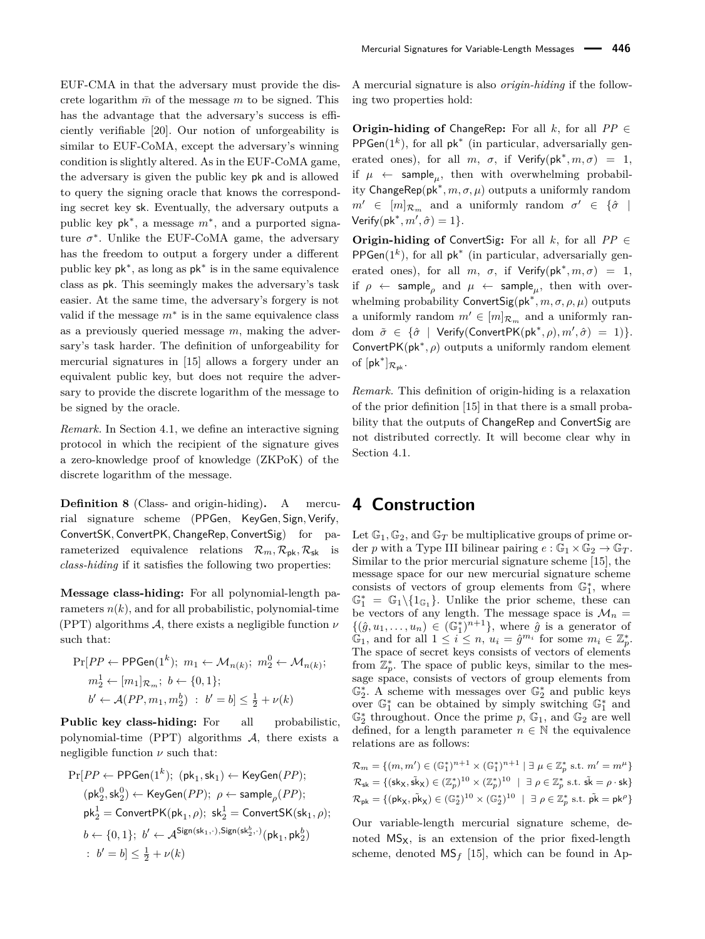EUF-CMA in that the adversary must provide the discrete logarithm  $\bar{m}$  of the message  $m$  to be signed. This has the advantage that the adversary's success is efficiently verifiable [20]. Our notion of unforgeability is similar to EUF-CoMA, except the adversary's winning condition is slightly altered. As in the EUF-CoMA game, the adversary is given the public key pk and is allowed to query the signing oracle that knows the corresponding secret key sk. Eventually, the adversary outputs a public key pk<sup>∗</sup> , a message *m*<sup>∗</sup> , and a purported signature  $\sigma^*$ . Unlike the EUF-CoMA game, the adversary has the freedom to output a forgery under a different public key pk<sup>∗</sup> , as long as pk<sup>∗</sup> is in the same equivalence class as pk. This seemingly makes the adversary's task easier. At the same time, the adversary's forgery is not valid if the message  $m^*$  is in the same equivalence class as a previously queried message *m*, making the adversary's task harder. The definition of unforgeability for mercurial signatures in [15] allows a forgery under an equivalent public key, but does not require the adversary to provide the discrete logarithm of the message to be signed by the oracle.

*Remark.* In Section 4.1, we define an interactive signing protocol in which the recipient of the signature gives a zero-knowledge proof of knowledge (ZKPoK) of the discrete logarithm of the message.

**Definition 8** (Class- and origin-hiding)**.** A mercurial signature scheme (PPGen, KeyGen*,* Sign*,* Verify*,* ConvertSK*,* ConvertPK*,* ChangeRep*,* ConvertSig) for parameterized equivalence relations  $\mathcal{R}_m, \mathcal{R}_{\rm pk}, \mathcal{R}_{\rm sk}$  is *class-hiding* if it satisfies the following two properties:

**Message class-hiding:** For all polynomial-length parameters  $n(k)$ , and for all probabilistic, polynomial-time (PPT) algorithms A, there exists a negligible function *ν* such that:

$$
\Pr[PP \leftarrow \text{PPGen}(1^k); \ m_1 \leftarrow \mathcal{M}_{n(k)}; \ m_2^0 \leftarrow \mathcal{M}_{n(k)}; \nm_2^1 \leftarrow [m_1]_{\mathcal{R}_m}; \ b \leftarrow \{0, 1\}; \nb' \leftarrow \mathcal{A}(PP, m_1, m_2^b) : \ b' = b] \le \frac{1}{2} + \nu(k)
$$

**Public key class-hiding:** For all probabilistic, polynomial-time  $(PPT)$  algorithms  $A$ , there exists a negligible function  $\nu$  such that:

$$
\begin{aligned} \Pr[PP \leftarrow \mathrm{PPGen}(1^k); \ (\mathsf{pk}_1, \mathsf{sk}_1) \leftarrow \mathrm{KeyGen}(PP); \\ (\mathsf{pk}_2^0, \mathsf{sk}_2^0) \leftarrow \mathrm{KeyGen}(PP); \ \rho \leftarrow \mathrm{sample}_\rho(PP); \\ \mathsf{pk}_2^1 = \mathrm{ConvertPK}(\mathsf{pk}_1, \rho); \ \mathsf{sk}_2^1 = \mathrm{ConvertSK}(\mathsf{sk}_1, \rho); \\ b \leftarrow \{0, 1\}; \ b' \leftarrow \mathcal{A}^{\mathrm{Sign}(\mathsf{sk}_1, \cdot), \mathrm{Sign}(\mathsf{sk}_2^b, \cdot)}(\mathsf{pk}_1, \mathsf{pk}_2^b) \\ : \ b' = b] \leq \frac{1}{2} + \nu(k) \end{aligned}
$$

A mercurial signature is also *origin-hiding* if the following two properties hold:

**Origin-hiding of** ChangeRep: For all  $k$ , for all  $PP \in$  $PPGen(1^k)$ , for all  $pk^*$  (in particular, adversarially generated ones), for all  $m, \sigma,$  if  $Verify(\mathsf{pk}^*, m, \sigma) = 1$ , if  $\mu \leftarrow$  sample<sub>*u*</sub>, then with overwhelming probability  $\mathsf{ChangeRep}(\mathsf{pk}^*, m, \sigma, \mu)$  outputs a uniformly random  $m' \in [m]_{\mathcal{R}_m}$  and a uniformly random  $\sigma' \in {\hat{\sigma}}$  $Verify(\mathsf{pk}^*, m', \hat{\sigma}) = 1$ .

**Origin-hiding of ConvertSig:** For all  $k$ , for all  $PP \in$  $PPGen(1^k)$ , for all  $pk^*$  (in particular, adversarially generated ones), for all  $m, \sigma,$  if  $Verify(\mathsf{pk}^*, m, \sigma) = 1$ , if  $\rho \leftarrow$  sample<sub>*ρ*</sub> and  $\mu \leftarrow$  sample<sub>*µ*</sub>, then with overwhelming probability ConvertSig(pk<sup>∗</sup> *, m, σ, ρ, µ*) outputs a uniformly random  $m' \in [m]_{\mathcal{R}_m}$  and a uniformly ran $dom \ \tilde{\sigma} \in \{ \hat{\sigma} \mid \text{Verify}(\text{ConvertPK}(pk^*, \rho), m', \hat{\sigma}) = 1) \}.$ Convert $PK(pk^*, \rho)$  outputs a uniformly random element of  $[{\sf pk}^*]_{\mathcal{R}_{\sf pk}}$ .

*Remark.* This definition of origin-hiding is a relaxation of the prior definition [15] in that there is a small probability that the outputs of ChangeRep and ConvertSig are not distributed correctly. It will become clear why in Section 4.1.

## **4 Construction**

Let  $\mathbb{G}_1$ ,  $\mathbb{G}_2$ , and  $\mathbb{G}_T$  be multiplicative groups of prime order *p* with a Type III bilinear pairing  $e : \mathbb{G}_1 \times \mathbb{G}_2 \to \mathbb{G}_T$ . Similar to the prior mercurial signature scheme [15], the message space for our new mercurial signature scheme consists of vectors of group elements from  $\mathbb{G}_1^*$ , where  $\mathbb{G}_1^* = \mathbb{G}_1 \setminus \{1_{\mathbb{G}_1}\}.$  Unlike the prior scheme, these can be vectors of any length. The message space is  $\mathcal{M}_n$  =  $\{(\hat{g}, u_1, \ldots, u_n) \in (\mathbb{G}_1^*)^{n+1}\},\$  where  $\hat{g}$  is a generator of  $\mathbb{G}_1$ , and for all  $1 \leq i \leq n$ ,  $u_i = \hat{g}^{m_i}$  for some  $m_i \in \mathbb{Z}_p^*$ . The space of secret keys consists of vectors of elements from  $\mathbb{Z}_p^*$ . The space of public keys, similar to the message space, consists of vectors of group elements from  $\mathbb{G}_2^*$ . A scheme with messages over  $\mathbb{G}_2^*$  and public keys over  $\mathbb{G}_1^*$  can be obtained by simply switching  $\mathbb{G}_1^*$  and  $\mathbb{G}_2^*$  throughout. Once the prime  $p$ ,  $\mathbb{G}_1$ , and  $\mathbb{G}_2$  are well defined, for a length parameter  $n \in \mathbb{N}$  the equivalence relations are as follows:

$$
\mathcal{R}_m = \{ (m, m') \in (\mathbb{G}_1^*)^{n+1} \times (\mathbb{G}_1^*)^{n+1} \mid \exists \mu \in \mathbb{Z}_p^* \text{ s.t. } m' = m^\mu \}
$$
  

$$
\mathcal{R}_{\mathsf{sk}} = \{ (\mathsf{sk}_X, \mathsf{sk}_X) \in (\mathbb{Z}_p^*)^{10} \times (\mathbb{Z}_p^*)^{10} \mid \exists \rho \in \mathbb{Z}_p^* \text{ s.t. } \mathsf{sk} = \rho \cdot \mathsf{sk} \}
$$
  

$$
\mathcal{R}_{\mathsf{pk}} = \{ (\mathsf{pk}_X, \mathsf{pk}_X) \in (\mathbb{G}_2^*)^{10} \times (\mathbb{G}_2^*)^{10} \mid \exists \rho \in \mathbb{Z}_p^* \text{ s.t. } \mathsf{pk} = \mathsf{pk}^\rho \}
$$

Our variable-length mercurial signature scheme, denoted  $MS_X$ , is an extension of the prior fixed-length scheme, denoted  $\mathsf{MS}_f$  [15], which can be found in Ap-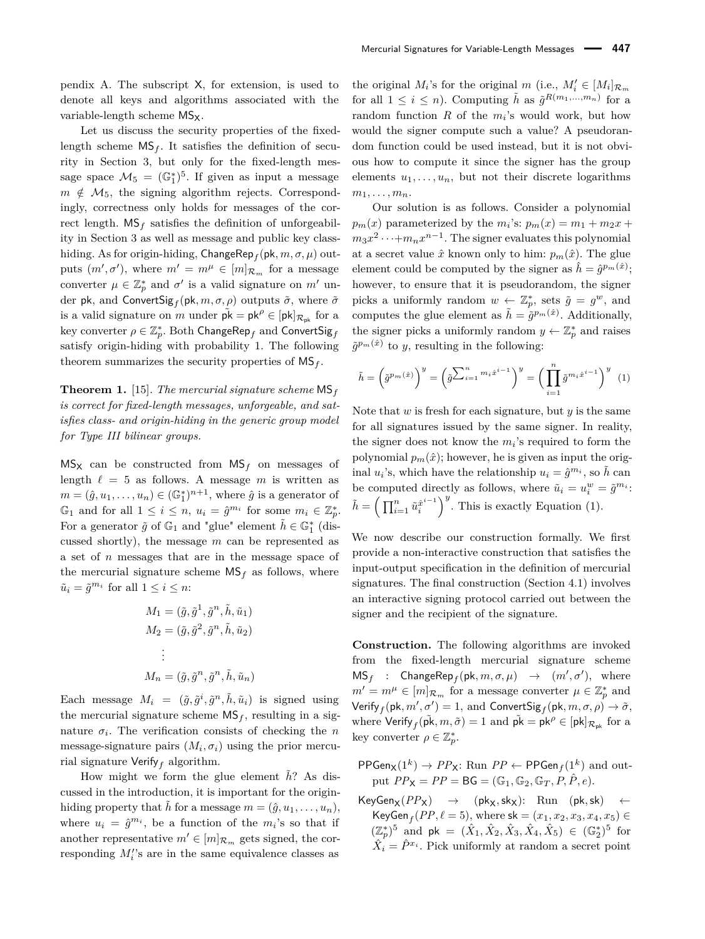pendix A. The subscript X, for extension, is used to denote all keys and algorithms associated with the variable-length scheme MS<sub>x</sub>.

Let us discuss the security properties of the fixedlength scheme  $\mathsf{MS}_f$ . It satisfies the definition of security in Section 3, but only for the fixed-length message space  $\mathcal{M}_5 = (\mathbb{G}_1^*)^5$ . If given as input a message  $m \notin \mathcal{M}_5$ , the signing algorithm rejects. Correspondingly, correctness only holds for messages of the correct length.  $\text{MS}_f$  satisfies the definition of unforgeability in Section 3 as well as message and public key classhiding. As for origin-hiding, ChangeRep*<sup>f</sup>* (pk*, m, σ, µ*) outputs  $(m', \sigma')$ , where  $m' = m^{\mu} \in [m]_{\mathcal{R}_m}$  for a message converter  $\mu \in \mathbb{Z}_p^*$  and  $\sigma'$  is a valid signature on  $m'$  under pk, and ConvertSig $_f$ (pk, $m, \sigma, \rho$ ) outputs  $\tilde{\sigma}$ , where  $\tilde{\sigma}$ is a valid signature on *m* under  $pk = pk^{\rho} \in [pk]_{\mathcal{R}_{pk}}$  for a  $\text{key } \text{converter } \rho \in \mathbb{Z}_p^*.$  Both  $\text{ChangeRep}_f$  and  $\text{ConvertSig}_f$ satisfy origin-hiding with probability 1. The following theorem summarizes the security properties of MS*<sup>f</sup>* .

**Theorem 1.** [15]*. The mercurial signature scheme* MS*<sup>f</sup> is correct for fixed-length messages, unforgeable, and satisfies class- and origin-hiding in the generic group model for Type III bilinear groups.*

 $MS_X$  can be constructed from  $MS_f$  on messages of length  $\ell = 5$  as follows. A message *m* is written as  $m = (\hat{g}, u_1, \dots, u_n) \in (\mathbb{G}_1^*)^{n+1}$ , where  $\hat{g}$  is a generator of  $\mathbb{G}_1$  and for all  $1 \leq i \leq n$ ,  $u_i = \hat{g}^{m_i}$  for some  $m_i \in \mathbb{Z}_p^*$ . For a generator  $\tilde{g}$  of  $\mathbb{G}_1$  and "glue" element  $\tilde{h} \in \mathbb{G}_1^*$  (discussed shortly), the message *m* can be represented as a set of *n* messages that are in the message space of the mercurial signature scheme  $MS_f$  as follows, where  $\tilde{u}_i = \tilde{g}^{m_i}$  for all  $1 \leq i \leq n$ :

$$
M_1 = (\tilde{g}, \tilde{g}^1, \tilde{g}^n, \tilde{h}, \tilde{u}_1)
$$
  
\n
$$
M_2 = (\tilde{g}, \tilde{g}^2, \tilde{g}^n, \tilde{h}, \tilde{u}_2)
$$
  
\n:  
\n
$$
M_n = (\tilde{g}, \tilde{g}^n, \tilde{g}^n, \tilde{h}, \tilde{u}_n)
$$

Each message  $M_i = (\tilde{g}, \tilde{g}^i, \tilde{g}^n, \tilde{h}, \tilde{u}_i)$  is signed using the mercurial signature scheme  $\text{MS}_f$ , resulting in a signature  $\sigma_i$ . The verification consists of checking the *n* message-signature pairs  $(M_i, \sigma_i)$  using the prior mercurial signature Verify*<sup>f</sup>* algorithm.

How might we form the glue element *h*? As discussed in the introduction, it is important for the originhiding property that  $\tilde{h}$  for a message  $m = (\hat{g}, u_1, \ldots, u_n)$ , where  $u_i = \hat{g}^{m_i}$ , be a function of the  $m_i$ 's so that if another representative  $m' \in [m]_{\mathcal{R}_m}$  gets signed, the corresponding  $M_i$ 's are in the same equivalence classes as

the original  $M_i$ 's for the original  $m$  (i.e.,  $M'_i \in [M_i]_{\mathcal{R}_m}$ for all  $1 \leq i \leq n$ ). Computing  $\tilde{h}$  as  $\tilde{g}^{R(m_1,...,m_n)}$  for a random function *R* of the *m<sup>i</sup>* 's would work, but how would the signer compute such a value? A pseudorandom function could be used instead, but it is not obvious how to compute it since the signer has the group elements  $u_1, \ldots, u_n$ , but not their discrete logarithms  $m_1, \ldots, m_n$ .

Our solution is as follows. Consider a polynomial  $p_m(x)$  parameterized by the  $m_i$ 's:  $p_m(x) = m_1 + m_2x +$  $m_3x^2 \cdots + m_nx^{n-1}$ . The signer evaluates this polynomial at a secret value  $\hat{x}$  known only to him:  $p_m(\hat{x})$ . The glue element could be computed by the signer as  $\hat{h} = \hat{g}^{p_m(\hat{x})}$ ; however, to ensure that it is pseudorandom, the signer picks a uniformly random  $w \leftarrow \mathbb{Z}_p^*$ , sets  $\tilde{g} = g^w$ , and computes the glue element as  $\tilde{h} = \tilde{g}^{p_m(\hat{x})}$ . Additionally, the signer picks a uniformly random  $y \leftarrow \mathbb{Z}_p^*$  and raises  $\tilde{g}^{p_m(\hat{x})}$  to *y*, resulting in the following:

$$
\tilde{h} = \left(\tilde{g}^{p_m(\hat{x})}\right)^y = \left(\tilde{g}^{\sum_{i=1}^n m_i \hat{x}^{i-1}}\right)^y = \left(\prod_{i=1}^n \tilde{g}^{m_i \hat{x}^{i-1}}\right)^y \tag{1}
$$

Note that *w* is fresh for each signature, but *y* is the same for all signatures issued by the same signer. In reality, the signer does not know the  $m_i$ 's required to form the polynomial  $p_m(\hat{x})$ ; however, he is given as input the original  $u_i$ 's, which have the relationship  $u_i = \hat{g}^{m_i}$ , so  $\tilde{h}$  can be computed directly as follows, where  $\tilde{u}_i = u_i^w = \tilde{g}^{m_i}$ .  $\tilde{h} = \left(\prod_{i=1}^n \tilde{u}_i^{\hat{x}^{i-1}}\right)^y$ . This is exactly Equation (1).

We now describe our construction formally. We first provide a non-interactive construction that satisfies the input-output specification in the definition of mercurial signatures. The final construction (Section 4.1) involves an interactive signing protocol carried out between the signer and the recipient of the signature.

**Construction.** The following algorithms are invoked from the fixed-length mercurial signature scheme  $MS_f$  : ChangeRep<sub>f</sub>(pk,  $m, \sigma, \mu$ )  $\rightarrow$   $(m', \sigma')$ , where  $m' = m^{\mu} \in [m]_{\mathcal{R}_m}$  for a message converter  $\mu \in \mathbb{Z}_p^*$  and  $Verify_f(pk, m', \sigma') = 1$ , and  $ConvertSig_f(pk, m, \sigma, \rho) \rightarrow \tilde{\sigma}$ , where  $Verify_f(\tilde{pk}, m, \tilde{\sigma}) = 1$  and  $\tilde{pk} = pk^{\rho} \in [pk]_{\mathcal{R}_{pk}}$  for a key converter  $\rho \in \mathbb{Z}_p^*$ .

 $PPGen_{\mathsf{X}}(1^k) \to PP_{\mathsf{X}}$ : Run  $PP \leftarrow PPGen_f(1^k)$  and output  $PP_X = PP = BG = (\mathbb{G}_1, \mathbb{G}_2, \mathbb{G}_T, P, \hat{P}, e)$ .

 $KeyGen_X(PP_X) \rightarrow (pk_X, sk_X):$  Run (pk, sk)  $\leftarrow$  $KeyGen_f(PP, ℓ = 5), where sk = (x₁, x₂, x₃, x₄, x₅) ∈$  $(\mathbb{Z}_p^*)^5$  and pk =  $(\hat{X}_1, \hat{X}_2, \hat{X}_3, \hat{X}_4, \hat{X}_5) \in (\mathbb{G}_2^*)^5$  for  $\hat{X}_i = \hat{P}^{x_i}$ . Pick uniformly at random a secret point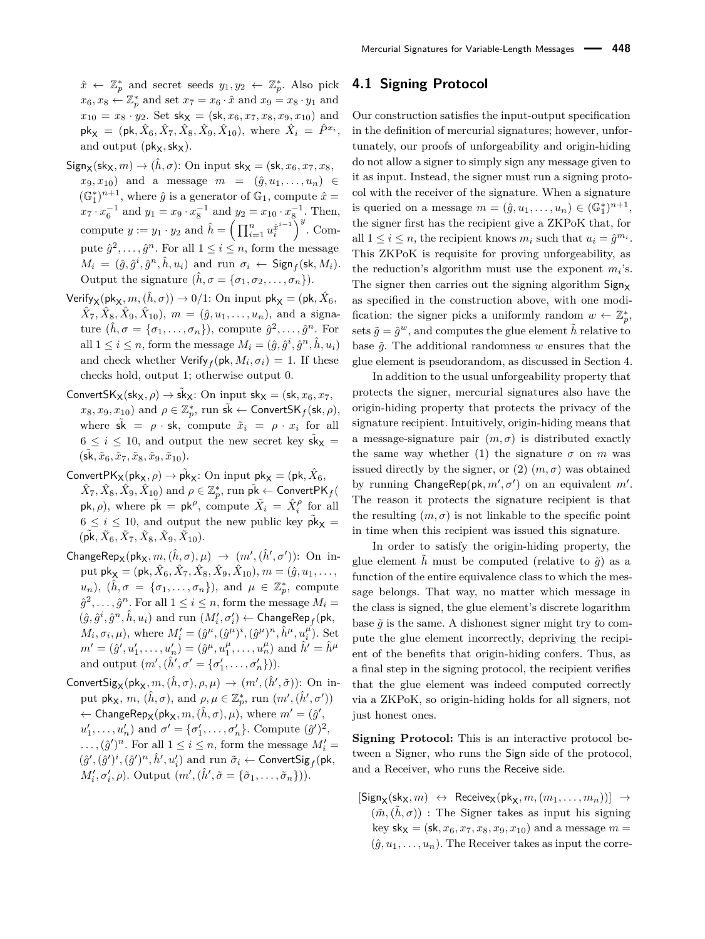$\hat{x} \leftarrow \mathbb{Z}_p^*$  and secret seeds  $y_1, y_2 \leftarrow \mathbb{Z}_p^*$ . Also pick  $x_6, x_8 \leftarrow \mathbb{Z}_p^*$  and set  $x_7 = x_6 \cdot \hat{x}$  and  $x_9 = x_8 \cdot y_1$  and  $x_{10} = x_8 \cdot y_2$ . Set  $\mathsf{sk}_{\mathsf{X}} = (\mathsf{sk}, x_6, x_7, x_8, x_9, x_{10})$  and  $pk_{\mathsf{X}} = (pk, \hat{X}_6, \hat{X}_7, \hat{X}_8, \hat{X}_9, \hat{X}_{10}), \text{ where } \hat{X}_i = \hat{P}^{x_i},$ and output  $(\mathsf{pk}_\mathsf{X},\mathsf{sk}_\mathsf{X})$ .

- $Sign_{\mathsf{X}}(\mathsf{sk}_{\mathsf{X}}, m) \to (\hat{h}, \sigma)$ : On input  $\mathsf{sk}_{\mathsf{X}} = (\mathsf{sk}, x_6, x_7, x_8,$  $(x_9, x_{10})$  and a message  $m = (\hat{g}, u_1, \ldots, u_n) \in$  $(\mathbb{G}_1^*)^{n+1}$ , where  $\hat{g}$  is a generator of  $\mathbb{G}_1$ , compute  $\hat{x}$  =  $x_7 \cdot x_6^{-1}$  and  $y_1 = x_9 \cdot x_8^{-1}$  and  $y_2 = x_{10} \cdot x_8^{-1}$ . Then, compute  $y := y_1 \cdot y_2$  and  $\hat{h} = \left(\prod_{i=1}^n u_i^{\hat{x}^{i-1}}\right)^y$ . Compute  $\hat{g}^2, \ldots, \hat{g}^n$ . For all  $1 \leq i \leq n$ , form the message  $M_i = (\hat{g}, \hat{g}^i, \hat{g}^n, \hat{h}, u_i)$  and run  $\sigma_i \leftarrow \mathsf{Sign}_f(\mathsf{sk}, M_i)$ . Output the signature  $(\hat{h}, \sigma = {\sigma_1, \sigma_2, \ldots, \sigma_n}).$
- $\mathsf{Verify}_{\mathsf{X}}(\mathsf{pk}_{\mathsf{X}}, m, (\hat{h}, \sigma)) \to 0/1$ : On input  $\mathsf{pk}_{\mathsf{X}} = (\mathsf{pk}, \hat{X}_6, \sigma)$  $\hat{X}_7, \hat{X}_8, \hat{X}_9, \hat{X}_{10}$ ,  $m = (\hat{g}, u_1, \dots, u_n)$ , and a signa- $\textrm{ture} \ (\hat{h}, \sigma = \{\sigma_1, \ldots, \sigma_n\}), \textrm{ compute } \hat{g}^2, \ldots, \hat{g}^n. \textrm{ For}$ all  $1 \leq i \leq n$ , form the message  $M_i = (\hat{g}, \hat{g}^i, \hat{g}^n, \hat{h}, u_i)$ and check whether  $\mathsf{Verify}_f(\mathsf{pk}, M_i, \sigma_i) = 1.$  If these checks hold, output 1; otherwise output 0.
- ConvertSK<sub>X</sub>(sk<sub>X</sub>,  $\rho$ )  $\rightarrow$  sk<sub>X</sub>: On input sk<sub>X</sub> = (sk,  $x_6, x_7$ ,  $x_8, x_9, x_{10}$ ) and  $\rho \in \mathbb{Z}_p^*$ , run  $\tilde{\mathsf{sk}} \leftarrow \mathsf{ConvertSK}_f(\mathsf{sk}, \rho),$ where  $s\tilde{k} = \rho \cdot sk$ , compute  $\tilde{x}_i = \rho \cdot x_i$  for all  $6 \leq i \leq 10$ , and output the new secret key  $\tilde{sk}_X$  =  $(\tilde{\mathsf{sk}}, \tilde{x}_6, \tilde{x}_7, \tilde{x}_8, \tilde{x}_9, \tilde{x}_{10}).$
- $\mathsf{ConvertPK}_\mathsf{X}(\mathsf{pk}_\mathsf{X}, \rho) \to \tilde{\mathsf{pk}}_\mathsf{X} \colon \text{On input } \mathsf{pk}_\mathsf{X} = (\mathsf{pk}, \hat{X}_6,$  $(\hat{X}_7,\hat{X}_8,\hat{X}_9,\hat{X}_{10})$  and  $\rho\in \mathbb{Z}_p^*,$  run  $\tilde{\mathsf{pk}}\leftarrow\mathsf{ConvertPK}_f(\hat{X}_9)$  $p\mathsf{k}, \rho$ , where  $\tilde{\mathsf{p}}\mathsf{k} = \mathsf{p}\mathsf{k}^{\rho}$ , compute  $\tilde{X}_i = \hat{X}_i^{\rho}$  for all  $6 \leq i \leq 10$ , and output the new public key  $\tilde{\text{pk}}_{\text{X}} =$  $(\tilde{\mathsf{pk}}, \tilde{X}_6, \tilde{X}_7, \tilde{X}_8, \tilde{X}_9, \tilde{X}_{10}).$
- $\mathsf{ChangeRep}_{\mathsf{X}}(\mathsf{pk}_{\mathsf{X}}, m, (\hat{h}, \sigma), \mu) \rightarrow (m', (\hat{h}', \sigma'))$ : On in $p$ ut  $pk$ **x** = ( $pk$ ,  $\hat{X}_6$ ,  $\hat{X}_7$ ,  $\hat{X}_8$ ,  $\hat{X}_9$ ,  $\hat{X}_{10}$ ),  $m = (\hat{g}, u_1, \ldots, u_n)$  $u_n$ ),  $(\hat{h}, \sigma = {\sigma_1, \ldots, \sigma_n})$ , and  $\mu \in \mathbb{Z}_p^*$ , compute  $\hat{g}^2, \ldots, \hat{g}^n$ . For all  $1 \leq i \leq n$ , form the message  $M_i =$  $(\hat{g}, \hat{g}^i, \hat{g}^n, \hat{h}, u_i)$  and run  $(M'_i, \sigma'_i) \leftarrow \mathsf{ChangeRep}_f(\mathsf{pk}, \sigma'_i)$  $M_i, \sigma_i, \mu$ , where  $M'_i = (\hat{g}^{\mu}, (\hat{g}^{\mu})^i, (\hat{g}^{\mu})^n, \hat{h}^{\mu}, u_i^{\mu})$ . Set  $m' = (\hat{g}', u'_1, \dots, u'_n) = (\hat{g}^\mu, u''_1, \dots, u''_n)$  and  $\hat{h}' = \hat{h}^\mu$ and output  $(m', (\hat{h}', \sigma' = {\sigma'_1, ..., \sigma'_n})$ ).
- $\mathsf{ConvertSig}_X(\mathsf{pk}_X, m, (\hat{h}, \sigma), \rho, \mu) \rightarrow (m', (\hat{h}', \tilde{\sigma}))$ : On input  $\mathsf{pk}_{\mathsf{X}}, m, (\hat{h}, \sigma)$ , and  $\rho, \mu \in \mathbb{Z}_p^*$ , run  $(m', (\hat{h}', \sigma'))$  $\leftarrow$  ChangeRep<sub>X</sub>(pk<sub>X</sub>,  $m,(\hat{h},\sigma),\mu$ ), where  $m'=(\hat{g}',\phi)$  $u'_1, \ldots, u'_n$  and  $\sigma' = {\sigma'_1, \ldots, \sigma'_n}$ . Compute  $(\hat{g}')^2$ ,  $\dots$ ,  $(\hat{g}')^n$ . For all  $1 \leq i \leq n$ , form the message  $M'_i =$  $(\hat{g}',(\hat{g}')^i,(\hat{g}')^n,\hat{h}',u'_i)$  and run  $\tilde{\sigma}_i \leftarrow \mathsf{ConvertSig}_f(\mathsf{pk},\mathsf{p}')$  $M'_{i}, \sigma'_{i}, \rho$ ). Output  $(m', (\hat{h}', \tilde{\sigma} = {\tilde{\sigma}_1, \ldots, \tilde{\sigma}_n}).$

#### **4.1 Signing Protocol**

Our construction satisfies the input-output specification in the definition of mercurial signatures; however, unfortunately, our proofs of unforgeability and origin-hiding do not allow a signer to simply sign any message given to it as input. Instead, the signer must run a signing protocol with the receiver of the signature. When a signature is queried on a message  $m = (\hat{g}, u_1, \dots, u_n) \in (\mathbb{G}_1^*)^{n+1}$ , the signer first has the recipient give a ZKPoK that, for all  $1 \leq i \leq n$ , the recipient knows  $m_i$  such that  $u_i = \hat{g}^{m_i}$ . This ZKPoK is requisite for proving unforgeability, as the reduction's algorithm must use the exponent  $m_i$ 's. The signer then carries out the signing algorithm  $Sign_{\mathbf{Y}}$ as specified in the construction above, with one modification: the signer picks a uniformly random  $w \leftarrow \mathbb{Z}_p^*$ , sets  $\tilde{g} = \hat{g}^w$ , and computes the glue element  $\tilde{h}$  relative to base  $\tilde{g}$ . The additional randomness  $w$  ensures that the glue element is pseudorandom, as discussed in Section 4.

In addition to the usual unforgeability property that protects the signer, mercurial signatures also have the origin-hiding property that protects the privacy of the signature recipient. Intuitively, origin-hiding means that a message-signature pair  $(m, \sigma)$  is distributed exactly the same way whether (1) the signature  $\sigma$  on  $m$  was issued directly by the signer, or  $(2)$   $(m, \sigma)$  was obtained by running  $\mathsf{ChangeRep}(\mathsf{pk}, m', \sigma')$  on an equivalent  $m'$ . The reason it protects the signature recipient is that the resulting  $(m, \sigma)$  is not linkable to the specific point in time when this recipient was issued this signature.

In order to satisfy the origin-hiding property, the glue element  $\tilde{h}$  must be computed (relative to  $\tilde{g}$ ) as a function of the entire equivalence class to which the message belongs. That way, no matter which message in the class is signed, the glue element's discrete logarithm base  $\tilde{q}$  is the same. A dishonest signer might try to compute the glue element incorrectly, depriving the recipient of the benefits that origin-hiding confers. Thus, as a final step in the signing protocol, the recipient verifies that the glue element was indeed computed correctly via a ZKPoK, so origin-hiding holds for all signers, not just honest ones.

**Signing Protocol:** This is an interactive protocol between a Signer, who runs the Sign side of the protocol, and a Receiver, who runs the Receive side.

 $[Sign_{\mathbf{X}}(sk_{\mathbf{X}}, m) \leftrightarrow \text{Receive}_{\mathbf{X}}(pk_{\mathbf{X}}, m, (m_1, \ldots, m_n))] \rightarrow$  $(\tilde{m}, (\tilde{h}, \sigma))$ : The Signer takes as input his signing key  $sk_{X} = (sk, x_{6}, x_{7}, x_{8}, x_{9}, x_{10})$  and a message  $m =$  $(\hat{g}, u_1, \ldots, u_n)$ . The Receiver takes as input the corre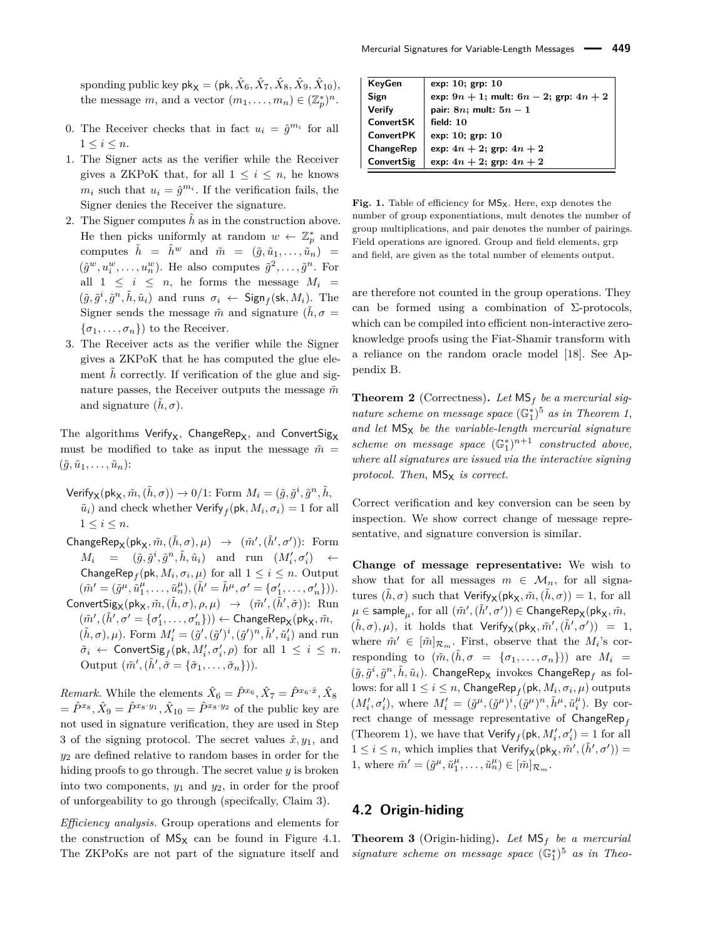sponding public key  $\mathsf{pk}_{\mathsf{X}} = (\mathsf{pk}, \hat{X}_6, \hat{X}_7, \hat{X}_8, \hat{X}_9, \hat{X}_{10}),$ the message *m*, and a vector  $(m_1, \ldots, m_n) \in (\mathbb{Z}_p^*)^n$ .

- 0. The Receiver checks that in fact  $u_i = \hat{g}^{m_i}$  for all  $1 \leq i \leq n$ .
- 1. The Signer acts as the verifier while the Receiver gives a ZKPoK that, for all  $1 \leq i \leq n$ , he knows  $m_i$  such that  $u_i = \hat{g}^{m_i}$ . If the verification fails, the Signer denies the Receiver the signature.
- 2. The Signer computes  $\hat{h}$  as in the construction above. He then picks uniformly at random  $w \leftarrow \mathbb{Z}_p^*$  and computes  $\tilde{h} = \hat{h}^w$  and  $\tilde{m} = (\tilde{g}, \tilde{u}_1, \dots, \tilde{u}_n)$  $(\hat{g}^w, u_i^w, \dots, u_n^w)$ . He also computes  $\tilde{g}^2, \dots, \tilde{g}^n$ . For all  $1 \leq i \leq n$ , he forms the message  $M_i =$  $(\tilde{g}, \tilde{g}^i, \tilde{g}^n, \tilde{h}, \tilde{u}_i)$  and runs  $\sigma_i \leftarrow \text{Sign}_f(\text{sk}, M_i)$ . The Signer sends the message  $\tilde{m}$  and signature ( $\tilde{h}, \sigma =$  $\{\sigma_1, \ldots, \sigma_n\}$  to the Receiver.
- 3. The Receiver acts as the verifier while the Signer gives a ZKPoK that he has computed the glue element  $\hat{h}$  correctly. If verification of the glue and signature passes, the Receiver outputs the message  $\tilde{m}$ and signature  $(\tilde{h}, \sigma)$ .

The algorithms Verify<sub>x</sub>, ChangeRep<sub>x</sub>, and ConvertSig<sub>x</sub> must be modified to take as input the message  $\tilde{m} =$  $(\tilde{g}, \tilde{u}_1, \ldots, \tilde{u}_n)$ :

- $\mathsf{Verify}_{\mathsf{X}}(\mathsf{pk}_{\mathsf{X}}, \tilde{m}, (\tilde{h}, \sigma)) \to 0/1$ : Form  $M_i = (\tilde{g}, \tilde{g}^i, \tilde{g}^n, \tilde{h},$  $\tilde{u}_i$ ) and check whether  $\mathsf{Verify}_f(\mathsf{pk}, M_i, \sigma_i) = 1$  for all  $1 \leq i \leq n$ .
- $\mathsf{ChangeRep}_{\mathsf{X}}(\mathsf{pk}_{\mathsf{X}}, \tilde{m}, (\tilde{h}, \sigma), \mu) \rightarrow (\tilde{m}', (\tilde{h}', \sigma'))$ : Form  $M_i = (\tilde{g}, \tilde{g}^i, \tilde{g}^n, \tilde{h}, \tilde{u}_i)$  and run  $(M'_i, \sigma'_i) \leftarrow$ ChangeRep<sub>f</sub>(pk,  $M_i$ ,  $\sigma_i$ ,  $\mu$ ) for all  $1 \leq i \leq n$ . Output  $(\tilde{m}' = (\tilde{g}^{\mu}, \tilde{u}^{\mu}_1, \dots, \tilde{u}^{\mu}_n), (\tilde{h}' = \tilde{h}^{\mu}, \sigma' = {\sigma'_1, \dots, \sigma'_n}).$  $\textsf{ConvertSig}_{\mathsf{X}}(\mathsf{pk}_{\mathsf{X}}, \tilde{m}, (\tilde{h}, \sigma), \rho, \mu) \rightarrow (\tilde{m}', (\tilde{h}', \tilde{\sigma}))$ : Run  $(\tilde{m}', (\tilde{h}', \sigma' = {\sigma'_1, \ldots, \sigma'_n})) \leftarrow \mathsf{ChangeRep}_{\mathsf{X}}(\mathsf{pk}_{\mathsf{X}}, \tilde{m},$  $(\tilde{h}, \sigma), \mu$ ). Form  $M'_i = (\tilde{g}', (\tilde{g}')^i, (\tilde{g}')^n, \tilde{h}', \tilde{u}'_i)$  and run  $\tilde{\sigma}_i$  ← ConvertSig<sub>f</sub>(pk,  $M'_i, \sigma'_i, \rho$ ) for all  $1 \leq i \leq n$ . Output  $(\tilde{m}', (\tilde{h}', \tilde{\sigma} = {\tilde{\sigma}_1, \ldots, \tilde{\sigma}_n}).$

*Remark.* While the elements  $\hat{X}_6 = \hat{P}^{x_6}, \hat{X}_7 = \hat{P}^{x_6 \cdot \hat{x}}, \hat{X}_8$  $= \hat{P}^{x_8}, \hat{X}_9 = \hat{P}^{x_8 \cdot y_1}, \hat{X}_{10} = \hat{P}^{x_8 \cdot y_2}$  of the public key are not used in signature verification, they are used in Step 3 of the signing protocol. The secret values  $\hat{x}, y_1$ , and *y*<sup>2</sup> are defined relative to random bases in order for the hiding proofs to go through. The secret value *y* is broken into two components,  $y_1$  and  $y_2$ , in order for the proof of unforgeability to go through (specifcally, Claim 3).

*Efficiency analysis.* Group operations and elements for the construction of  $MS_X$  can be found in Figure 4.1. The ZKPoKs are not part of the signature itself and

| KeyGen           | exp: $10$ ; grp: $10$                          |
|------------------|------------------------------------------------|
| Sign             | exp: $9n + 1$ ; mult: $6n - 2$ ; grp: $4n + 2$ |
| Verify           | pair: $8n$ ; mult: $5n-1$                      |
| ConvertSK        | field: $10$                                    |
| <b>ConvertPK</b> | exp: $10$ ; grp: $10$                          |
| ChangeRep        | exp: $4n + 2$ ; grp: $4n + 2$                  |
| ConvertSig       | exp: $4n + 2$ ; grp: $4n + 2$                  |

Fig. 1. Table of efficiency for  $MS_x$ . Here, exp denotes the number of group exponentiations, mult denotes the number of group multiplications, and pair denotes the number of pairings. Field operations are ignored. Group and field elements, grp and field, are given as the total number of elements output.

are therefore not counted in the group operations. They can be formed using a combination of  $\Sigma$ -protocols, which can be compiled into efficient non-interactive zeroknowledge proofs using the Fiat-Shamir transform with a reliance on the random oracle model [18]. See Appendix B.

**Theorem 2** (Correctness)**.** *Let* MS*<sup>f</sup> be a mercurial signature scheme on message space*  $(\mathbb{G}_1^*)^5$  *as in Theorem 1,* and let  $MS_X$  *be the variable-length mercurial signature scheme on message space*  $(\mathbb{G}_1^*)^{n+1}$  *constructed above, where all signatures are issued via the interactive signing protocol. Then,*  $MS_X$  *is correct.* 

Correct verification and key conversion can be seen by inspection. We show correct change of message representative, and signature conversion is similar.

**Change of message representative:** We wish to show that for all messages  $m \in \mathcal{M}_n$ , for all signatures  $(\tilde{h}, \sigma)$  such that  $Verify_{\mathsf{X}}(\mathsf{pk}_{\mathsf{X}}, \tilde{m}, (\tilde{h}, \sigma)) = 1$ , for all  $\mu \in \mathsf{sample}_{\mu}, \text{ for all } (\tilde{m}', (\tilde{h}', \sigma')) \in \mathsf{ChangeRep}_{\mathsf{X}}(\mathsf{pk}_{\mathsf{X}}, \tilde{m},$  $(\tilde{h}, \sigma), \mu$ ), it holds that  $Verify_{\mathsf{X}}(\mathsf{pk}_{\mathsf{X}}, \tilde{m}', (\tilde{h}', \sigma')) = 1$ , where  $\tilde{m}' \in [\tilde{m}]_{\mathcal{R}_m}$ . First, observe that the  $M_i$ 's corresponding to  $(\tilde{m}, (\tilde{h}, \sigma = {\sigma_1, \ldots, \sigma_n})$  are  $M_i =$  $(\tilde{g}, \tilde{g}^i, \tilde{g}^n, \tilde{h}, \tilde{u}_i)$ . ChangeRep<sub>X</sub> invokes ChangeRep<sub>f</sub> as fol- $\text{rows: for all } 1 \leq i \leq n, \text{ChangeRep}_f(\textsf{pk}, M_i, \sigma_i, \mu) \text{ outputs}$  $(M'_i, \sigma'_i)$ , where  $M'_i = (\tilde{g}^{\mu}, (\tilde{g}^{\mu})^i, (\tilde{g}^{\mu})^n, \tilde{h}^{\mu}, \tilde{u}^{\mu}_i)$ . By correct change of message representative of ChangeRep*<sup>f</sup>* (Theorem 1), we have that  $\mathsf{Verify}_f(\mathsf{pk}, M'_i, \sigma'_i) = 1$  for all  $1 \leq i \leq n$ , which implies that  $Verify_{\mathsf{X}}(\mathsf{pk}_{\mathsf{X}}, \tilde{m}', (\tilde{h}', \sigma')) =$ 1, where  $\tilde{m}' = (\tilde{g}^{\mu}, \tilde{u}^{\mu}_1, \dots, \tilde{u}^{\mu}_n) \in [\tilde{m}]_{\mathcal{R}_m}$ .

#### **4.2 Origin-hiding**

**Theorem 3** (Origin-hiding)**.** *Let* MS*<sup>f</sup> be a mercurial signature scheme on message space* (G<sup>∗</sup> 1 ) <sup>5</sup> *as in Theo-*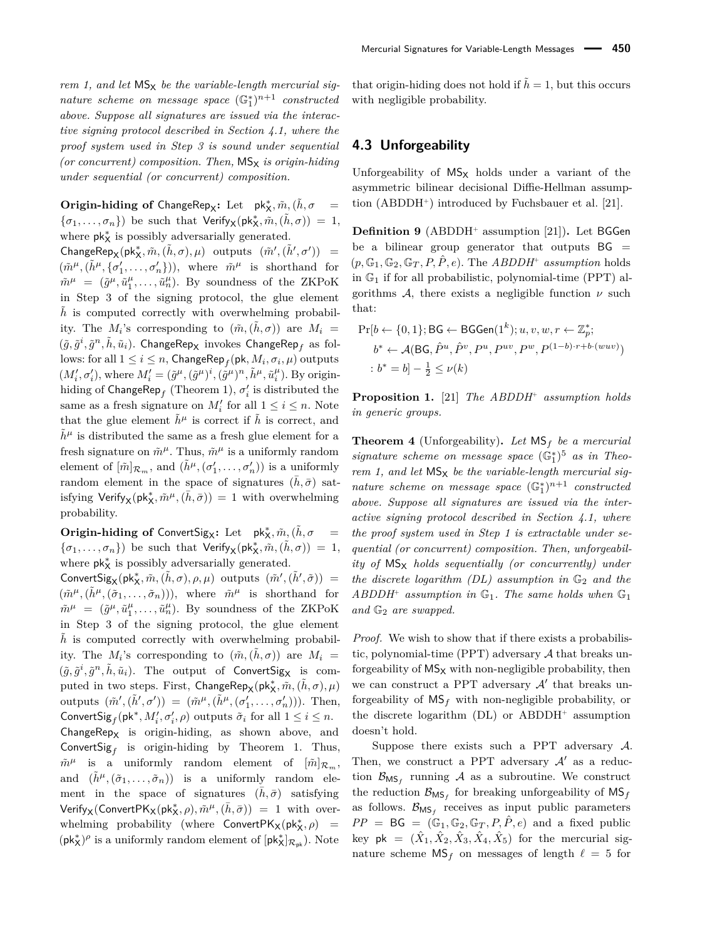*rem 1, and let*  $MS_X$  *be the variable-length mercurial sig-* $\emph{ nature scheme on message space } (\mathbb{G}_1^*)^{n+1} \enspace constructed$ *above. Suppose all signatures are issued via the interactive signing protocol described in Section 4.1, where the proof system used in Step 3 is sound under sequential (or concurrent) composition. Then,*  $MS_x$  *is origin-hiding under sequential (or concurrent) composition.*

 $\textbf{Original} \textbf{D} \textbf{D} \textbf{D} \textbf{D} \textbf{D} \textbf{D} \textbf{D} \textbf{D} \textbf{D} \textbf{D} \textbf{D} \textbf{D} \textbf{D} \textbf{D} \textbf{D} \textbf{D} \textbf{D} \textbf{D} \textbf{D} \textbf{D} \textbf{D} \textbf{D} \textbf{D} \textbf{D} \textbf{D} \textbf{D} \textbf{D} \textbf{D} \textbf{D} \textbf{D} \textbf{D} \textbf{D} \textbf{D} \textbf{D} \textbf{D} \textbf{$  ${\lbrace \sigma_1, \ldots, \sigma_n \rbrace}$  be such that  $Verify_{\mathsf{X}}(\mathsf{pk}_\mathsf{X}^*, \tilde{m}, \tilde{h}, \sigma) = 1$ , where  $pk_{X}^{*}$  is possibly adversarially generated.

 $\mathsf{ChangeRep}_{\mathsf{X}}(\mathsf{pk}_{\mathsf{X}}^*, \tilde{m}, (\tilde{h}, \sigma), \mu) \text{ outputs } (\tilde{m}', (\tilde{h}', \sigma')) =$  $(\tilde{m}^{\mu}, (\tilde{h}^{\mu}, {\sigma}'_1, \ldots, {\sigma}'_n))$ , where  $\tilde{m}^{\mu}$  is shorthand for  $\tilde{m}^{\mu} = (\tilde{g}^{\mu}, \tilde{u}_1^{\mu}, \dots, \tilde{u}_n^{\mu}).$  By soundness of the ZKPoK in Step 3 of the signing protocol, the glue element  $\tilde{h}$  is computed correctly with overwhelming probability. The  $M_i$ 's corresponding to  $(\tilde{m}, (\tilde{h}, \sigma))$  are  $M_i =$  $(\tilde{g}, \tilde{g}^i, \tilde{g}^n, \tilde{h}, \tilde{u}_i)$ . ChangeRep<sub>X</sub> invokes ChangeRep<sub>f</sub> as fol- $\text{rows: for all } 1 \leq i \leq n, \text{ChangeRep}_f(\textsf{pk}, M_i, \sigma_i, \mu) \text{ outputs}$  $(M_i', \sigma_i'),$  where  $M_i' = (\tilde{g}^{\mu}, (\tilde{g}^{\mu})^i, (\tilde{g}^{\mu})^n, \tilde{h}^{\mu}, \tilde{u}_i^{\mu}).$  By originhiding of  $\mathsf{ChangeRep}_f$  (Theorem 1),  $\sigma'_i$  is distributed the same as a fresh signature on  $M'_i$  for all  $1 \leq i \leq n$ . Note that the glue element  $\tilde{h}^{\mu}$  is correct if  $\tilde{h}$  is correct, and  $\tilde{h}^{\mu}$  is distributed the same as a fresh glue element for a fresh signature on  $\tilde{m}^{\mu}$ . Thus,  $\tilde{m}^{\mu}$  is a uniformly random element of  $[\tilde{m}]_{\mathcal{R}_m}$ , and  $(\tilde{h}^{\mu}, (\sigma'_1, \ldots, \sigma'_n))$  is a uniformly random element in the space of signatures  $(\bar{h}, \bar{\sigma})$  satisfying  $Verify_X(\mathsf{pk}_X^*, \tilde{m}^{\mu}, (\bar{h}, \bar{\sigma})) = 1$  with overwhelming probability.

 $\textbf{Original} \textbf{D} \textbf{D} \textbf{D} \textbf{D} \textbf{D} \textbf{D} \textbf{D} \textbf{D} \textbf{D} \textbf{D} \textbf{D} \textbf{D} \textbf{D} \textbf{D} \textbf{D} \textbf{D} \textbf{D} \textbf{D} \textbf{D} \textbf{D} \textbf{D} \textbf{D} \textbf{D} \textbf{D} \textbf{D} \textbf{D} \textbf{D} \textbf{D} \textbf{D} \textbf{D} \textbf{D} \textbf{D} \textbf{D} \textbf{D} \textbf{D} \textbf{$  $\{\sigma_1,\ldots,\sigma_n\}$ ) be such that  $\mathsf{Verify}_\mathsf{X}(\mathsf{pk}_\mathsf{X}^*,\tilde{m},(\tilde{h},\sigma))\ =\ 1,$ where  $pk_{X}^{*}$  is possibly adversarially generated.

 $\mathsf{ConvertSig}_X(\mathsf{pk}_X^*, \tilde{m}, (\tilde{h}, \sigma), \rho, \mu) \text{ outputs } (\tilde{m}', (\tilde{h}', \tilde{\sigma})) =$  $(\tilde{m}^{\mu}, (\tilde{h}^{\mu}, (\tilde{\sigma}_1, \ldots, \tilde{\sigma}_n)))$ , where  $\tilde{m}^{\mu}$  is shorthand for  $\tilde{m}^{\mu} = (\tilde{g}^{\mu}, \tilde{u}_1^{\mu}, \dots, \tilde{u}_n^{\mu}).$  By soundness of the ZKPoK in Step 3 of the signing protocol, the glue element  $\tilde{h}$  is computed correctly with overwhelming probability. The  $M_i$ 's corresponding to  $(\tilde{m}, (\tilde{h}, \sigma))$  are  $M_i =$  $(\tilde{g}, \tilde{g}^i, \tilde{g}^n, \tilde{h}, \tilde{u}_i)$ . The output of ConvertSig<sub>X</sub> is com- $\text{puted in two steps. First, ChangeRep}_{\mathsf{X}}(\mathsf{pk}_\mathsf{X}^*, \tilde{m}, (\tilde{h}, \sigma), \mu)$ outputs  $(\tilde{m}', (\tilde{h}', \sigma')) = (\tilde{m}^{\mu}, (\tilde{h}^{\mu}, (\sigma'_{1}, \ldots, \sigma'_{n})))$ . Then,  $\text{ConvertSig}_{f}(\text{pk}^*, M'_{i}, \sigma'_{i}, \rho) \text{ outputs } \tilde{\sigma}_i \text{ for all } 1 \leq i \leq n.$  $ChangeRep_X$  is origin-hiding, as shown above, and  $\text{ConvertSig}_f$  is origin-hiding by Theorem 1. Thus,  $\tilde{m}^{\mu}$  is a uniformly random element of  $[\tilde{m}]_{\mathcal{R}_m}$ , and  $(h^{\mu}, (\tilde{\sigma}_1, \ldots, \tilde{\sigma}_n))$  is a uniformly random element in the space of signatures  $(\bar{h}, \bar{\sigma})$  satisfying  $Verify_{\mathsf{X}}(\mathsf{ConvertPK}_{\mathsf{X}}(\mathsf{pk}_{\mathsf{X}}^*, \rho), \tilde{m}^{\mu}, (\bar{h}, \bar{\sigma})) = 1$  with overwhelming probability (where ConvertPK<sub>X</sub>(pk<sup>\*</sup><sub>X</sub>, *ρ*) =  $(\mathsf{pk}_{\mathsf{X}}^*)^\rho$  is a uniformly random element of  $[\mathsf{pk}_{\mathsf{X}}^*]_{\mathcal{R}_{\mathsf{pk}}}).$  Note

that origin-hiding does not hold if  $\tilde{h} = 1$ , but this occurs with negligible probability.

### **4.3 Unforgeability**

Unforgeability of  $MS_X$  holds under a variant of the asymmetric bilinear decisional Diffie-Hellman assumption (ABDDH<sup>+</sup> ) introduced by Fuchsbauer et al. [21].

**Definition 9** (ABDDH<sup>+</sup> assumption [21])**.** Let BGGen be a bilinear group generator that outputs  $BG =$  $(p, \mathbb{G}_1, \mathbb{G}_2, \mathbb{G}_T, P, \hat{P}, e)$ . The *ABDDH*<sup>+</sup> assumption holds in  $\mathbb{G}_1$  if for all probabilistic, polynomial-time (PPT) algorithms  $A$ , there exists a negligible function  $\nu$  such that:

$$
\begin{aligned} \Pr[b \leftarrow \{0, 1\}; \mathsf{BG} \leftarrow \mathsf{BGGen}(1^k); u, v, w, r \leftarrow \mathbb{Z}_p^*; \\ b^* \leftarrow & \mathcal{A}(\mathsf{BG}, \hat{P}^u, \hat{P}^v, P^u, P^{uv}, P^w, P^{(1-b) \cdot r + b \cdot (wuv)}) \\ &\quad : b^* = b] - \frac{1}{2} \le \nu(k) \end{aligned}
$$

**Proposition 1.** [21] *The ABDDH*<sup>+</sup> *assumption holds in generic groups.*

**Theorem 4** (Unforgeability)**.** *Let* MS*<sup>f</sup> be a mercurial signature scheme on message space* (G<sup>∗</sup> 1 ) <sup>5</sup> *as in Theorem 1, and let*  $MS_X$  *be the variable-length mercurial sig-* $\mathit{nature~scheme~on~message~space}~(\mathbb{G}_1^*)^{n+1}~\mathit{constructed}$ *above. Suppose all signatures are issued via the interactive signing protocol described in Section 4.1, where the proof system used in Step 1 is extractable under sequential (or concurrent) composition. Then, unforgeability of*  $MS_x$  *holds sequentially (or concurrently) under the discrete logarithm (DL) assumption in*  $\mathbb{G}_2$  *and the ABDDH*<sup>+</sup> *assumption in* G1*. The same holds when* G<sup>1</sup> *and* G<sup>2</sup> *are swapped.*

*Proof.* We wish to show that if there exists a probabilistic, polynomial-time (PPT) adversary A that breaks unforgeability of  $\mathsf{MS}_\mathsf{X}$  with non-negligible probability, then we can construct a PPT adversary  $A'$  that breaks unforgeability of  $MS_f$  with non-negligible probability, or the discrete logarithm (DL) or ABDDH<sup>+</sup> assumption doesn't hold.

Suppose there exists such a PPT adversary  $A$ . Then, we construct a PPT adversary  $A'$  as a reduction  $\mathcal{B}_{\text{MS}_f}$  running A as a subroutine. We construct the reduction  $\mathcal{B}_{\mathsf{MS}_f}$  for breaking unforgeability of  $\mathsf{MS}_f$ as follows.  $\mathcal{B}_{\text{MS}_f}$  receives as input public parameters  $PP = BG = (\mathbb{G}_1, \mathbb{G}_2, \mathbb{G}_T, P, \hat{P}, e)$  and a fixed public  $\text{key pk} = (\hat{X}_1, \hat{X}_2, \hat{X}_3, \hat{X}_4, \hat{X}_5) \text{ for the mercurial sig-}$ nature scheme  $MS_f$  on messages of length  $\ell = 5$  for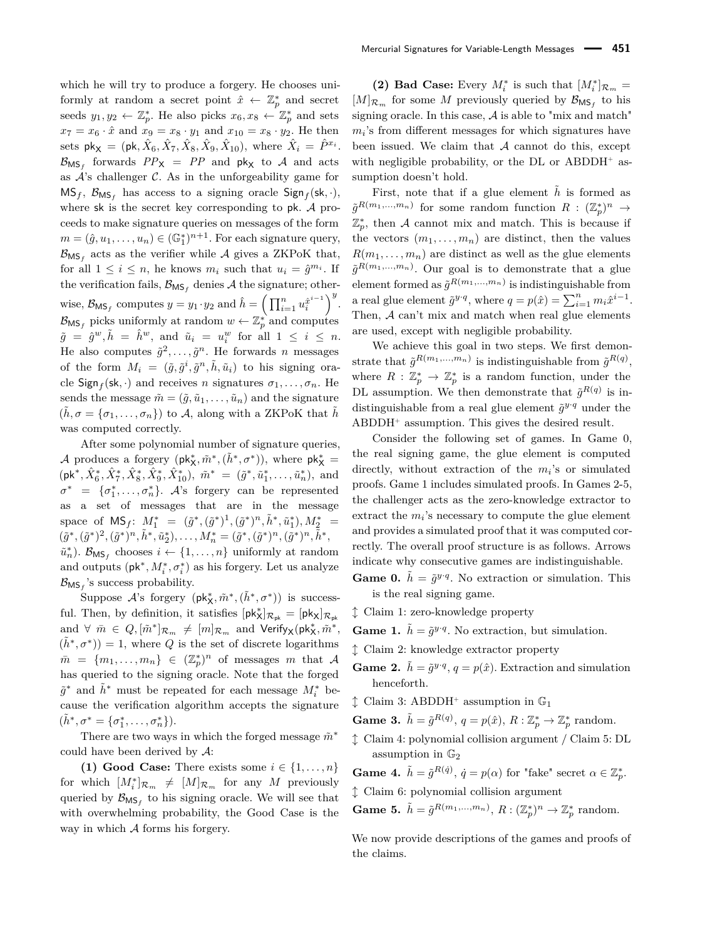which he will try to produce a forgery. He chooses uniformly at random a secret point  $\hat{x} \leftarrow \mathbb{Z}_p^*$  and secret seeds  $y_1, y_2 \leftarrow \mathbb{Z}_p^*$ . He also picks  $x_6, x_8 \leftarrow \mathbb{Z}_p^*$  and sets  $x_7 = x_6 \cdot \hat{x}$  and  $x_9 = x_8 \cdot y_1$  and  $x_{10} = x_8 \cdot y_2$ . He then sets  $pk_{X} = (pk, \hat{X}_6, \hat{X}_7, \hat{X}_8, \hat{X}_9, \hat{X}_{10}),$  where  $\hat{X}_i = \hat{P}^{x_i}$ .  $\mathcal{B}_{\mathsf{MS}_f}$  forwards  $PP_{\mathsf{X}} = PP$  and  $\mathsf{pk}_{\mathsf{X}}$  to A and acts as  $A$ 's challenger  $C$ . As in the unforgeability game for  $MS_f$ ,  $\mathcal{B}_{MS_f}$  has access to a signing oracle  $Sign_f Sk, \cdot)$ , where sk is the secret key corresponding to pk. A proceeds to make signature queries on messages of the form  $m = (\hat{g}, u_1, \dots, u_n) \in (\mathbb{G}_1^*)^{n+1}$ . For each signature query,  $\mathcal{B}_{\mathsf{MS}_f}$  acts as the verifier while  $\mathcal A$  gives a ZKPoK that, for all  $1 \leq i \leq n$ , he knows  $m_i$  such that  $u_i = \hat{g}^{m_i}$ . If the verification fails,  $\mathcal{B}_{\text{MS}_f}$  denies A the signature; otherwise,  $\mathcal{B}_{\mathsf{MS}_f}$  computes  $y = y_1 \cdot y_2$  and  $\hat{h} = \left(\prod_{i=1}^n u_i^{\hat{x}^{i-1}}\right)^y$ .  $\mathcal{B}_{\mathsf{MS}_f}$  picks uniformly at random  $w \leftarrow \mathbb{Z}_p^*$  and computes  $\tilde{g} = \hat{g}^w, \tilde{h} = \hat{h}^w$ , and  $\tilde{u}_i = u_i^w$  for all  $1 \le i \le n$ . He also computes  $\tilde{g}^2, \ldots, \tilde{g}^n$ . He forwards *n* messages of the form  $M_i = (\tilde{g}, \tilde{g}^i, \tilde{g}^n, \tilde{h}, \tilde{u}_i)$  to his signing oracle  $\textsf{Sign}_f(\textsf{sk}, \cdot)$  and receives *n* signatures  $\sigma_1, \ldots, \sigma_n$ . He sends the message  $\tilde{m} = (\tilde{g}, \tilde{u}_1, \dots, \tilde{u}_n)$  and the signature  $(h, \sigma = {\sigma_1, \ldots, \sigma_n})$  to A, along with a ZKPoK that  $\tilde{h}$ was computed correctly.

After some polynomial number of signature queries, *A* produces a forgery  $(\mathsf{pk}_{\mathsf{X}}^*, \tilde{m}^*, (\tilde{h}^*, \sigma^*))$ , where  $\mathsf{pk}_{\mathsf{X}}^* =$  $(\mathsf{pk}^*, \hat{X}_6^*, \hat{X}_7^*, \hat{X}_8^*, \hat{X}_9^*, \hat{X}_{10}^*), \quad \tilde{m}^* = (\tilde{g}^*, \tilde{u}_1^*, \dots, \tilde{u}_n^*), \text{ and}$  $\sigma^* = {\sigma_1^*, \ldots, \sigma_n^*}$ . A's forgery can be represented as a set of messages that are in the message space of  $MS_f$ :  $M_1^* = (\tilde{g}^*, (\tilde{g}^*)^1, (\tilde{g}^*)^n, \tilde{h}^*, \tilde{u}_1^*), M_2^* =$  $(\tilde{g}^*, (\tilde{g}^*)^2, (\tilde{g}^*)^n, \tilde{h}^*, \tilde{u}_2^*), \ldots, M_n^* = (\tilde{g}^*, (\tilde{g}^*)^n, (\tilde{g}^*)^n, \tilde{h}^*,$  $\tilde{u}_n^*$ ).  $\mathcal{B}_{\mathsf{MS}_f}$  chooses  $i \leftarrow \{1, \ldots, n\}$  uniformly at random and outputs  $(\mathsf{pk}^*, M^*_i, \sigma^*_i)$  as his forgery. Let us analyze  $\mathcal{B}_{\mathsf{MS}_f}$ 's success probability.

Suppose *A*'s forgery (pk<sup>\*</sup><sub>χ</sub>,  $\tilde{m}$ <sup>\*</sup>, ( $\tilde{h}$ <sup>\*</sup>, σ<sup>\*</sup>)) is successful. Then, by definition, it satisfies  $[pk_X^*]_{\mathcal{R}_{pk}} = [pk_X]_{\mathcal{R}_{pk}}$ and  $\forall \bar{m} \in Q, [\tilde{m}^*]_{\mathcal{R}_m} \neq [m]_{\mathcal{R}_m}$  and  $\text{Verify}_X(\text{pk}_X^*, \tilde{m}^*,$  $(\tilde{h}^*, \sigma^*)$  = 1, where *Q* is the set of discrete logarithms  $\bar{m} = \{m_1, \ldots, m_n\} \in (\mathbb{Z}_p^*)^n$  of messages *m* that A has queried to the signing oracle. Note that the forged  $\tilde{g}^*$  and  $\tilde{h}^*$  must be repeated for each message  $M_i^*$  because the verification algorithm accepts the signature  $(\tilde{h}^*, \sigma^* = {\sigma_1^*, \ldots, \sigma_n^*}).$ 

There are two ways in which the forged message  $\tilde{m}^*$ could have been derived by  $A$ :

**(1) Good Case:** There exists some  $i \in \{1, \ldots, n\}$ for which  $[M_i^*]_{\mathcal{R}_m} \neq [M]_{\mathcal{R}_m}$  for any *M* previously queried by  $\mathcal{B}_{\text{MS}_f}$  to his signing oracle. We will see that with overwhelming probability, the Good Case is the way in which  $A$  forms his forgery.

(2) Bad Case: Every  $M_i^*$  is such that  $[M_i^*]_{\mathcal{R}_m} =$  $[M]_{\mathcal{R}_m}$  for some M previously queried by  $\mathcal{B}_{\mathsf{MS}_f}$  to his signing oracle. In this case,  $A$  is able to "mix and match"  $m_i$ 's from different messages for which signatures have been issued. We claim that  $A$  cannot do this, except with negligible probability, or the  $DL$  or ABDDH<sup>+</sup> assumption doesn't hold.

First, note that if a glue element  $\tilde{h}$  is formed as  $\tilde{g}^{R(m_1,...,m_n)}$  for some random function  $R: (\mathbb{Z}_p^*)^n \to$  $\mathbb{Z}_p^*$ , then A cannot mix and match. This is because if the vectors  $(m_1, \ldots, m_n)$  are distinct, then the values  $R(m_1, \ldots, m_n)$  are distinct as well as the glue elements  $\tilde{g}^{R(m_1,...,m_n)}$ . Our goal is to demonstrate that a glue element formed as  $\tilde{g}^{R(m_1,...,m_n)}$  is indistinguishable from a real glue element  $\tilde{g}^{y \cdot q}$ , where  $q = p(\hat{x}) = \sum_{i=1}^{n} m_i \hat{x}^{i-1}$ . Then, A can't mix and match when real glue elements are used, except with negligible probability.

We achieve this goal in two steps. We first demonstrate that  $\tilde{g}^{R(m_1,...,m_n)}$  is indistinguishable from  $\tilde{g}^{R(q)}$ , where  $R : \mathbb{Z}_p^* \to \mathbb{Z}_p^*$  is a random function, under the DL assumption. We then demonstrate that  $\tilde{g}^{R(q)}$  is indistinguishable from a real glue element  $\tilde{g}^{y \cdot q}$  under the ABDDH<sup>+</sup> assumption. This gives the desired result.

Consider the following set of games. In Game 0, the real signing game, the glue element is computed directly, without extraction of the *m<sup>i</sup>* 's or simulated proofs. Game 1 includes simulated proofs. In Games 2-5, the challenger acts as the zero-knowledge extractor to extract the  $m_i$ 's necessary to compute the glue element and provides a simulated proof that it was computed correctly. The overall proof structure is as follows. Arrows indicate why consecutive games are indistinguishable.

- **Game 0.**  $\tilde{h} = \tilde{g}^{y \cdot q}$ . No extraction or simulation. This is the real signing game.
- l Claim 1: zero-knowledge property
- **Game 1.**  $\tilde{h} = \tilde{g}^{y \cdot q}$ . No extraction, but simulation.
- $\uparrow$  Claim 2: knowledge extractor property
- **Game 2.**  $\tilde{h} = \tilde{g}^{y \cdot q}, q = p(\hat{x})$ . Extraction and simulation henceforth.
- $\updownarrow$  Claim 3: ABDDH<sup>+</sup> assumption in  $\mathbb{G}_1$
- **Game 3.**  $\tilde{h} = \tilde{g}^{R(q)}$ ,  $q = p(\hat{x})$ ,  $R: \mathbb{Z}_p^* \to \mathbb{Z}_p^*$  random.
- $\updownarrow$  Claim 4: polynomial collision argument / Claim 5: DL assumption in  $\mathbb{G}_2$

**Game 4.**  $\tilde{h} = \tilde{g}^{R(\dot{q})}, \ \dot{q} = p(\alpha)$  for "fake" secret  $\alpha \in \mathbb{Z}_p^*$ .

l Claim 6: polynomial collision argument

**Game 5.**  $\tilde{h} = \tilde{g}^{R(m_1,...,m_n)}$ ,  $R: (\mathbb{Z}_p^*)^n \to \mathbb{Z}_p^*$  random.

We now provide descriptions of the games and proofs of the claims.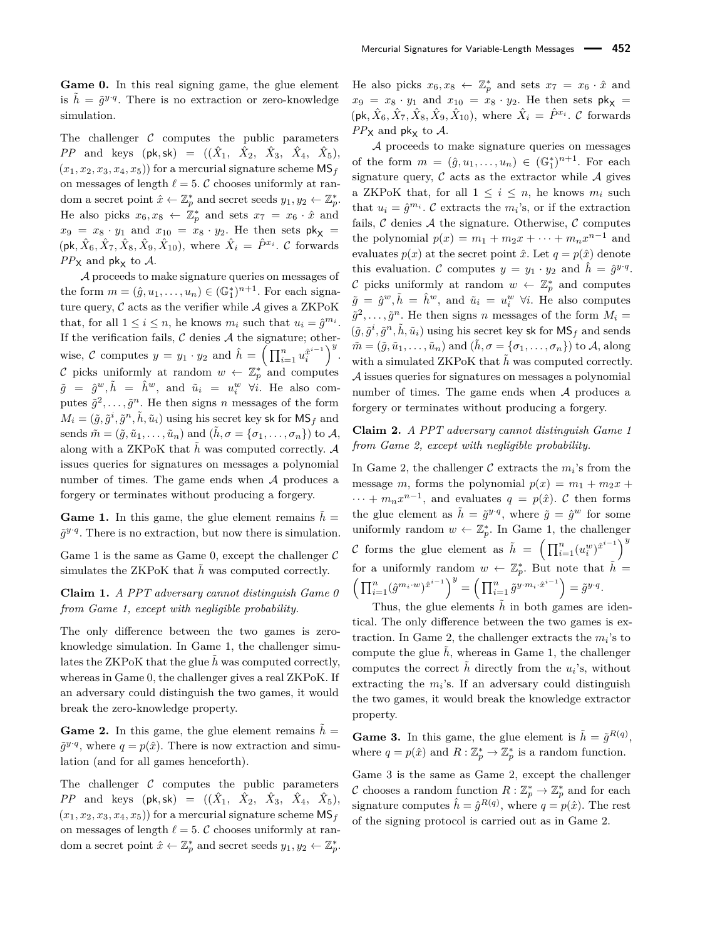**Game 0.** In this real signing game, the glue element is  $\tilde{h} = \tilde{g}^{y \cdot q}$ . There is no extraction or zero-knowledge simulation.

The challenger  $C$  computes the public parameters  $PP$  and keys (pk,sk) =  $((\hat{X}_1, \hat{X}_2, \hat{X}_3, \hat{X}_4, \hat{X}_5),$  $(x_1, x_2, x_3, x_4, x_5)$  for a mercurial signature scheme  $\text{MS}_f$ on messages of length  $\ell = 5$ . C chooses uniformly at random a secret point  $\hat{x} \leftarrow \mathbb{Z}_p^*$  and secret seeds  $y_1, y_2 \leftarrow \mathbb{Z}_p^*$ . He also picks  $x_6, x_8 \leftarrow \mathbb{Z}_p^*$  and sets  $x_7 = x_6 \cdot \hat{x}$  and  $x_9 = x_8 \cdot y_1$  and  $x_{10} = x_8 \cdot y_2$ . He then sets  $\mathsf{pk}_{\mathsf{X}} =$  $(\mathsf{pk}, \hat{X}_6, \hat{X}_7, \hat{X}_8, \hat{X}_9, \hat{X}_{10}), \text{ where } \hat{X}_i = \hat{P}^{x_i}$ . C forwards  $PP$ <sub>X</sub> and pk<sub>x</sub> to A.

A proceeds to make signature queries on messages of the form  $m = (\hat{g}, u_1, \dots, u_n) \in (\mathbb{G}_1^*)^{n+1}$ . For each signature query,  $\mathcal C$  acts as the verifier while  $\mathcal A$  gives a ZKPoK that, for all  $1 \leq i \leq n$ , he knows  $m_i$  such that  $u_i = \hat{g}^{m_i}$ . If the verification fails,  $\mathcal C$  denies  $\mathcal A$  the signature; otherwise, C computes  $y = y_1 \cdot y_2$  and  $\hat{h} = \left(\prod_{i=1}^n u_i^{\hat{x}^{i-1}}\right)^y$ . C picks uniformly at random  $w \leftarrow \mathbb{Z}_p^*$  and computes  $\tilde{g} = \hat{g}^w, \tilde{h} = \hat{h}^w$ , and  $\tilde{u}_i = u_i^w$   $\forall i$ . He also computes  $\tilde{g}^2, \ldots, \tilde{g}^n$ . He then signs *n* messages of the form  $M_i = (\tilde{g}, \tilde{g}^i, \tilde{g}^n, \tilde{h}, \tilde{u}_i)$  using his secret key sk for  $\textsf{MS}_f$  and sends  $\tilde{m} = (\tilde{g}, \tilde{u}_1, \dots, \tilde{u}_n)$  and  $(\tilde{h}, \sigma = {\sigma_1, \dots, \sigma_n})$  to A, along with a ZKPoK that  $\tilde{h}$  was computed correctly.  $A$ issues queries for signatures on messages a polynomial number of times. The game ends when  $A$  produces a forgery or terminates without producing a forgery.

**Game 1.** In this game, the glue element remains  $\tilde{h}$  =  $\tilde{g}^{y \cdot q}$ . There is no extraction, but now there is simulation.

Game 1 is the same as Game 0, except the challenger  $\mathcal C$ simulates the ZKPoK that  $\tilde{h}$  was computed correctly.

**Claim 1.** *A PPT adversary cannot distinguish Game 0 from Game 1, except with negligible probability.*

The only difference between the two games is zeroknowledge simulation. In Game 1, the challenger simulates the ZKPoK that the glue  $\tilde{h}$  was computed correctly, whereas in Game 0, the challenger gives a real ZKPoK. If an adversary could distinguish the two games, it would break the zero-knowledge property.

**Game 2.** In this game, the glue element remains  $\tilde{h}$  =  $\tilde{g}^{y \cdot q}$ , where  $q = p(\hat{x})$ . There is now extraction and simulation (and for all games henceforth).

The challenger  $C$  computes the public parameters  $PP$  and keys (pk,sk) =  $((\hat{X}_1, \hat{X}_2, \hat{X}_3, \hat{X}_4, \hat{X}_5),$  $(x_1, x_2, x_3, x_4, x_5)$  for a mercurial signature scheme  $\text{MS}_f$ on messages of length  $\ell = 5$ . C chooses uniformly at random a secret point  $\hat{x} \leftarrow \mathbb{Z}_p^*$  and secret seeds  $y_1, y_2 \leftarrow \mathbb{Z}_p^*$ .

He also picks  $x_6, x_8 \leftarrow \mathbb{Z}_p^*$  and sets  $x_7 = x_6 \cdot \hat{x}$  and  $x_9 = x_8 \cdot y_1$  and  $x_{10} = x_8 \cdot y_2$ . He then sets  $\mathsf{pk}_{\mathsf{X}} =$  $(\mathsf{pk}, \hat{X}_6, \hat{X}_7, \hat{X}_8, \hat{X}_9, \hat{X}_{10}), \text{ where } \hat{X}_i = \hat{P}^{x_i}$ . C forwards  $PP$ <sub>X</sub> and pk<sub>X</sub> to A.

A proceeds to make signature queries on messages of the form  $m = (\hat{g}, u_1, \dots, u_n) \in (\mathbb{G}_1^*)^{n+1}$ . For each signature query,  $\mathcal C$  acts as the extractor while  $\mathcal A$  gives a ZKPoK that, for all  $1 \leq i \leq n$ , he knows  $m_i$  such that  $u_i = \hat{g}^{m_i}$ .  $C$  extracts the  $m_i$ 's, or if the extraction fails,  $\mathcal C$  denies  $\mathcal A$  the signature. Otherwise,  $\mathcal C$  computes the polynomial  $p(x) = m_1 + m_2x + \cdots + m_nx^{n-1}$  and evaluates  $p(x)$  at the secret point  $\hat{x}$ . Let  $q = p(\hat{x})$  denote this evaluation. C computes  $y = y_1 \cdot y_2$  and  $\hat{h} = \hat{g}^{y \cdot q}$ . C picks uniformly at random  $w \leftarrow \mathbb{Z}_p^*$  and computes  $\tilde{g} = \hat{g}^w, \tilde{h} = \hat{h}^w$ , and  $\tilde{u}_i = u_i^w$   $\forall i$ . He also computes  $\tilde{g}^2, \ldots, \tilde{g}^n$ . He then signs *n* messages of the form  $M_i =$  $(\tilde{g}, \tilde{g}^i, \tilde{g}^n, \tilde{h}, \tilde{u}_i)$  using his secret key sk for  $\textsf{MS}_f$  and sends  $\tilde{m} = (\tilde{g}, \tilde{u}_1, \dots, \tilde{u}_n)$  and  $(\tilde{h}, \sigma = {\sigma_1, \dots, \sigma_n})$  to A, along with a simulated ZKPoK that  $\tilde{h}$  was computed correctly. A issues queries for signatures on messages a polynomial number of times. The game ends when  $A$  produces a forgery or terminates without producing a forgery.

#### **Claim 2.** *A PPT adversary cannot distinguish Game 1 from Game 2, except with negligible probability.*

In Game 2, the challenger  $C$  extracts the  $m_i$ 's from the message *m*, forms the polynomial  $p(x) = m_1 + m_2x +$  $\cdots + m_n x^{n-1}$ , and evaluates  $q = p(\hat{x})$ . C then forms the glue element as  $\tilde{h} = \tilde{g}^{y \cdot q}$ , where  $\tilde{g} = \hat{g}^w$  for some uniformly random  $w \leftarrow \mathbb{Z}_p^*$ . In Game 1, the challenger C forms the glue element as  $\tilde{h} = \left(\prod_{i=1}^n (u_i^w)^{\hat{x}^{i-1}}\right)^y$ for a uniformly random  $w \leftarrow \mathbb{Z}_p^*$ . But note that  $\tilde{h} =$  $\left(\prod_{i=1}^n (\hat{g}^{m_i \cdot w})^{\hat{x}^{i-1}}\right)^y = \left(\prod_{i=1}^n \tilde{g}^{y \cdot m_i \cdot \hat{x}^{i-1}}\right) = \tilde{g}^{y \cdot q}.$ 

Thus, the glue elements  $\tilde{h}$  in both games are identical. The only difference between the two games is extraction. In Game 2, the challenger extracts the  $m_i$ 's to compute the glue  $\tilde{h}$ , whereas in Game 1, the challenger computes the correct  $\tilde{h}$  directly from the  $u_i$ 's, without extracting the  $m_i$ 's. If an adversary could distinguish the two games, it would break the knowledge extractor property.

**Game 3.** In this game, the glue element is  $\tilde{h} = \tilde{g}^{R(q)}$ , where  $q = p(\hat{x})$  and  $R: \mathbb{Z}_p^* \to \mathbb{Z}_p^*$  is a random function.

Game 3 is the same as Game 2, except the challenger C chooses a random function  $R: \mathbb{Z}_p^* \to \mathbb{Z}_p^*$  and for each signature computes  $\hat{h} = \hat{g}^{R(q)}$ , where  $q = p(\hat{x})$ . The rest of the signing protocol is carried out as in Game 2.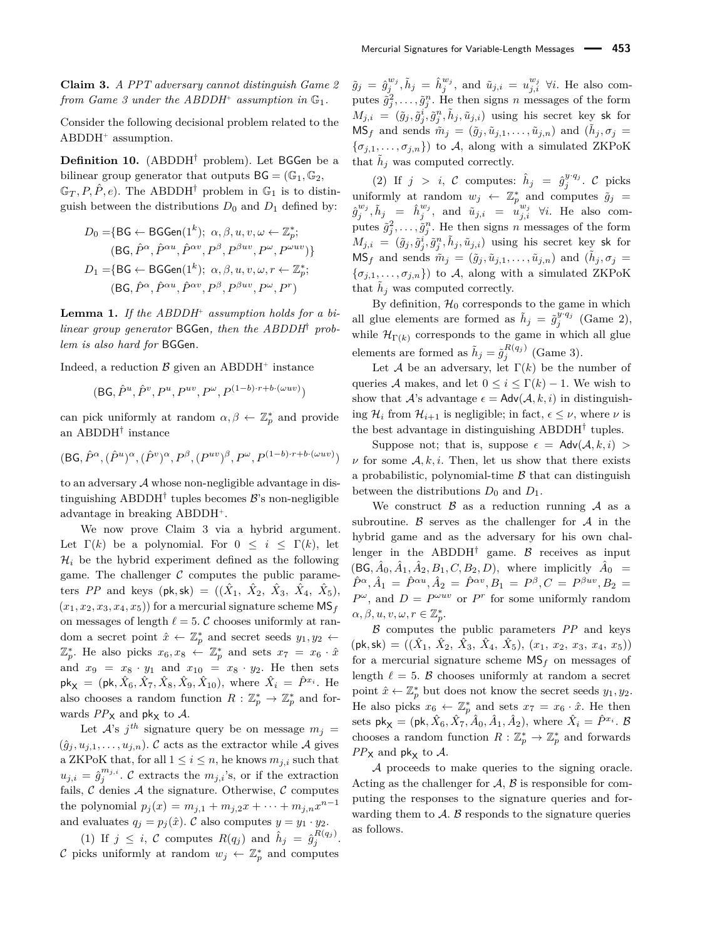**Claim 3.** *A PPT adversary cannot distinguish Game 2* from Game 3 under the ABDDH<sup>+</sup> assumption in  $\mathbb{G}_1$ .

Consider the following decisional problem related to the ABDDH<sup>+</sup> assumption.

**Definition 10.** (ABDDH† problem). Let BGGen be a bilinear group generator that outputs  $BG = (\mathbb{G}_1, \mathbb{G}_2,$ 

 $\mathbb{G}_T, P, \hat{P}, e$ ). The ABDDH<sup>†</sup> problem in  $\mathbb{G}_1$  is to distinguish between the distributions  $D_0$  and  $D_1$  defined by:

$$
D_0 = \{ \text{BG} \leftarrow \text{BGGen}(1^k); \ \alpha, \beta, u, v, \omega \leftarrow \mathbb{Z}_p^*; \\ (\text{BG}, \hat{P}^{\alpha}, \hat{P}^{\alpha u}, \hat{P}^{\alpha v}, P^{\beta}, P^{\beta u v}, P^{\omega}, P^{\omega u v}) \}
$$
\n
$$
D_1 = \{ \text{BG} \leftarrow \text{BGGen}(1^k); \ \alpha, \beta, u, v, \omega, r \leftarrow \mathbb{Z}_p^*; \\ (\text{BG}, \hat{P}^{\alpha}, \hat{P}^{\alpha u}, \hat{P}^{\alpha v}, P^{\beta}, P^{\beta u v}, P^{\omega}, P^r)
$$

**Lemma 1.** *If the ABDDH*<sup>+</sup> *assumption holds for a bilinear group generator* BGGen*, then the ABDDH*† *problem is also hard for* BGGen*.*

Indeed, a reduction  $\beta$  given an ABDDH<sup>+</sup> instance

$$
(\mathsf{B}\mathsf{G}, \hat{P}^u, \hat{P}^v, P^u, P^{uv}, P^\omega, P^{(1-b)\cdot r+b\cdot(\omega uv)})
$$

can pick uniformly at random  $\alpha, \beta \leftarrow \mathbb{Z}_p^*$  and provide an ABDDH† instance

$$
(\mathsf{B}\mathsf{G},\hat{P}^\alpha,(\hat{P}^u)^\alpha,(\hat{P}^v)^\alpha,P^\beta,(P^{uv})^\beta,P^\omega,P^{(1-b)\cdot r+b\cdot(\omega uv)})
$$

to an adversary A whose non-negligible advantage in distinguishing ABDDH<sup>†</sup> tuples becomes  $\mathcal{B}$ 's non-negligible advantage in breaking ABDDH<sup>+</sup> .

We now prove Claim 3 via a hybrid argument. Let  $\Gamma(k)$  be a polynomial. For  $0 \leq i \leq \Gamma(k)$ , let  $\mathcal{H}_i$  be the hybrid experiment defined as the following game. The challenger  $\mathcal C$  computes the public parameters *PP* and keys (pk,sk) =  $((\hat{X}_1, \hat{X}_2, \hat{X}_3, \hat{X}_4, \hat{X}_5),$  $(x_1, x_2, x_3, x_4, x_5)$  for a mercurial signature scheme  $\text{MS}_f$ on messages of length  $\ell = 5$ . C chooses uniformly at random a secret point  $\hat{x} \leftarrow \mathbb{Z}_p^*$  and secret seeds  $y_1, y_2 \leftarrow$  $\mathbb{Z}_p^*$ . He also picks  $x_6, x_8 \leftarrow \mathbb{Z}_p^*$  and sets  $x_7 = x_6 \cdot \hat{x}$ and  $x_9 = x_8 \cdot y_1$  and  $x_{10} = x_8 \cdot y_2$ . He then sets  $pk_{X}$  = (pk,  $\hat{X}_6$ ,  $\hat{X}_7$ ,  $\hat{X}_8$ ,  $\hat{X}_9$ ,  $\hat{X}_{10}$ ), where  $\hat{X}_i$  =  $\hat{P}^{x_i}$ . He also chooses a random function  $R: \mathbb{Z}_p^* \to \mathbb{Z}_p^*$  and forwards  $PP<sub>X</sub>$  and pk<sub>X</sub> to A.

Let  $A$ 's  $j$ <sup>th</sup> signature query be on message  $m_j =$  $(\hat{g}_j, u_{j,1}, \ldots, u_{j,n})$ . C acts as the extractor while A gives a ZKPoK that, for all  $1 \leq i \leq n$ , he knows  $m_{j,i}$  such that  $u_{j,i} = \hat{g}_j^{m_{j,i}}$ . C extracts the  $m_{j,i}$ 's, or if the extraction fails,  $\mathcal C$  denies  $\mathcal A$  the signature. Otherwise,  $\mathcal C$  computes the polynomial  $p_j(x) = m_{j,1} + m_{j,2}x + \cdots + m_{j,n}x^{n-1}$ and evaluates  $q_j = p_j(\hat{x})$ . C also computes  $y = y_1 \cdot y_2$ .

(1) If  $j \leq i$ , C computes  $R(q_j)$  and  $\hat{h}_j = \hat{g}_j^{R(q_j)}$ . C picks uniformly at random  $w_j \leftarrow \mathbb{Z}_p^*$  and computes

 $\tilde{g}_j = \hat{g}_j^{w_j}, \tilde{h}_j = \hat{h}_j^{w_j}, \text{ and } \tilde{u}_{j,i} = u_{j,i}^{w_j} \forall i. \text{ He also com-}$ putes  $\tilde{g}_j^2, \ldots, \tilde{g}_j^n$ . He then signs *n* messages of the form  $M_{j,i} = (\tilde{g}_j, \tilde{g}_j^i, \tilde{g}_j^n, \tilde{h}_j, \tilde{u}_{j,i})$  using his secret key sk for  $MS_f$  and sends  $\tilde{m}_j = (\tilde{g}_j, \tilde{u}_{j,1}, \dots, \tilde{u}_{j,n})$  and  $(\tilde{h}_j, \sigma_j)$  $\{\sigma_{j,1},\ldots,\sigma_{j,n}\}\)$  to A, along with a simulated ZKPoK that  $\tilde{h}_j$  was computed correctly.

(2) If  $j > i$ , C computes:  $\hat{h}_j = \hat{g}_j^{y \cdot q_j}$ . C picks uniformly at random  $w_j \leftarrow \mathbb{Z}_p^*$  and computes  $\tilde{g}_j =$  $\hat{g}^{w_j}_{j}, \tilde{h}_j = \hat{h}^{w_j}_{j}, \text{ and } \tilde{u}_{j,i} = \tilde{u}^{w_j}_{j,i} \ \forall i. \text{ He also com-}$ putes  $\tilde{g}_j^2, \ldots, \tilde{g}_j^n$ . He then signs *n* messages of the form  $M_{j,i} = (\tilde{g}_j, \tilde{g}_j^i, \tilde{g}_j^n, \tilde{h}_j, \tilde{u}_{j,i})$  using his secret key sk for  $MS_f$  and sends  $\tilde{m}_j = (\tilde{g}_j, \tilde{u}_{j,1}, \dots, \tilde{u}_{j,n})$  and  $(\tilde{h}_j, \sigma_j)$  $\{\sigma_{j,1},\ldots,\sigma_{j,n}\}\)$  to A, along with a simulated ZKPoK that  $\tilde{h}_j$  was computed correctly.

By definition,  $\mathcal{H}_0$  corresponds to the game in which all glue elements are formed as  $\tilde{h}_j = \tilde{g}_j^{y \cdot q_j}$  (Game 2), while  $\mathcal{H}_{\Gamma(k)}$  corresponds to the game in which all glue elements are formed as  $\tilde{h}_j = \tilde{g}_j^{R(q_j)}$  (Game 3).

Let A be an adversary, let  $\Gamma(k)$  be the number of queries A makes, and let  $0 \leq i \leq \Gamma(k) - 1$ . We wish to show that A's advantage  $\epsilon = \mathsf{Adv}(\mathcal{A}, k, i)$  in distinguishing  $\mathcal{H}_i$  from  $\mathcal{H}_{i+1}$  is negligible; in fact,  $\epsilon \leq \nu$ , where  $\nu$  is the best advantage in distinguishing ABDDH† tuples.

Suppose not; that is, suppose  $\epsilon = \text{Adv}(\mathcal{A}, k, i)$  $\nu$  for some  $A, k, i$ . Then, let us show that there exists a probabilistic, polynomial-time  $\beta$  that can distinguish between the distributions  $D_0$  and  $D_1$ .

We construct  $\beta$  as a reduction running  $\beta$  as a subroutine.  $\beta$  serves as the challenger for  $\mathcal A$  in the hybrid game and as the adversary for his own challenger in the ABDDH<sup>†</sup> game.  $\beta$  receives as input  $(BG, \hat{A}_0, \hat{A}_1, \hat{A}_2, B_1, C, B_2, D),$  where implicitly  $\hat{A}_0 =$  $\hat{P}^{\alpha}, \hat{A}_1 = \hat{P}^{\alpha u}, \hat{A}_2 = \hat{P}^{\alpha v}, B_1 = P^{\beta}, C = P^{\beta u v}, B_2 =$  $P^{\omega}$ , and  $D = P^{\omega uv}$  or  $P^r$  for some uniformly random  $\alpha, \beta, u, v, \omega, r \in \mathbb{Z}_p^*$ .

B computes the public parameters *PP* and keys  $(\mathsf{pk}, \mathsf{sk}) = ((\hat{X}_1, \hat{X}_2, \hat{X}_3, \hat{X}_4, \hat{X}_5), (x_1, x_2, x_3, x_4, x_5))$ for a mercurial signature scheme  $MS_f$  on messages of length  $\ell = 5$ . B chooses uniformly at random a secret point  $\hat{x} \leftarrow \mathbb{Z}_p^*$  but does not know the secret seeds  $y_1, y_2$ . He also picks  $x_6 \leftarrow \mathbb{Z}_p^*$  and sets  $x_7 = x_6 \cdot \hat{x}$ . He then sets  $pk_X = (pk, \hat{X}_6, \hat{X}_7, \hat{A}_0, \hat{A}_1, \hat{A}_2)$ , where  $\hat{X}_i = \hat{P}^{x_i}$ . B chooses a random function  $R: \mathbb{Z}_p^* \to \mathbb{Z}_p^*$  and forwards  $PP<sub>X</sub>$  and pk<sub>X</sub> to A.

A proceeds to make queries to the signing oracle. Acting as the challenger for  $A, B$  is responsible for computing the responses to the signature queries and forwarding them to  $A$ .  $B$  responds to the signature queries as follows.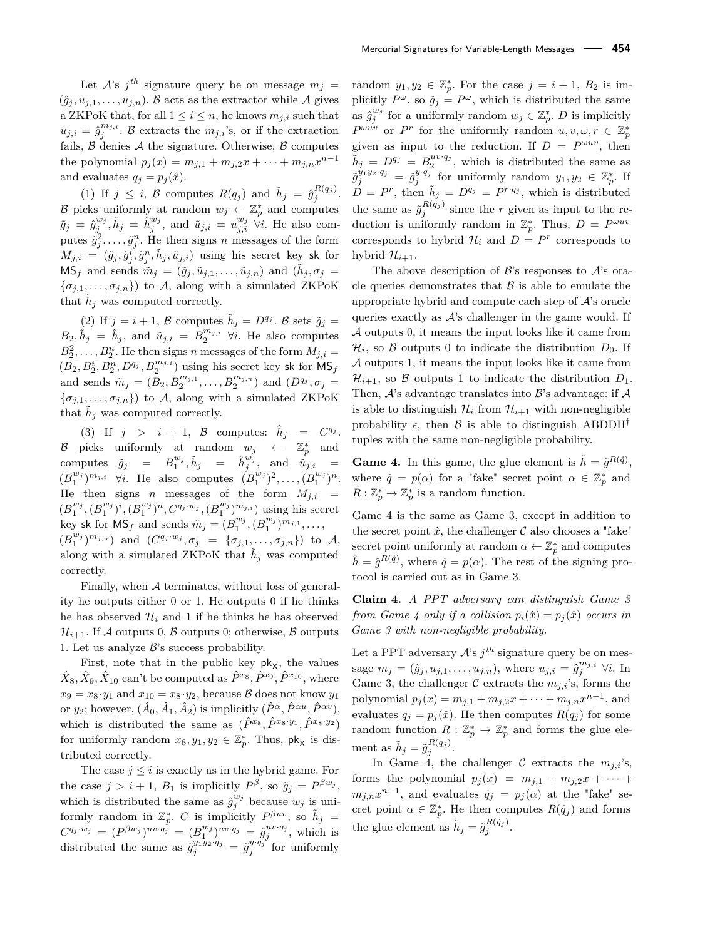Let  $A$ 's  $j$ <sup>th</sup> signature query be on message  $m_j =$  $(\hat{g}_j, u_{j,1}, \ldots, u_{j,n})$ . B acts as the extractor while A gives a ZKPoK that, for all  $1 \leq i \leq n$ , he knows  $m_{j,i}$  such that  $u_{j,i} = \hat{g}_j^{m_{j,i}}$ . B extracts the  $m_{j,i}$ 's, or if the extraction fails,  $\beta$  denies  $\mathcal A$  the signature. Otherwise,  $\beta$  computes the polynomial  $p_j(x) = m_{j,1} + m_{j,2}x + \cdots + m_{j,n}x^{n-1}$ and evaluates  $q_j = p_j(\hat{x})$ .

(1) If  $j \leq i$ ,  $\beta$  computes  $R(q_j)$  and  $\hat{h}_j = \hat{g}_j^{R(q_j)}$ . B picks uniformly at random  $w_j \leftarrow \mathbb{Z}_p^*$  and computes  $\tilde{g}_j = \hat{g}_j^{w_j}, \tilde{h}_j = \hat{h}_j^{w_j}, \text{ and } \tilde{u}_{j,i} = u_{j,i}^{w_j} \quad \forall i. \text{ He also com-}$ putes  $\tilde{g}_j^2, \ldots, \tilde{g}_j^n$ . He then signs *n* messages of the form  $M_{j,i} = (\tilde{g}_j, \tilde{g}_j^i, \tilde{g}_j^n, \tilde{h}_j, \tilde{u}_{j,i})$  using his secret key sk for  $MS_f$  and sends  $\tilde{m}_j = (\tilde{g}_j, \tilde{u}_{j,1}, \dots, \tilde{u}_{j,n})$  and  $(\tilde{h}_j, \sigma_j)$  $\{\sigma_{j,1},\ldots,\sigma_{j,n}\}\)$  to A, along with a simulated ZKPoK that  $\tilde{h}_j$  was computed correctly.

(2) If  $j = i + 1$ ,  $\beta$  computes  $\hat{h}_j = D^{q_j}$ .  $\beta$  sets  $\tilde{g}_j =$  $B_2, \tilde{h}_j = \hat{h}_j$ , and  $\tilde{u}_{j,i} = B_2^{m_{j,i}}$   $\forall i$ . He also computes  $B_2^2, \ldots, B_2^n$ . He then signs *n* messages of the form  $M_{j,i} =$  $(B_2, B_2^i, B_2^n, D^{q_j}, B_2^{m_{j,i}})$  using his secret key sk for  $\overline{\mathsf{MS}}_f$ and sends  $\tilde{m}_j = (\tilde{B}_2, B_2^{m_{j,1}}, \ldots, B_2^{m_{j,n}})$  and  $(D^{q_j}, \sigma_j =$  ${\lbrace \sigma_{j,1}, \ldots, \sigma_{j,n} \rbrace}$  to A, along with a simulated ZKPoK that  $\tilde{h}_j$  was computed correctly.

(3) If  $j > i + 1$ , B computes:  $\hat{h}_j = C^{q_j}$ . B picks uniformly at random  $w_j \leftarrow \mathbb{Z}_p^*$  and  $\lim_{M \to \infty} \tilde{g}_j = B_1^{w_j}, \tilde{h}_j = \hat{h}_j^{w_j}, \text{ and } \tilde{u}_{j,i} = \frac{1}{2}$  $(B_1^{w_j})^{m_{j,i}}$   $\forall i$ . He also computes  $(B_1^{w_j})^2, \ldots, (B_1^{w_j})^n$ . He then signs *n* messages of the form  $M_{j,i}$  =  $(B_1^{w_j}, (B_1^{w_j})^i, (B_1^{w_j})^n, C^{q_j \cdot w_j}, (B_1^{w_j})^{m_{j,i}})$  using his secret key sk for  $\text{MS}_f$  and sends  $\tilde{m}_j = (B_1^{w_j}, (B_1^{w_j})^{m_{j,1}}, \dots,$  $(B_1^{w_j})^{m_{j,n}}$  and  $(C^{q_j \cdot w_j}, \sigma_j = {\sigma_{j,1}, \ldots, \sigma_{j,n}})$  to A, along with a simulated ZKPoK that  $\tilde{h}_j$  was computed correctly.

Finally, when A terminates, without loss of generality he outputs either 0 or 1. He outputs 0 if he thinks he has observed  $\mathcal{H}_i$  and 1 if he thinks he has observed  $\mathcal{H}_{i+1}$ . If A outputs 0, B outputs 0; otherwise, B outputs 1. Let us analyze  $\mathcal{B}$ 's success probability.

First, note that in the public key  $pk_{X}$ , the values  $\hat{X}_8, \hat{X}_9, \hat{X}_{10}$  can't be computed as  $\hat{P}^{x_8}, \hat{P}^{x_9}, \hat{P}^{x_{10}},$  where  $x_9 = x_8 \cdot y_1$  and  $x_{10} = x_8 \cdot y_2$ , because B does not know  $y_1$ or *y*<sub>2</sub>; however,  $(\hat{A}_0, \hat{A}_1, \hat{A}_2)$  is implicitly  $(\hat{P}^{\alpha}, \hat{P}^{\alpha u}, \hat{P}^{\alpha v})$ , which is distributed the same as  $(\hat{P}^{x_8}, \hat{P}^{x_8 \cdot y_1}, \hat{P}^{x_8 \cdot y_2})$ for uniformly random  $x_8, y_1, y_2 \in \mathbb{Z}_p^*$ . Thus,  $\mathsf{pk}_\mathsf{X}$  is distributed correctly.

The case  $j \leq i$  is exactly as in the hybrid game. For the case  $j > i + 1$ ,  $B_1$  is implicitly  $P^{\beta}$ , so  $\tilde{g}_j = P^{\beta w_j}$ , which is distributed the same as  $\hat{g}_j^{w_j}$  because  $w_j$  is uniformly random in  $\mathbb{Z}_p^*$ . *C* is implicitly  $P^{\beta uv}$ , so  $\tilde{h}_j =$  $C^{q_j \tcdot w_j} = (P^{\beta w_j})^{uv \tcdot q_j} = (B_1^{w_j})^{uv \tcdot q_j} = \tilde{g}_j^{uv \tcdot q_j}$ , which is distributed the same as  $\tilde{g}_j^{y_1 \overline{y}_2 \cdot q_j} = \tilde{g}_j^{y \cdot q_j}$  for uniformly

random  $y_1, y_2 \in \mathbb{Z}_p^*$ . For the case  $j = i + 1$ ,  $B_2$  is implicitly  $P^{\omega}$ , so  $\tilde{g}_j = P^{\omega}$ , which is distributed the same as  $\hat{g}_j^{w_j}$  for a uniformly random  $w_j \in \mathbb{Z}_p^*$ . *D* is implicitly  $P^{\omega u v}$  or  $P^r$  for the uniformly random  $u, v, \omega, r \in \mathbb{Z}_p^*$ given as input to the reduction. If  $D = P^{\omega uv}$ , then  $\tilde{h}_j = D^{q_j} = B_2^{uv \cdot q_j}$ , which is distributed the same as  $\tilde{g}^{y_1y_2\cdot q_j}_{j} = \tilde{g}^{y\cdot q_j}_{j}$  for uniformly random  $y_1, y_2 \in \mathbb{Z}_p^*$ . If  $\tilde{D} = P^r$ , then  $\tilde{h}_j = D^{q_j} = P^{r \cdot q_j}$ , which is distributed the same as  $\tilde{g}_j^{R(q_j)}$  since the *r* given as input to the reduction is uniformly random in  $\mathbb{Z}_p^*$ . Thus,  $D = P^{\omega u v}$ corresponds to hybrid  $\mathcal{H}_i$  and  $D = P^r$  corresponds to hybrid  $\mathcal{H}_{i+1}$ .

The above description of  $\mathcal{B}$ 's responses to  $\mathcal{A}$ 's oracle queries demonstrates that  $\beta$  is able to emulate the appropriate hybrid and compute each step of  $A$ 's oracle queries exactly as  $A$ 's challenger in the game would. If A outputs 0, it means the input looks like it came from  $\mathcal{H}_i$ , so  $\mathcal B$  outputs 0 to indicate the distribution  $D_0$ . If A outputs 1, it means the input looks like it came from  $\mathcal{H}_{i+1}$ , so  $\beta$  outputs 1 to indicate the distribution  $D_1$ . Then,  $\mathcal{A}$ 's advantage translates into  $\mathcal{B}$ 's advantage: if  $\mathcal{A}$ is able to distinguish  $\mathcal{H}_i$  from  $\mathcal{H}_{i+1}$  with non-negligible probability  $\epsilon$ , then  $\beta$  is able to distinguish ABDDH<sup>†</sup> tuples with the same non-negligible probability.

**Game 4.** In this game, the glue element is  $\tilde{h} = \tilde{g}^{R(\dot{q})}$ , where  $\dot{q} = p(\alpha)$  for a "fake" secret point  $\alpha \in \mathbb{Z}_p^*$  and  $R: \mathbb{Z}_p^* \to \mathbb{Z}_p^*$  is a random function.

Game 4 is the same as Game 3, except in addition to the secret point  $\hat{x}$ , the challenger  $\mathcal C$  also chooses a "fake" secret point uniformly at random  $\alpha \leftarrow \mathbb{Z}_p^*$  and computes  $\hat{h} = \hat{g}^{R(\hat{q})}$ , where  $\hat{q} = p(\alpha)$ . The rest of the signing protocol is carried out as in Game 3.

**Claim 4.** *A PPT adversary can distinguish Game 3 from Game 4 only if a collision*  $p_i(\hat{x}) = p_j(\hat{x})$  *occurs in Game 3 with non-negligible probability.*

Let a PPT adversary  $A$ 's  $j$ <sup>th</sup> signature query be on message  $m_j = (\hat{g}_j, u_{j,1}, \dots, u_{j,n})$ , where  $u_{j,i} = \hat{g}_j^{m_{j,i}}$   $\forall i$ . In Game 3, the challenger  $C$  extracts the  $m_{j,i}$ 's, forms the polynomial  $p_j(x) = m_{j,1} + m_{j,2}x + \cdots + m_{j,n}x^{n-1}$ , and evaluates  $q_j = p_j(\hat{x})$ . He then computes  $R(q_j)$  for some random function  $R : \mathbb{Z}_p^* \to \mathbb{Z}_p^*$  and forms the glue element as  $\tilde{h}_j = \tilde{g}_j^{R(q_j)}$ .

In Game 4, the challenger  $\mathcal C$  extracts the  $m_{j,i}$ 's, forms the polynomial  $p_j(x) = m_{j,1} + m_{j,2}x + \cdots$  $m_{j,n}x^{n-1}$ , and evaluates  $\dot{q}_j = p_j(\alpha)$  at the "fake" secret point  $\alpha \in \mathbb{Z}_p^*$ . He then computes  $R(\dot{q}_j)$  and forms the glue element as  $\tilde{h}_j = \tilde{g}_j^{R(\dot{q}_j)}$ .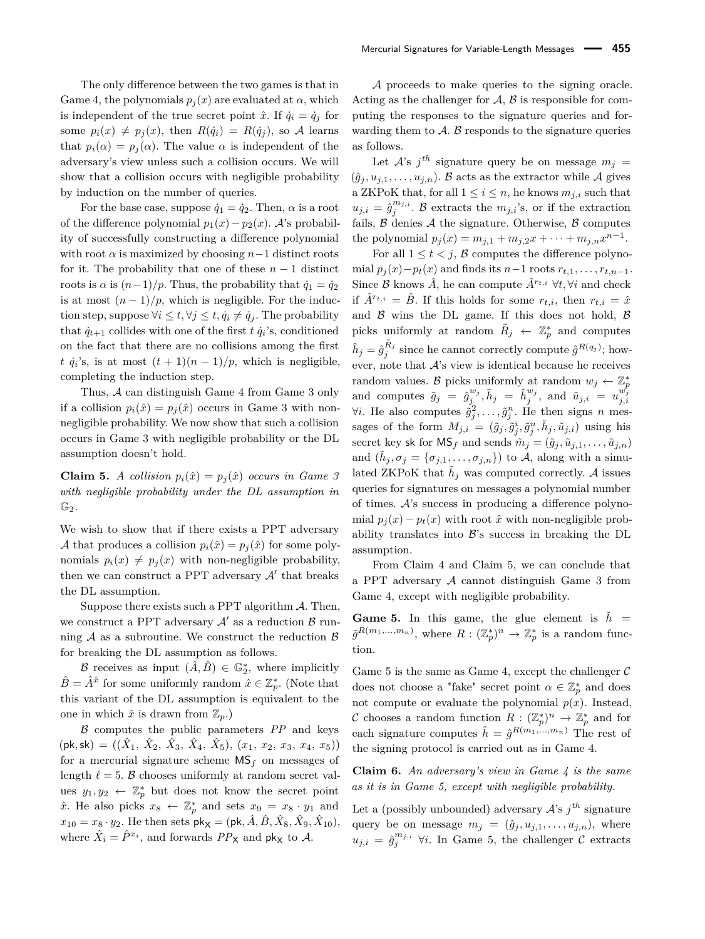by induction on the number of queries. For the base case, suppose  $\dot{q}_1 = \dot{q}_2$ . Then,  $\alpha$  is a root of the difference polynomial  $p_1(x) - p_2(x)$ . A's probability of successfully constructing a difference polynomial with root  $\alpha$  is maximized by choosing  $n-1$  distinct roots for it. The probability that one of these  $n-1$  distinct roots is  $\alpha$  is  $(n-1)/p$ . Thus, the probability that  $\dot{q}_1 = \dot{q}_2$ is at most  $(n-1)/p$ , which is negligible. For the induction step, suppose  $\forall i \leq t, \forall j \leq t, \dot{q}_i \neq \dot{q}_j$ . The probability that  $\dot{q}_{t+1}$  collides with one of the first  $t \dot{q}_i$ 's, conditioned on the fact that there are no collisions among the first *t*  $\dot{q}_i$ 's, is at most  $(t+1)(n-1)/p$ , which is negligible, completing the induction step.

Thus, A can distinguish Game 4 from Game 3 only if a collision  $p_i(\hat{x}) = p_j(\hat{x})$  occurs in Game 3 with nonnegligible probability. We now show that such a collision occurs in Game 3 with negligible probability or the DL assumption doesn't hold.

**Claim 5.** *A collision*  $p_i(\hat{x}) = p_j(\hat{x})$  *occurs in Game 3 with negligible probability under the DL assumption in* G2*.*

We wish to show that if there exists a PPT adversary A that produces a collision  $p_i(\hat{x}) = p_j(\hat{x})$  for some polynomials  $p_i(x) \neq p_i(x)$  with non-negligible probability, then we can construct a PPT adversary  $A'$  that breaks the DL assumption.

Suppose there exists such a PPT algorithm  $A$ . Then, we construct a PPT adversary  $A'$  as a reduction  $\beta$  running  $A$  as a subroutine. We construct the reduction  $\beta$ for breaking the DL assumption as follows.

B receives as input  $(\hat{A}, \hat{B}) \in \mathbb{G}_2^*$ , where implicitly  $\hat{B} = \hat{A}^{\hat{x}}$  for some uniformly random  $\hat{x} \in \mathbb{Z}_p^*$ . (Note that this variant of the DL assumption is equivalent to the one in which  $\hat{x}$  is drawn from  $\mathbb{Z}_p$ .)

B computes the public parameters *PP* and keys  $(\mathsf{pk}, \mathsf{sk}) = ((\hat{X}_1, \hat{X}_2, \hat{X}_3, \hat{X}_4, \hat{X}_5), (x_1, x_2, x_3, x_4, x_5))$ for a mercurial signature scheme MS*<sup>f</sup>* on messages of length  $\ell = 5$ . B chooses uniformly at random secret values  $y_1, y_2 \leftarrow \mathbb{Z}_p^*$  but does not know the secret point  $\hat{x}$ . He also picks  $x_8 \leftarrow \mathbb{Z}_p^*$  and sets  $x_9 = x_8 \cdot y_1$  and  $x_{10} = x_8 \cdot y_2$ . He then sets  $\mathsf{pk}_{\mathsf{X}} = (\mathsf{pk}, \hat{A}, \hat{B}, \hat{X}_8, \hat{X}_9, \hat{X}_{10}),$ where  $\hat{X}_i = \hat{P}^{x_i}$ , and forwards  $PP_X$  and  $pk_X$  to A.

Mercurial Signatures for Variable-Length Messages **455**

A proceeds to make queries to the signing oracle. Acting as the challenger for  $A, B$  is responsible for computing the responses to the signature queries and forwarding them to  $\mathcal{A}$ .  $\mathcal{B}$  responds to the signature queries as follows.

Let  $A$ 's  $j$ <sup>th</sup> signature query be on message  $m_j =$  $(\hat{g}_i, u_{i,1}, \ldots, u_{i,n})$ . B acts as the extractor while A gives a ZKPoK that, for all  $1 \leq i \leq n$ , he knows  $m_{j,i}$  such that  $u_{j,i} = \hat{g}_j^{m_{j,i}}$ . B extracts the  $m_{j,i}$ 's, or if the extraction fails,  $\beta$  denies  $\mathcal A$  the signature. Otherwise,  $\beta$  computes the polynomial  $p_j(x) = m_{j,1} + m_{j,2}x + \cdots + m_{j,n}x^{n-1}$ .

For all  $1 \leq t \leq j$ , B computes the difference polynomial  $p_j(x) - p_t(x)$  and finds its  $n-1$  roots  $r_{t,1}, \ldots, r_{t,n-1}$ . Since B knows  $\hat{A}$ , he can compute  $\hat{A}^{r_t,i}$   $\forall t, \forall i$  and check if  $\hat{A}^{r_{t,i}} = \hat{B}$ . If this holds for some  $r_{t,i}$ , then  $r_{t,i} = \hat{x}$ and  $\beta$  wins the DL game. If this does not hold,  $\beta$ picks uniformly at random  $\tilde{R}_j \leftarrow \mathbb{Z}_p^*$  and computes  $\hat{h}_j = \hat{g}_j^{\tilde{R}_j}$  since he cannot correctly compute  $\hat{g}^{R(q_j)}$ ; however, note that  $A$ 's view is identical because he receives random values. B picks uniformly at random  $w_j \leftarrow \mathbb{Z}_p^*$ and computes  $\tilde{g}_j = \hat{g}_j^{w_j}$ ,  $\tilde{h}_j = \hat{h}_j^{w_j}$ , and  $\tilde{u}_{j,i} = u_{j,i}^{w_j}$ <br>  $\forall i$ . He also computes  $\tilde{g}_j^2, \dots, \tilde{g}_j^n$ . He then signs n messages of the form  $M_{j,i} = (\tilde{g}_j, \tilde{g}_j^i, \tilde{g}_j^n, \tilde{h}_j, \tilde{u}_{j,i})$  using his secret key sk for  $\text{MS}_f$  and sends  $\tilde{m}_j = (\tilde{g}_j, \tilde{u}_{j,1}, \dots, \tilde{u}_{j,n})$ and  $(\tilde{h}_j, \sigma_j = {\sigma_{j,1}, \ldots, \sigma_{j,n}})$  to A, along with a simulated ZKPoK that  $\tilde{h}_j$  was computed correctly. A issues queries for signatures on messages a polynomial number of times. A's success in producing a difference polynomial  $p_i(x) - p_t(x)$  with root  $\hat{x}$  with non-negligible probability translates into  $\mathcal{B}$ 's success in breaking the DL assumption.

From Claim 4 and Claim 5, we can conclude that a PPT adversary  $A$  cannot distinguish Game 3 from Game 4, except with negligible probability.

**Game 5.** In this game, the glue element is  $\hat{h}$  =  $\tilde{g}^{R(m_1,...,m_n)}$ , where  $R: (\mathbb{Z}_p^*)^n \to \mathbb{Z}_p^*$  is a random function.

Game 5 is the same as Game 4, except the challenger  $\mathcal C$ does not choose a "fake" secret point  $\alpha \in \mathbb{Z}_p^*$  and does not compute or evaluate the polynomial  $p(x)$ . Instead, C chooses a random function  $R: (\mathbb{Z}_p^*)^n \to \mathbb{Z}_p^*$  and for each signature computes  $\hat{h} = \hat{g}^{R(m_1, ..., m_n)}$  The rest of the signing protocol is carried out as in Game 4.

**Claim 6.** *An adversary's view in Game 4 is the same as it is in Game 5, except with negligible probability.*

Let a (possibly unbounded) adversary  $A$ 's  $j<sup>th</sup>$  signature query be on message  $m_j = (\hat{g}_j, u_{j,1}, \dots, u_{j,n})$ , where  $u_{j,i} = \hat{g}_j^{m_{j,i}}$   $\forall i$ . In Game 5, the challenger  $\mathcal{C}$  extracts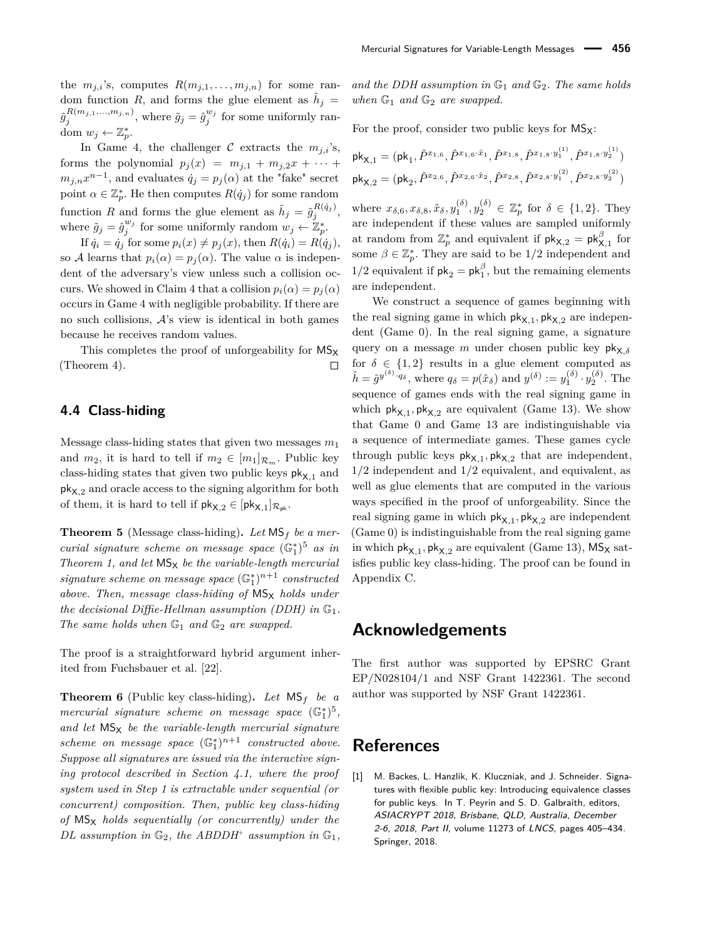the  $m_{j,i}$ 's, computes  $R(m_{j,1},\ldots,m_{j,n})$  for some random function *R*, and forms the glue element as  $\tilde{h}_j =$  $\tilde{g}^{R(m_{j,1},...,m_{j,n})}_j$ , where  $\tilde{g}_j = \hat{g}^{w_j}_j$  for some uniformly random  $w_j \leftarrow \mathbb{Z}_p^*$ .

In Game 4, the challenger  $C$  extracts the  $m_{i,i}$ 's, forms the polynomial  $p_j(x) = m_{j,1} + m_{j,2}x + \cdots$  $m_{j,n}x^{n-1}$ , and evaluates  $\dot{q}_j = p_j(\alpha)$  at the "fake" secret point  $\alpha \in \mathbb{Z}_p^*$ . He then computes  $R(\dot{q}_j)$  for some random function *R* and forms the glue element as  $\tilde{h}_j = \tilde{g}_j^{R(\dot{q}_j)}$ , where  $\tilde{g}_j = \hat{g}_j^{w_j}$  for some uniformly random  $w_j \leftarrow \mathbb{Z}_p^*$ .

If  $\dot{q}_i = \dot{q}_j$  for some  $p_i(x) \neq p_j(x)$ , then  $R(\dot{q}_i) = R(\dot{q}_j)$ , so A learns that  $p_i(\alpha) = p_i(\alpha)$ . The value  $\alpha$  is independent of the adversary's view unless such a collision occurs. We showed in Claim 4 that a collision  $p_i(\alpha) = p_i(\alpha)$ occurs in Game 4 with negligible probability. If there are no such collisions,  $A$ 's view is identical in both games because he receives random values.

This completes the proof of unforgeability for  $MS_x$ (Theorem 4).  $\Box$ 

#### **4.4 Class-hiding**

Message class-hiding states that given two messages *m*<sup>1</sup> and  $m_2$ , it is hard to tell if  $m_2 \in [m_1]_{\mathcal{R}_m}$ . Public key class-hiding states that given two public keys  $pk_{X,1}$  and pkX*,*<sup>2</sup> and oracle access to the signing algorithm for both of them, it is hard to tell if  $\mathsf{pk}_{\mathsf{X},2} \in [\mathsf{pk}_{\mathsf{X},1}]_{\mathcal{R}_{\mathsf{pk}}}.$ 

**Theorem 5** (Message class-hiding)**.** *Let* MS*<sup>f</sup> be a mercurial signature scheme on message space* (G<sup>∗</sup> 1 ) <sup>5</sup> *as in Theorem 1, and let*  $MS_X$  *be the variable-length mercurial*  $signature \ scheme \ on \ message \ space \ (\mathbb{G}_1^*)^{n+1} \ constructed$ *above. Then, message class-hiding of*  $MS_x$  *holds under the decisional Diffie-Hellman assumption (DDH) in*  $\mathbb{G}_1$ *. The same holds when*  $\mathbb{G}_1$  *and*  $\mathbb{G}_2$  *are swapped.* 

The proof is a straightforward hybrid argument inherited from Fuchsbauer et al. [22].

**Theorem 6** (Public key class-hiding). Let  $MS_f$  be a *mercurial signature scheme on message space*  $(\mathbb{G}_1^*)^5$ , and let  $MS_X$  *be the variable-length mercurial signature scheme on message space*  $(\mathbb{G}_1^*)^{n+1}$  *constructed above. Suppose all signatures are issued via the interactive signing protocol described in Section 4.1, where the proof system used in Step 1 is extractable under sequential (or concurrent) composition. Then, public key class-hiding of* MS<sup>X</sup> *holds sequentially (or concurrently) under the DL* assumption in  $\mathbb{G}_2$ , the ABDDH<sup>+</sup> assumption in  $\mathbb{G}_1$ , *and the DDH assumption in* G<sup>1</sup> *and* G2*. The same holds when*  $\mathbb{G}_1$  *and*  $\mathbb{G}_2$  *are swapped.* 

For the proof, consider two public keys for  $MS_x$ :

$$
\mathsf{pk}_{\mathsf{X},1} = (\mathsf{pk}_1, \hat{P}^{x_{1,6}}, \hat{P}^{x_{1,6}\cdot\hat{x}_1}, \hat{P}^{x_{1,8}}, \hat{P}^{x_{1,8}\cdot y_1^{(1)}}, \hat{P}^{x_{1,8}\cdot y_2^{(1)}})
$$

$$
\mathsf{pk}_{\mathsf{X},2} = (\mathsf{pk}_2, \hat{P}^{x_{2,6}}, \hat{P}^{x_{2,6}\cdot\hat{x}_2}, \hat{P}^{x_{2,8}}, \hat{P}^{x_{2,8}\cdot y_1^{(2)}}, \hat{P}^{x_{2,8}\cdot y_2^{(2)}})
$$

where  $x_{\delta,6}, x_{\delta,8}, \hat{x}_{\delta}, y_1^{(\delta)}, y_2^{(\delta)} \in \mathbb{Z}_p^*$  for  $\delta \in \{1,2\}$ . They are independent if these values are sampled uniformly at random from  $\mathbb{Z}_p^*$  and equivalent if  $\mathsf{pk}_{\mathsf{X},2} = \mathsf{pk}^{\beta}_{\mathsf{X},1}$  for some  $\beta \in \mathbb{Z}_p^*$ . They are said to be  $1/2$  independent and  $1/2$  equivalent if  $pk_2 = pk_1^{\beta}$ , but the remaining elements are independent.

We construct a sequence of games beginning with the real signing game in which  $\mathsf{pk}_{\mathsf{X},1}$ ,  $\mathsf{pk}_{\mathsf{X},2}$  are independent (Game 0). In the real signing game, a signature query on a message *m* under chosen public key  $pk_{X,δ}$ for  $\delta \in \{1,2\}$  results in a glue element computed as  $\tilde{h} = \tilde{g}^{y^{(\delta)} \cdot q_\delta}$ , where  $q_\delta = p(\hat{x}_\delta)$  and  $y^{(\delta)} := y_1^{(\delta)} \cdot y_2^{(\delta)}$ . The sequence of games ends with the real signing game in which  $\mathsf{pk}_{\mathsf{X},1}$ ,  $\mathsf{pk}_{\mathsf{X},2}$  are equivalent (Game 13). We show that Game 0 and Game 13 are indistinguishable via a sequence of intermediate games. These games cycle through public keys  $\mathsf{pk}_{\mathsf{X},1}$ ,  $\mathsf{pk}_{\mathsf{X},2}$  that are independent, 1/2 independent and 1/2 equivalent, and equivalent, as well as glue elements that are computed in the various ways specified in the proof of unforgeability. Since the real signing game in which  $\mathsf{pk}_{\mathsf{X},1}, \mathsf{pk}_{\mathsf{X},2}$  are independent (Game 0) is indistinguishable from the real signing game in which  $\mathsf{pk}_{\mathsf{X},1}, \mathsf{pk}_{\mathsf{X},2}$  are equivalent (Game 13),  $\mathsf{MS}_\mathsf{X}$  satisfies public key class-hiding. The proof can be found in Appendix C.

### **Acknowledgements**

The first author was supported by EPSRC Grant EP/N028104/1 and NSF Grant 1422361. The second author was supported by NSF Grant 1422361.

### **References**

[1] M. Backes, L. Hanzlik, K. Kluczniak, and J. Schneider. Signatures with flexible public key: Introducing equivalence classes for public keys. In T. Peyrin and S. D. Galbraith, editors, ASIACRYPT 2018, Brisbane, QLD, Australia, December 2-6, 2018, Part II, volume 11273 of LNCS, pages 405–434. Springer, 2018.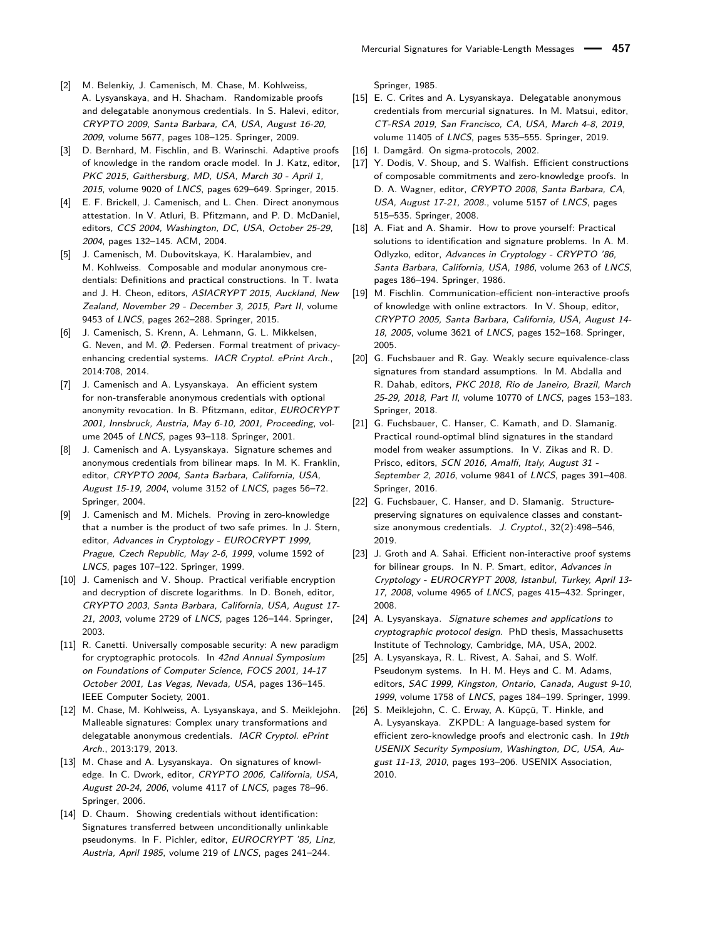- [2] M. Belenkiy, J. Camenisch, M. Chase, M. Kohlweiss, A. Lysyanskaya, and H. Shacham. Randomizable proofs and delegatable anonymous credentials. In S. Halevi, editor, CRYPTO 2009, Santa Barbara, CA, USA, August 16-20, 2009, volume 5677, pages 108–125. Springer, 2009.
- [3] D. Bernhard, M. Fischlin, and B. Warinschi. Adaptive proofs of knowledge in the random oracle model. In J. Katz, editor, PKC 2015, Gaithersburg, MD, USA, March 30 - April 1, 2015, volume 9020 of LNCS, pages 629–649. Springer, 2015.
- [4] E. F. Brickell, J. Camenisch, and L. Chen. Direct anonymous attestation. In V. Atluri, B. Pfitzmann, and P. D. McDaniel, editors, CCS 2004, Washington, DC, USA, October 25-29, 2004, pages 132–145. ACM, 2004.
- [5] J. Camenisch, M. Dubovitskaya, K. Haralambiev, and M. Kohlweiss. Composable and modular anonymous credentials: Definitions and practical constructions. In T. Iwata and J. H. Cheon, editors, ASIACRYPT 2015, Auckland, New Zealand, November 29 - December 3, 2015, Part II, volume 9453 of LNCS, pages 262–288. Springer, 2015.
- [6] J. Camenisch, S. Krenn, A. Lehmann, G. L. Mikkelsen, G. Neven, and M. Ø. Pedersen. Formal treatment of privacyenhancing credential systems. IACR Cryptol. ePrint Arch., 2014:708, 2014.
- [7] J. Camenisch and A. Lysyanskaya. An efficient system for non-transferable anonymous credentials with optional anonymity revocation. In B. Pfitzmann, editor, EUROCRYPT 2001, Innsbruck, Austria, May 6-10, 2001, Proceeding, volume 2045 of LNCS, pages 93–118. Springer, 2001.
- [8] J. Camenisch and A. Lysyanskaya. Signature schemes and anonymous credentials from bilinear maps. In M. K. Franklin, editor, CRYPTO 2004, Santa Barbara, California, USA, August 15-19, 2004, volume 3152 of LNCS, pages 56–72. Springer, 2004.
- [9] J. Camenisch and M. Michels. Proving in zero-knowledge that a number is the product of two safe primes. In J. Stern, editor, Advances in Cryptology - EUROCRYPT 1999, Prague, Czech Republic, May 2-6, 1999, volume 1592 of LNCS, pages 107–122. Springer, 1999.
- [10] J. Camenisch and V. Shoup. Practical verifiable encryption and decryption of discrete logarithms. In D. Boneh, editor, CRYPTO 2003, Santa Barbara, California, USA, August 17- 21, 2003, volume 2729 of LNCS, pages 126–144. Springer, 2003.
- [11] R. Canetti. Universally composable security: A new paradigm for cryptographic protocols. In 42nd Annual Symposium on Foundations of Computer Science, FOCS 2001, 14-17 October 2001, Las Vegas, Nevada, USA, pages 136–145. IEEE Computer Society, 2001.
- [12] M. Chase, M. Kohlweiss, A. Lysyanskaya, and S. Meiklejohn. Malleable signatures: Complex unary transformations and delegatable anonymous credentials. IACR Cryptol. ePrint Arch., 2013:179, 2013.
- [13] M. Chase and A. Lysyanskaya. On signatures of knowledge. In C. Dwork, editor, CRYPTO 2006, California, USA, August 20-24, 2006, volume 4117 of LNCS, pages 78–96. Springer, 2006.
- [14] D. Chaum. Showing credentials without identification: Signatures transferred between unconditionally unlinkable pseudonyms. In F. Pichler, editor, EUROCRYPT '85, Linz, Austria, April 1985, volume 219 of LNCS, pages 241–244.

Springer, 1985.

- [15] E. C. Crites and A. Lysyanskaya. Delegatable anonymous credentials from mercurial signatures. In M. Matsui, editor, CT-RSA 2019, San Francisco, CA, USA, March 4-8, 2019, volume 11405 of LNCS, pages 535–555. Springer, 2019.
- [16] I. Damgård. On sigma-protocols, 2002.
- [17] Y. Dodis, V. Shoup, and S. Walfish. Efficient constructions of composable commitments and zero-knowledge proofs. In D. A. Wagner, editor, CRYPTO 2008, Santa Barbara, CA, USA, August 17-21, 2008., volume 5157 of LNCS, pages 515–535. Springer, 2008.
- [18] A. Fiat and A. Shamir. How to prove yourself: Practical solutions to identification and signature problems. In A. M. Odlyzko, editor, Advances in Cryptology - CRYPTO '86, Santa Barbara, California, USA, 1986, volume 263 of LNCS, pages 186–194. Springer, 1986.
- [19] M. Fischlin. Communication-efficient non-interactive proofs of knowledge with online extractors. In V. Shoup, editor, CRYPTO 2005, Santa Barbara, California, USA, August 14- 18, 2005, volume 3621 of LNCS, pages 152–168. Springer, 2005.
- [20] G. Fuchsbauer and R. Gay. Weakly secure equivalence-class signatures from standard assumptions. In M. Abdalla and R. Dahab, editors, PKC 2018, Rio de Janeiro, Brazil, March 25-29, 2018, Part II, volume 10770 of LNCS, pages 153–183. Springer, 2018.
- [21] G. Fuchsbauer, C. Hanser, C. Kamath, and D. Slamanig. Practical round-optimal blind signatures in the standard model from weaker assumptions. In V. Zikas and R. D. Prisco, editors, SCN 2016, Amalfi, Italy, August 31 -September 2, 2016, volume 9841 of LNCS, pages 391–408. Springer, 2016.
- [22] G. Fuchsbauer, C. Hanser, and D. Slamanig. Structurepreserving signatures on equivalence classes and constantsize anonymous credentials. J. Cryptol., 32(2):498–546, 2019.
- [23] J. Groth and A. Sahai. Efficient non-interactive proof systems for bilinear groups. In N. P. Smart, editor, Advances in Cryptology - EUROCRYPT 2008, Istanbul, Turkey, April 13- 17, 2008, volume 4965 of LNCS, pages 415–432. Springer, 2008.
- [24] A. Lysyanskaya. Signature schemes and applications to cryptographic protocol design. PhD thesis, Massachusetts Institute of Technology, Cambridge, MA, USA, 2002.
- [25] A. Lysyanskaya, R. L. Rivest, A. Sahai, and S. Wolf. Pseudonym systems. In H. M. Heys and C. M. Adams, editors, SAC 1999, Kingston, Ontario, Canada, August 9-10, 1999, volume 1758 of LNCS, pages 184–199. Springer, 1999.
- [26] S. Meiklejohn, C. C. Erway, A. Küpçü, T. Hinkle, and A. Lysyanskaya. ZKPDL: A language-based system for efficient zero-knowledge proofs and electronic cash. In 19th USENIX Security Symposium, Washington, DC, USA, August 11-13, 2010, pages 193–206. USENIX Association, 2010.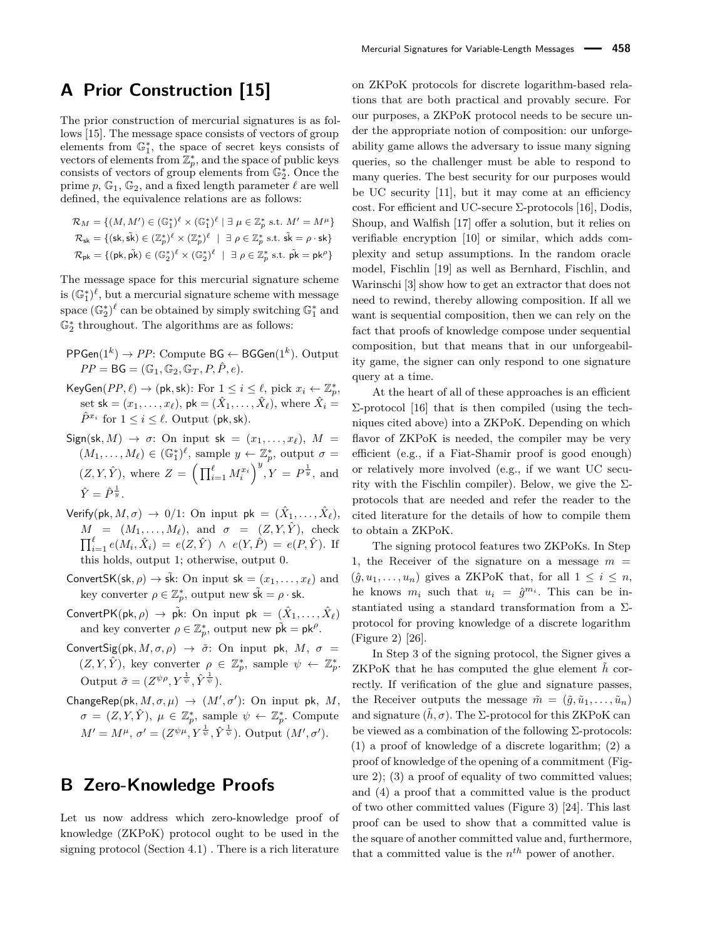# **A Prior Construction [15]**

The prior construction of mercurial signatures is as follows [15]. The message space consists of vectors of group elements from  $\mathbb{G}_1^*$ , the space of secret keys consists of vectors of elements from  $\mathbb{Z}_p^*$ , and the space of public keys consists of vectors of group elements from  $\mathbb{G}_2^*$ . Once the prime  $p, \mathbb{G}_1, \mathbb{G}_2$ , and a fixed length parameter  $\ell$  are well defined, the equivalence relations are as follows:

$$
\mathcal{R}_M = \{ (M, M') \in (\mathbb{G}_1^*)^\ell \times (\mathbb{G}_1^*)^\ell \mid \exists \ \mu \in \mathbb{Z}_p^* \text{ s.t. } M' = M^\mu \}
$$
  

$$
\mathcal{R}_{\mathsf{sk}} = \{ (\mathsf{sk}, \tilde{\mathsf{sk}}) \in (\mathbb{Z}_p^*)^\ell \times (\mathbb{Z}_p^*)^\ell \mid \exists \ \rho \in \mathbb{Z}_p^* \text{ s.t. } \tilde{\mathsf{sk}} = \rho \cdot \mathsf{sk} \}
$$
  

$$
\mathcal{R}_{\mathsf{pk}} = \{ (\mathsf{pk}, \tilde{\mathsf{pk}}) \in (\mathbb{G}_2^*)^\ell \times (\mathbb{G}_2^*)^\ell \mid \exists \ \rho \in \mathbb{Z}_p^* \text{ s.t. } \tilde{\mathsf{pk}} = \mathsf{pk}^\rho \}
$$

The message space for this mercurial signature scheme is  $(\mathbb{G}_1^*)^{\ell}$ , but a mercurial signature scheme with message space  $(\mathbb{G}_2^*)^{\ell}$  can be obtained by simply switching  $\mathbb{G}_1^*$  and  $\mathbb{G}_2^*$  throughout. The algorithms are as follows:

- PPGen(1<sup>k</sup>) → *PP*: Compute BG ← BGGen(1<sup>k</sup>). Output  $PP = BG = (\mathbb{G}_1, \mathbb{G}_2, \mathbb{G}_T, P, \hat{P}, e).$
- $\mathsf{KeyGen}(PP, \ell) \rightarrow (\mathsf{pk}, \mathsf{sk})$ : For  $1 \leq i \leq \ell$ , pick  $x_i \leftarrow \mathbb{Z}_p^*$ , set  $\mathsf{sk} = (x_1, \ldots, x_\ell), \, \mathsf{pk} = (\hat{X}_1, \ldots, \hat{X}_\ell), \, \text{where } \hat{X}_i =$  $\hat{P}^{x_i}$  for  $1 \leq i \leq \ell$ . Output (pk, sk).
- $Sign(sk, M) \rightarrow \sigma$ : On input  $sk = (x_1, \ldots, x_\ell), M =$  $(M_1, \ldots, M_\ell) \in (\mathbb{G}_1^*)^\ell$ , sample  $y \leftarrow \mathbb{Z}_p^*$ , output  $\sigma =$  $(Z, Y, \hat{Y})$ , where  $Z = \left(\prod_{i=1}^{\ell} M_i^{x_i}\right)^y, Y = P^{\frac{1}{y}},$  and  $\hat{Y} = \hat{P}^{\frac{1}{y}}$ .
- $\mathsf{Verify}(\mathsf{pk}, M, \sigma) \ \rightarrow \ 0/1 \colon \text{On input } \mathsf{pk} \ = \ (\hat{X}_1, \dots, \hat{X}_\ell),$  $M = (M_1, \ldots, M_\ell)$ , and  $\sigma = (Z, Y, \hat{Y})$ , check  $\prod_{i=1}^{\ell} e(M_i, \hat{X}_i) = e(Z, \hat{Y}) \land e(Y, \hat{P}) = e(P, \hat{Y})$ . If this holds, output 1; otherwise, output 0.
- ConvertSK(sk,  $\rho$ )  $\rightarrow$  sk: On input sk =  $(x_1, \ldots, x_\ell)$  and key converter  $\rho \in \mathbb{Z}_p^*$ , output new  $\tilde{\mathsf{sk}} = \rho \cdot \mathsf{sk}$ .
- $\mathsf{ConvertPK}(\mathsf{pk},\rho)\,\rightarrow\,\tilde{\mathsf{pk}}\colon\,\mathsf{On}\,\,\mathsf{input}\,\,\mathsf{pk}\,=\,(\hat{X}_1,\ldots,\hat{X}_\ell)$ and key converter  $\rho \in \mathbb{Z}_p^*$ , output new  $\tilde{\mathsf{pk}} = \mathsf{pk}^\rho$ .
- ConvertSig(pk,  $M$ ,  $\sigma$ ,  $\rho$ )  $\rightarrow \tilde{\sigma}$ : On input pk,  $M$ ,  $\sigma$  =  $(Z, Y, \hat{Y})$ , key converter  $\rho \in \mathbb{Z}_p^*$ , sample  $\psi \leftarrow \mathbb{Z}_p^*$ . Output  $\tilde{\sigma} = (Z^{\psi\rho}, Y^{\frac{1}{\psi}}, \hat{Y}^{\frac{1}{\psi}}).$
- ChangeRep(pk,  $M, \sigma, \mu$ )  $\rightarrow$   $(M', \sigma')$ : On input pk, M,  $\sigma = (Z, Y, \hat{Y}), \mu \in \mathbb{Z}_p^*$ , sample  $\psi \leftarrow \mathbb{Z}_p^*$ . Compute  $M' = M^{\mu}, \sigma' = (Z^{\psi\mu}, Y^{\frac{1}{\psi}}, \hat{Y}^{\frac{1}{\psi}})$ . Output  $(M', \sigma')$ .

# **B Zero-Knowledge Proofs**

Let us now address which zero-knowledge proof of knowledge (ZKPoK) protocol ought to be used in the signing protocol (Section 4.1) . There is a rich literature

on ZKPoK protocols for discrete logarithm-based relations that are both practical and provably secure. For our purposes, a ZKPoK protocol needs to be secure under the appropriate notion of composition: our unforgeability game allows the adversary to issue many signing queries, so the challenger must be able to respond to many queries. The best security for our purposes would be UC security [11], but it may come at an efficiency cost. For efficient and UC-secure Σ-protocols [16], Dodis, Shoup, and Walfish [17] offer a solution, but it relies on verifiable encryption [10] or similar, which adds complexity and setup assumptions. In the random oracle model, Fischlin [19] as well as Bernhard, Fischlin, and Warinschi [3] show how to get an extractor that does not need to rewind, thereby allowing composition. If all we want is sequential composition, then we can rely on the fact that proofs of knowledge compose under sequential composition, but that means that in our unforgeability game, the signer can only respond to one signature query at a time.

At the heart of all of these approaches is an efficient  $Σ$ -protocol [16] that is then compiled (using the techniques cited above) into a ZKPoK. Depending on which flavor of ZKPoK is needed, the compiler may be very efficient (e.g., if a Fiat-Shamir proof is good enough) or relatively more involved (e.g., if we want UC security with the Fischlin compiler). Below, we give the  $\Sigma$ protocols that are needed and refer the reader to the cited literature for the details of how to compile them to obtain a ZKPoK.

The signing protocol features two ZKPoKs. In Step 1, the Receiver of the signature on a message  $m =$  $(\hat{g}, u_1, \ldots, u_n)$  gives a ZKPoK that, for all  $1 \leq i \leq n$ , he knows  $m_i$  such that  $u_i = \hat{g}^{m_i}$ . This can be instantiated using a standard transformation from a  $\Sigma$ protocol for proving knowledge of a discrete logarithm (Figure 2) [26].

In Step 3 of the signing protocol, the Signer gives a ZKPoK that he has computed the glue element *h*˜ correctly. If verification of the glue and signature passes, the Receiver outputs the message  $\tilde{m} = (\tilde{q}, \tilde{u}_1, \ldots, \tilde{u}_n)$ and signature  $(h, \sigma)$ . The  $\Sigma$ -protocol for this ZKPoK can be viewed as a combination of the following  $\Sigma$ -protocols: (1) a proof of knowledge of a discrete logarithm; (2) a proof of knowledge of the opening of a commitment (Figure 2); (3) a proof of equality of two committed values; and (4) a proof that a committed value is the product of two other committed values (Figure 3) [24]. This last proof can be used to show that a committed value is the square of another committed value and, furthermore, that a committed value is the  $n^{th}$  power of another.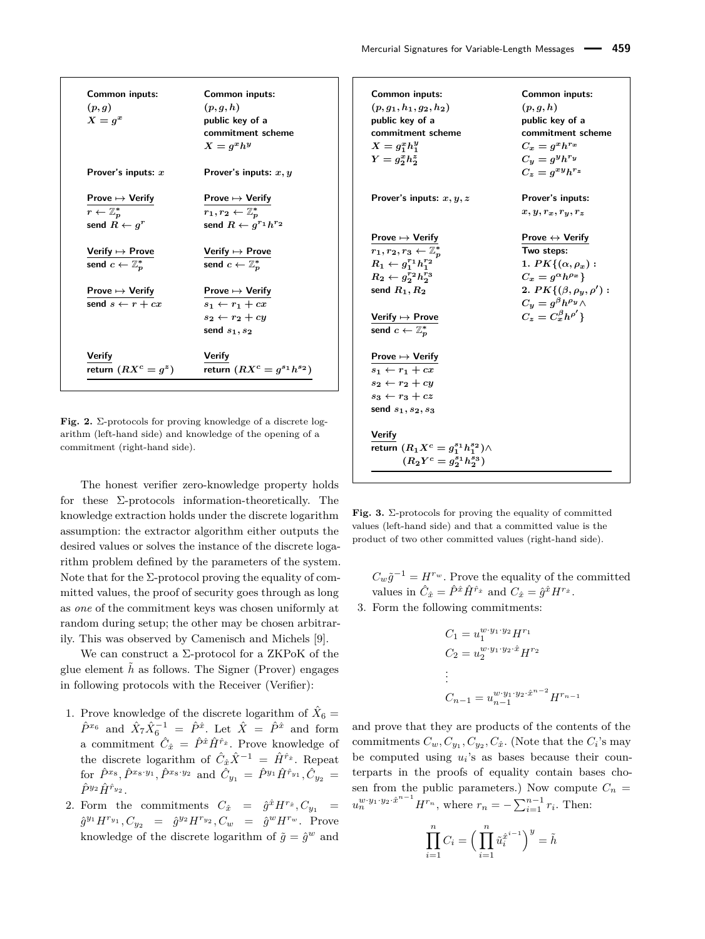| Common inputs:<br>(p, g)<br>$X = q^x$                | Common inputs:<br>(p,q,h)<br>public key of a<br>commitment scheme<br>$X=a^x h^y$                               |
|------------------------------------------------------|----------------------------------------------------------------------------------------------------------------|
| Prover's inputs: $x$                                 | Prover's inputs: $x, y$                                                                                        |
| Prove $\mapsto$ Verify                               | Prove $\mapsto$ Verify                                                                                         |
| $r \leftarrow \mathbb{Z}_n^*$                        | $r_1,r_2\leftarrow \mathbb{Z}_p^*$                                                                             |
| send $R \leftarrow q^r$                              | send $R \leftarrow q^{r_1} h^{r_2}$                                                                            |
| Verify $\mapsto$ Prove                               | Verify $\mapsto$ Prove                                                                                         |
| send $c \leftarrow \mathbb{Z}_p^*$                   | send $c \leftarrow \mathbb{Z}_p^*$                                                                             |
| Prove $\mapsto$ Verify<br>send $s \leftarrow r + cx$ | Prove $\mapsto$ Verify<br>$s_1 \leftarrow r_1 + cx$<br>$s_2 \leftarrow r_2 + c\overline{u}$<br>send $s_1, s_2$ |
| Verify                                               | Verify                                                                                                         |
| return $(RX^c = g^z)$                                | return $(RX^c = g^{s_1}h^{s_2})$                                                                               |

**Fig. 2.** Σ-protocols for proving knowledge of a discrete logarithm (left-hand side) and knowledge of the opening of a commitment (right-hand side).

The honest verifier zero-knowledge property holds for these  $\Sigma$ -protocols information-theoretically. The knowledge extraction holds under the discrete logarithm assumption: the extractor algorithm either outputs the desired values or solves the instance of the discrete logarithm problem defined by the parameters of the system. Note that for the  $\Sigma$ -protocol proving the equality of committed values, the proof of security goes through as long as *one* of the commitment keys was chosen uniformly at random during setup; the other may be chosen arbitrarily. This was observed by Camenisch and Michels [9].

We can construct a  $\Sigma$ -protocol for a ZKPoK of the glue element  $h$  as follows. The Signer (Prover) engages in following protocols with the Receiver (Verifier):

- 1. Prove knowledge of the discrete logarithm of  $\hat{X}_6 =$  $\hat{P}^{x_6}$  and  $\hat{X}_7 \hat{X}_6^{-1} = \hat{P}^{\hat{x}}$ . Let  $\hat{X} = \hat{P}^{\hat{x}}$  and form a commitment  $\hat{C}_{\hat{x}} = \hat{P}^{\hat{x}} \hat{H}^{\hat{r}_{\hat{x}}}$ . Prove knowledge of the discrete logarithm of  $\hat{C}_{\hat{x}} \hat{X}^{-1} = \hat{H}^{\hat{r}_{\hat{x}}}$ . Repeat  $\hat{P}^{x_8}, \hat{P}^{x_8 \cdot y_1}, \hat{P}^{x_8 \cdot y_2} \text{ and } \hat{C}_{y_1} = \hat{P}^{y_1} \hat{H}^{\hat{r}_{y_1}}, \hat{C}_{y_2} = 0$  $\hat{P}^{y_2}\hat{H}^{\hat{r}_{y_2}}$
- 2. Form the commitments  $C_{\hat{x}} = \hat{g}^{\hat{x}} H^{r_{\hat{x}}}, C_{y_1} =$  $\hat{g}^{y_1} H^{r_{y_1}}, C_{y_2} = \hat{g}^{y_2} H^{r_{y_2}}, C_w = \hat{g}^w H^{r_w}.$  Prove knowledge of the discrete logarithm of  $\tilde{g} = \hat{g}^w$  and

**Common inputs: Common inputs:**  $(p, g_1, h_1, g_2, h_2)$   $(p, g, h)$ **public key of a public key of a commitment scheme commitment scheme**  $X = g_1^x h_1^y$ **1**  $C_x = g^x h^{r_x}$  $Y = g_2^x h_2^z$ **2**  $C_y = g^y h^{r_y}$  $C_z = g^{xy}h^{rz}$ **Prover's inputs:** *x, y, z* **Prover's inputs:**  $x, y, r_x, r_y, r_z$ **Prove 7→ Verify Prove ↔ Verify**  $r_1, r_2, r_3 \leftarrow \mathbb{Z}_p^*$ *<sup>p</sup>* **Two steps:**  $R_1 \leftarrow g_1^{r_1} h_1^{r_2}$ **1***. PK*{ $(\alpha, \rho_x)$  :  $R_2 \leftarrow g_2^{r_2} h_2^{r_3}$ **2 c**<sub>*x*</sub> =  $g^{\alpha}h^{\rho_x}$ } **send**  $R_1, R_2$  **2***.*  $PK(\beta, \rho_y, \rho')$  :  $C_y = g^{\beta}h^{\rho_y} \wedge$  $Vert$  **Verify**  $\mapsto$  **Prove**  $\binom{\beta}{x}h^{\rho'}$ send  $c \leftarrow \mathbb{Z}_p^*$ **Prove 7→ Verify**  $s_1 \leftarrow r_1 + cx$  $s_2 \leftarrow r_2 + cy$  $s_3 \leftarrow r_3 + cz$ **send** *s***1***, s***2***, s***<sup>3</sup> Verify** *return*  $(R_1 X^c = g_1^{s_1} h_1^{s_2}) \wedge$  $(R_2Y^c = g_2^{\overline{s}_1}h_2^{\overline{s}_3}$ **)**

**Fig. 3.**  $\Sigma$ -protocols for proving the equality of committed values (left-hand side) and that a committed value is the product of two other committed values (right-hand side).

 $C_w \tilde{g}^{-1} = H^{rw}$ . Prove the equality of the committed values in  $\hat{C}_{\hat{x}} = \hat{P}^{\hat{x}} \hat{H}^{\hat{r}_{\hat{x}}}$  and  $C_{\hat{x}} = \hat{g}^{\hat{x}} H^{r_{\hat{x}}}$ .

3. Form the following commitments:

$$
C_1 = u_1^{w \cdot y_1 \cdot y_2} H^{r_1}
$$
  
\n
$$
C_2 = u_2^{w \cdot y_1 \cdot y_2 \cdot \hat{x}} H^{r_2}
$$
  
\n:  
\n
$$
C_{n-1} = u_{n-1}^{w \cdot y_1 \cdot y_2 \cdot \hat{x}^{n-2}} H^{r_{n-1}}
$$

and prove that they are products of the contents of the commitments  $C_w, C_{y_1}, C_{y_2}, C_{\hat{x}}$ . (Note that the  $C_i$ 's may be computed using  $u_i$ 's as bases because their counterparts in the proofs of equality contain bases chosen from the public parameters.) Now compute  $C_n$  =  $u_n^{w \cdot y_1 \cdot y_2 \cdot \hat{x}^{n-1}} H^{r_n}$ , where  $r_n = -\sum_{i=1}^{n-1} r_i$ . Then:

$$
\prod_{i=1}^{n} C_i = \left(\prod_{i=1}^{n} \tilde{u}_i^{\hat{x}^{i-1}}\right)^y = \tilde{h}
$$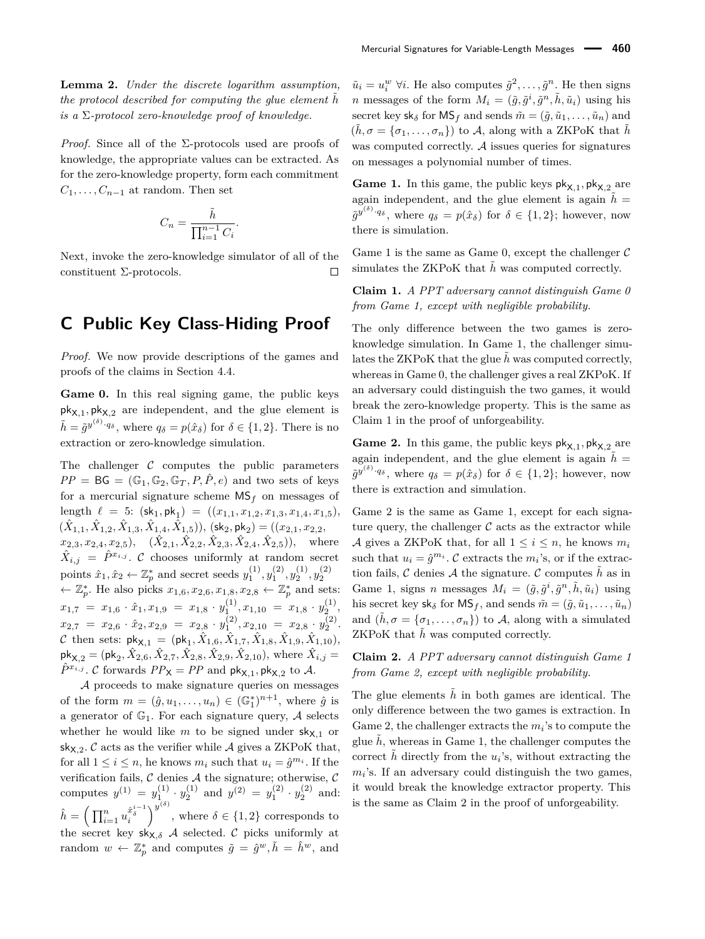*Proof.* Since all of the  $\Sigma$ -protocols used are proofs of knowledge, the appropriate values can be extracted. As for the zero-knowledge property, form each commitment  $C_1, \ldots, C_{n-1}$  at random. Then set

$$
C_n = \frac{\tilde{h}}{\prod_{i=1}^{n-1} C_i}.
$$

Next, invoke the zero-knowledge simulator of all of the constituent Σ-protocols.  $\Box$ 

## **C Public Key Class-Hiding Proof**

*Proof.* We now provide descriptions of the games and proofs of the claims in Section 4.4.

Game 0. In this real signing game, the public keys  $pk_{X,1}$ ,  $pk_{X,2}$  are independent, and the glue element is  $\tilde{h} = \tilde{g}^{y^{(\delta)} \cdot q_{\delta}}$ , where  $q_{\delta} = p(\hat{x}_{\delta})$  for  $\delta \in \{1, 2\}$ . There is no extraction or zero-knowledge simulation.

The challenger  $C$  computes the public parameters  $PP = BG = (\mathbb{G}_1, \mathbb{G}_2, \mathbb{G}_T, P, \hat{P}, e)$  and two sets of keys for a mercurial signature scheme  $MS_f$  on messages of length  $\ell = 5$ :  $(\text{sk}_1, \text{pk}_1) = ((x_{1,1}, x_{1,2}, x_{1,3}, x_{1,4}, x_{1,5}),$  $(\hat{X}_{1,1}, \hat{X}_{1,2}, \hat{X}_{1,3}, \hat{X}_{1,4}, \hat{X}_{1,5}))$ ,  $(\mathsf{sk}_2, \mathsf{pk}_2) = ((x_{2,1}, x_{2,2},$  $(x_{2,3}, x_{2,4}, x_{2,5}), \quad (\hat{X}_{2,1}, \hat{X}_{2,2}, \hat{X}_{2,3}, \hat{X}_{2,4}, \hat{X}_{2,5}),$  where  $\hat{X}_{i,j} = \hat{P}^{x_{i,j}}$ . C chooses uniformly at random secret points  $\hat{x}_1, \hat{x}_2 \leftarrow \mathbb{Z}_p^*$  and secret seeds  $y_1^{(1)}, y_1^{(2)}, y_2^{(1)}, y_2^{(2)}$ ←  $\mathbb{Z}_p^*$ . He also picks  $x_{1,6}, x_{2,6}, x_{1,8}, x_{2,8}$  ←  $\mathbb{Z}_p^*$  and sets:  $x_{1,7} = x_{1,6} \cdot \hat{x}_1, x_{1,9} = x_{1,8} \cdot y_1^{(1)}, x_{1,10} = x_{1,8} \cdot y_2^{(1)},$  $x_{2,7} = x_{2,6} \cdot \hat{x}_2, x_{2,9} = x_{2,8} \cdot y_1^{(2)}, x_{2,10} = x_{2,8} \cdot y_2^{(2)}.$  $\mathcal C$  then sets:  $\mathsf{pk}_{\mathsf{X},1} = (\mathsf{pk}_1, \hat{X}_{1,6}, \hat{X}_{1,7}, \hat{X}_{1,8}, \hat{X}_{1,9}, \hat{X}_{1,10}),$  $pk_{X,2} = (pk_2, \hat{X}_{2,6}, \hat{X}_{2,7}, \hat{X}_{2,8}, \hat{X}_{2,9}, \hat{X}_{2,10}),$  where  $\hat{X}_{i,j} =$  $\hat{P}^{x_{i,j}}$ . C forwards  $PP_{\mathsf{X}} = PP$  and  $\mathsf{pk}_{\mathsf{X},1}$ ,  $\mathsf{pk}_{\mathsf{X},2}$  to A.

A proceeds to make signature queries on messages of the form  $m = (\hat{g}, u_1, \dots, u_n) \in (\mathbb{G}_1^*)^{n+1}$ , where  $\hat{g}$  is a generator of  $\mathbb{G}_1$ . For each signature query, A selects whether he would like  $m$  to be signed under  $sk_{X,1}$  or  $sk_{X,2}$ .  $\mathcal C$  acts as the verifier while  $\mathcal A$  gives a ZKPoK that, for all  $1 \leq i \leq n$ , he knows  $m_i$  such that  $u_i = \hat{g}^{m_i}$ . If the verification fails,  $\mathcal C$  denies  $\mathcal A$  the signature; otherwise,  $\mathcal C$ computes  $y^{(1)} = y_1^{(1)} \cdot y_2^{(1)}$  and  $y^{(2)} = y_1^{(2)} \cdot y_2^{(2)}$  and:  $\hat{h} = \left(\prod_{i=1}^n u_i^{\hat{x}^{i-1}_\delta}\right)^{y^{(\delta)}}$ , where  $\delta \in \{1,2\}$  corresponds to the secret key  $s_{X,\delta}$  *A* selected. C picks uniformly at random  $w \leftarrow \mathbb{Z}_p^*$  and computes  $\tilde{g} = \hat{g}^w, \tilde{h} = \hat{h}^w$ , and

 $\tilde{u}_i = u_i^w \ \forall i$ . He also computes  $\tilde{g}^2, \dots, \tilde{g}^n$ . He then signs *n* messages of the form  $M_i = (\tilde{g}, \tilde{g}^i, \tilde{g}^n, \tilde{h}, \tilde{u}_i)$  using his secret key sk<sub> $\delta$ </sub> for MS<sub>f</sub> and sends  $\tilde{m} = (\tilde{q}, \tilde{u}_1, \dots, \tilde{u}_n)$  and  $(\tilde{h}, \sigma = {\sigma_1, \ldots, \sigma_n})$  to A, along with a ZKPoK that  $\tilde{h}$ was computed correctly.  $A$  issues queries for signatures on messages a polynomial number of times.

**Game 1.** In this game, the public keys  $\mathsf{pk}_{\mathsf{X},1}$ ,  $\mathsf{pk}_{\mathsf{X},2}$  are again independent, and the glue element is again  $h =$  $\tilde{g}^{y^{(\delta)}\cdot q_{\delta}}$ , where  $q_{\delta} = p(\hat{x}_{\delta})$  for  $\delta \in \{1,2\}$ ; however, now there is simulation.

Game 1 is the same as Game 0, except the challenger  $\mathcal C$ simulates the ZKPoK that  $\tilde{h}$  was computed correctly.

**Claim 1.** *A PPT adversary cannot distinguish Game 0 from Game 1, except with negligible probability.*

The only difference between the two games is zeroknowledge simulation. In Game 1, the challenger simulates the ZKPoK that the glue  $\tilde{h}$  was computed correctly, whereas in Game 0, the challenger gives a real ZKPoK. If an adversary could distinguish the two games, it would break the zero-knowledge property. This is the same as Claim 1 in the proof of unforgeability.

**Game 2.** In this game, the public keys  $\mathsf{pk}_{\mathsf{X},1}$ ,  $\mathsf{pk}_{\mathsf{X},2}$  are again independent, and the glue element is again  $\tilde{h}$  =  $\tilde{g}^{y^{(\delta)}\cdot q_{\delta}}$ , where  $q_{\delta} = p(\hat{x}_{\delta})$  for  $\delta \in \{1,2\}$ ; however, now there is extraction and simulation.

Game 2 is the same as Game 1, except for each signature query, the challenger  $\mathcal C$  acts as the extractor while A gives a ZKPoK that, for all  $1 \leq i \leq n$ , he knows  $m_i$ such that  $u_i = \hat{g}^{m_i}$ .  $C$  extracts the  $m_i$ 's, or if the extraction fails,  $\mathcal C$  denies  $\mathcal A$  the signature.  $\mathcal C$  computes  $\tilde h$  as in Game 1, signs *n* messages  $M_i = (\tilde{g}, \tilde{g}^i, \tilde{g}^n, \tilde{h}, \tilde{u}_i)$  using his secret key  $sk_{\delta}$  for  $MS_f$ , and sends  $\tilde{m} = (\tilde{g}, \tilde{u}_1, \dots, \tilde{u}_n)$ and  $(\tilde{h}, \sigma = {\sigma_1, \ldots, \sigma_n})$  to A, along with a simulated ZKPoK that  $\tilde{h}$  was computed correctly.

**Claim 2.** *A PPT adversary cannot distinguish Game 1 from Game 2, except with negligible probability.*

The glue elements  $\tilde{h}$  in both games are identical. The only difference between the two games is extraction. In Game 2, the challenger extracts the  $m_i$ 's to compute the glue  $h$ , whereas in Game 1, the challenger computes the correct  $\tilde{h}$  directly from the  $u_i$ 's, without extracting the  $m_i$ 's. If an adversary could distinguish the two games, it would break the knowledge extractor property. This is the same as Claim 2 in the proof of unforgeability.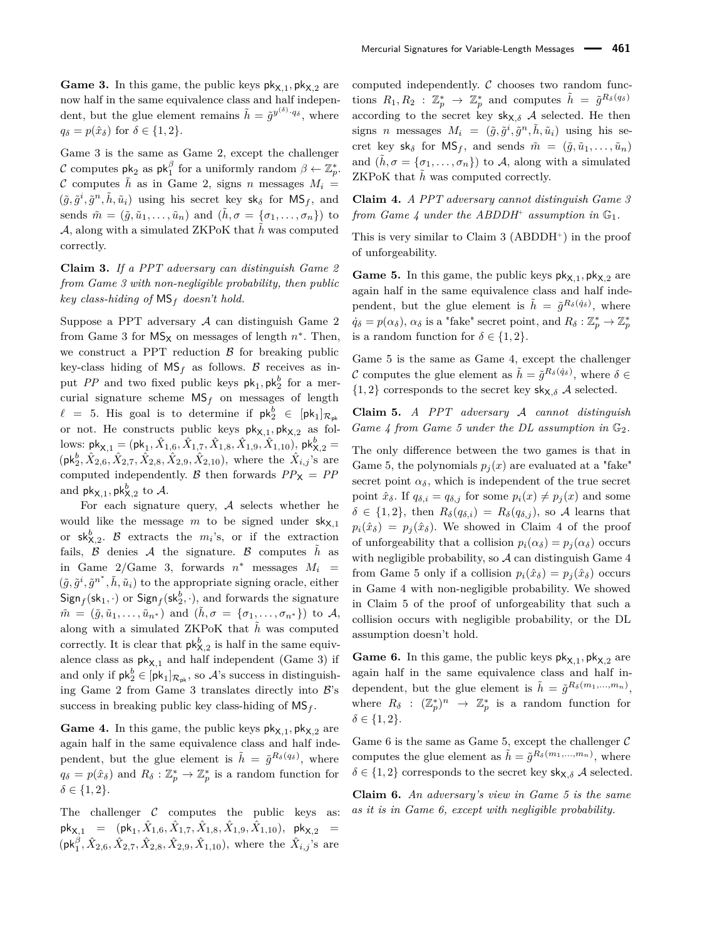**Game 3.** In this game, the public keys  $pk_{X,1}$ ,  $pk_{X,2}$  are now half in the same equivalence class and half independent, but the glue element remains  $\tilde{h} = \tilde{g}^{y^{(\delta)} \cdot q_{\delta}}$ , where  $q_\delta = p(\hat{x}_\delta)$  for  $\delta \in \{1, 2\}.$ 

Game 3 is the same as Game 2, except the challenger C computes  $pk_2$  as  $pk_1^{\beta}$  for a uniformly random  $\beta \leftarrow \mathbb{Z}_p^*$ . C computes  $\tilde{h}$  as in Game 2, signs *n* messages  $M_i =$  $(\tilde{g}, \tilde{g}^i, \tilde{g}^n, \tilde{h}, \tilde{u}_i)$  using his secret key  $sk_{\delta}$  for  $MS_f$ , and sends  $\tilde{m} = (\tilde{q}, \tilde{u}_1, \ldots, \tilde{u}_n)$  and  $(\tilde{h}, \sigma = {\sigma_1, \ldots, \sigma_n})$  to A, along with a simulated ZKPoK that  $\tilde{h}$  was computed correctly.

**Claim 3.** *If a PPT adversary can distinguish Game 2 from Game 3 with non-negligible probability, then public key class-hiding of* MS*<sup>f</sup> doesn't hold.*

Suppose a PPT adversary A can distinguish Game 2 from Game 3 for  $MS_X$  on messages of length  $n^*$ . Then, we construct a PPT reduction  $\beta$  for breaking public key-class hiding of  $MS_f$  as follows. B receives as input *PP* and two fixed public keys  $pk_1$ ,  $pk_2^b$  for a mercurial signature scheme MS*<sup>f</sup>* on messages of length  $\ell = 5$ . His goal is to determine if  $\mathsf{pk}_2^b \in [\mathsf{pk}_1]_{\mathcal{R}_{\mathsf{pk}}}$ or not. He constructs public keys  $\mathsf{pk}_{\mathsf{X},1}, \mathsf{pk}_{\mathsf{X},2}$  as fol- $\text{Iows: } \textsf{pk}_{\mathsf{X},1} = (\textsf{pk}_{1}, \hat{X}_{1,6}, \hat{X}_{1,7}, \hat{X}_{1,8}, \hat{X}_{1,9}, \hat{X}_{1,10}), \textsf{pk}_{\mathsf{X},2}^b =$  $(\mathsf{pk}_{2}^{b}, \hat{X}_{2,6}, \hat{X}_{2,7}, \hat{X}_{2,8}, \hat{X}_{2,9}, \hat{X}_{2,10})$ , where the  $\hat{X}_{i,j}$ 's are computed independently. B then forwards  $PP_X = PP$ and  $\mathsf{pk}_{\mathsf{X},1}, \mathsf{pk}_{\mathsf{X},2}^b$  to  $\mathcal{A}.$ 

For each signature query,  $A$  selects whether he would like the message  $m$  to be signed under  $sk_{X,1}$ or  $sk_{X,2}^b$ . B extracts the  $m_i$ 's, or if the extraction fails,  $\beta$  denies  $\mathcal A$  the signature.  $\beta$  computes  $\tilde h$  as in Game  $2/G$ ame 3, forwards  $n^*$  messages  $M_i$  =  $(\tilde{g}, \tilde{g}^i, \tilde{g}^{n^*}, \tilde{h}, \tilde{u}_i)$  to the appropriate signing oracle, either  $Sign_f(\mathsf{sk}_1, \cdot)$  or  $Sign_f(\mathsf{sk}_2^b, \cdot)$ , and forwards the signature  $\tilde{m} = (\tilde{g}, \tilde{u}_1, \ldots, \tilde{u}_{n^*})$  and  $(\tilde{h}, \sigma = {\sigma_1, \ldots, \sigma_{n^*}})$  to A, along with a simulated  $ZKPoK$  that  $h$  was computed correctly. It is clear that  $\mathsf{pk}_{\mathsf{X},2}^b$  is half in the same equivalence class as  $pk_{X,1}$  and half independent (Game 3) if and only if  $\mathsf{pk}_2^b \in [\mathsf{pk}_1]_{\mathcal{R}_{\mathsf{pk}}}$ , so  $\mathcal{A}$ 's success in distinguishing Game 2 from Game 3 translates directly into  $\mathcal{B}$ 's success in breaking public key class-hiding of  $MS_f$ .

**Game 4.** In this game, the public keys  $pk_{X,1}$ ,  $pk_{X,2}$  are again half in the same equivalence class and half independent, but the glue element is  $\tilde{h} = \tilde{g}^{R_{\delta}(q_{\delta})}$ , where  $q_\delta = p(\hat{x}_\delta)$  and  $R_\delta : \mathbb{Z}_p^* \to \mathbb{Z}_p^*$  is a random function for  $\delta \in \{1, 2\}.$ 

The challenger  $C$  computes the public keys as:  ${\sf pk}_{{\sf X},1}$  =  $({\sf pk}_1, \hat X_{1,6}, \hat X_{1,7}, \hat X_{1,8}, \hat X_{1,9}, \hat X_{1,10}),$   ${\sf pk}_{{\sf X},2}$  =  $(\mathsf{pk}_1^{\beta}, \hat{X}_{2,6}, \hat{X}_{2,7}, \hat{X}_{2,8}, \hat{X}_{2,9}, \hat{X}_{1,10})$ , where the  $\hat{X}_{i,j}$ 's are

computed independently.  $C$  chooses two random func- $R_1, R_2 : \mathbb{Z}_p^* \to \mathbb{Z}_p^*$  and computes  $\tilde{h} = \tilde{g}^{R_\delta(q_\delta)}$ according to the secret key  $sk_{X,\delta}$  *A* selected. He then signs *n* messages  $M_i = (\tilde{g}, \tilde{g}^i, \tilde{g}^n, \tilde{h}, \tilde{u}_i)$  using his secret key  $sk_{\delta}$  for  $MS_f$ , and sends  $\tilde{m} = (\tilde{g}, \tilde{u}_1, \ldots, \tilde{u}_n)$ and  $(\tilde{h}, \sigma = {\sigma_1, \ldots, \sigma_n})$  to A, along with a simulated ZKPoK that  $\tilde{h}$  was computed correctly.

**Claim 4.** *A PPT adversary cannot distinguish Game 3* from Game 4 under the ABDDH<sup>+</sup> assumption in  $\mathbb{G}_1$ .

This is very similar to Claim  $3$  (ABDDH<sup>+</sup>) in the proof of unforgeability.

**Game 5.** In this game, the public keys  $pk_{X,1}$ ,  $pk_{X,2}$  are again half in the same equivalence class and half independent, but the glue element is  $\tilde{h} = \tilde{g}^{R_{\delta}(q_{\delta})}$ , where  $\dot{q}_{\delta} = p(\alpha_{\delta}), \alpha_{\delta}$  is a "fake" secret point, and  $R_{\delta}: \mathbb{Z}_p^* \to \mathbb{Z}_p^*$ is a random function for  $\delta \in \{1,2\}$ .

Game 5 is the same as Game 4, except the challenger C computes the glue element as  $\tilde{h} = \tilde{g}^{R_{\delta}(q_{\delta})}$ , where  $\delta \in$  ${1,2}$  corresponds to the secret key sk<sub>X,δ</sub> A selected.

**Claim 5.** *A PPT adversary* A *cannot distinguish Game 4 from Game 5 under the DL assumption in*  $\mathbb{G}_2$ .

The only difference between the two games is that in Game 5, the polynomials  $p_i(x)$  are evaluated at a "fake" secret point  $\alpha_{\delta}$ , which is independent of the true secret point  $\hat{x}_{\delta}$ . If  $q_{\delta,i} = q_{\delta,i}$  for some  $p_i(x) \neq p_j(x)$  and some  $\delta \in \{1,2\}$ , then  $R_{\delta}(q_{\delta,i}) = R_{\delta}(q_{\delta,i})$ , so A learns that  $p_i(\hat{x}_\delta) = p_i(\hat{x}_\delta)$ . We showed in Claim 4 of the proof of unforgeability that a collision  $p_i(\alpha_{\delta}) = p_j(\alpha_{\delta})$  occurs with negligible probability, so  $A$  can distinguish Game  $4$ from Game 5 only if a collision  $p_i(\hat{x}_{\delta}) = p_i(\hat{x}_{\delta})$  occurs in Game 4 with non-negligible probability. We showed in Claim 5 of the proof of unforgeability that such a collision occurs with negligible probability, or the DL assumption doesn't hold.

**Game 6.** In this game, the public keys  $pk_{X,1}$ ,  $pk_{X,2}$  are again half in the same equivalence class and half independent, but the glue element is  $\tilde{h} = \tilde{g}^{R_{\delta}(m_1,...,m_n)}$ , where  $R_{\delta}$  :  $(\mathbb{Z}_p^*)^n \to \mathbb{Z}_p^*$  is a random function for  $\delta \in \{1,2\}.$ 

Game 6 is the same as Game 5, except the challenger  $\mathcal C$ computes the glue element as  $\tilde{h} = \tilde{g}^{R_{\delta}(m_1,...,m_n)}$ , where  $\delta \in \{1, 2\}$  corresponds to the secret key sk<sub>X, $\delta$ </sub> A selected.

**Claim 6.** *An adversary's view in Game 5 is the same as it is in Game 6, except with negligible probability.*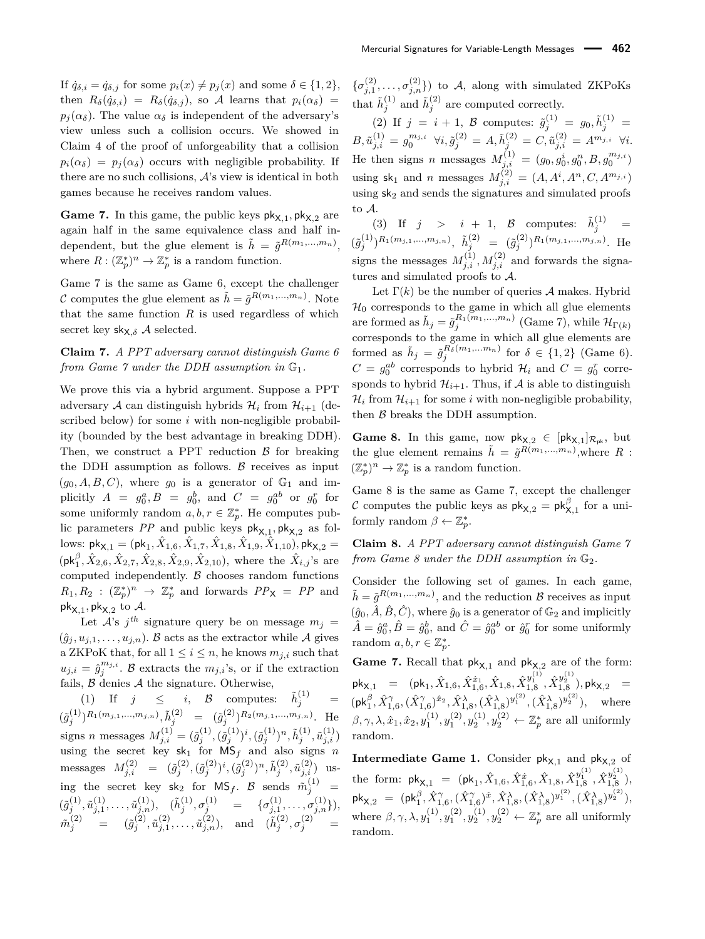If  $\dot{q}_{\delta,i} = \dot{q}_{\delta,j}$  for some  $p_i(x) \neq p_j(x)$  and some  $\delta \in \{1,2\},$ then  $R_{\delta}(\dot{q}_{\delta,i}) = R_{\delta}(\dot{q}_{\delta,i})$ , so A learns that  $p_i(\alpha_{\delta}) =$  $p_i(\alpha_{\delta})$ . The value  $\alpha_{\delta}$  is independent of the adversary's view unless such a collision occurs. We showed in Claim 4 of the proof of unforgeability that a collision  $p_i(\alpha_{\delta}) = p_j(\alpha_{\delta})$  occurs with negligible probability. If there are no such collisions,  $A$ 's view is identical in both games because he receives random values.

**Game 7.** In this game, the public keys  $pk_{X,1}$ ,  $pk_{X,2}$  are again half in the same equivalence class and half independent, but the glue element is  $\tilde{h} = \tilde{g}^{R(m_1,...,m_n)}$ , where  $R: (\mathbb{Z}_p^*)^n \to \mathbb{Z}_p^*$  is a random function.

Game 7 is the same as Game 6, except the challenger C computes the glue element as  $\tilde{h} = \tilde{g}^{R(m_1,...,m_n)}$ . Note that the same function  $R$  is used regardless of which secret key  $\mathsf{sk}_{\mathsf{X},\delta}$  A selected.

#### **Claim 7.** *A PPT adversary cannot distinguish Game 6 from Game 7 under the DDH assumption in*  $\mathbb{G}_1$ *.*

We prove this via a hybrid argument. Suppose a PPT adversary A can distinguish hybrids  $\mathcal{H}_i$  from  $\mathcal{H}_{i+1}$  (described below) for some *i* with non-negligible probability (bounded by the best advantage in breaking DDH). Then, we construct a PPT reduction  $\beta$  for breaking the DDH assumption as follows.  $\beta$  receives as input  $(g_0, A, B, C)$ , where  $g_0$  is a generator of  $\mathbb{G}_1$  and implicitly  $A = g_0^a, B = g_0^b$ , and  $C = g_0^{ab}$  or  $g_0^r$  for some uniformly random  $a, b, r \in \mathbb{Z}_p^*$ . He computes public parameters  $PP$  and public keys  $\mathsf{pk}_{\mathsf{X},1}, \mathsf{pk}_{\mathsf{X},2}$  as fol- $\text{Iows: } \textsf{pk}_{\mathsf{X},1} = (\textsf{pk}_{1}, \hat{X}_{1,6}, \hat{X}_{1,7}, \hat{X}_{1,8}, \hat{X}_{1,9}, \hat{X}_{1,10}), \textsf{pk}_{\mathsf{X},2} =$  $(\mathsf{pk}_1^{\beta}, \hat{X}_{2,6}, \hat{X}_{2,7}, \hat{X}_{2,8}, \hat{X}_{2,9}, \hat{X}_{2,10})$ , where the  $\hat{X}_{i,j}$ 's are computed independently.  $\beta$  chooses random functions  $R_1, R_2 : (\mathbb{Z}_p^*)^n \to \mathbb{Z}_p^*$  and forwards  $PP_X = PP$  and pk $_{\mathsf{X},1},$  pk $_{\mathsf{X},2}$  to  $\mathcal{A}.$ 

Let  $A$ 's  $j$ <sup>th</sup> signature query be on message  $m_j =$  $(\hat{g}_j, u_{j,1}, \dots, u_{j,n})$ . B acts as the extractor while A gives a ZKPoK that, for all  $1 \leq i \leq n$ , he knows  $m_{j,i}$  such that  $u_{j,i} = \hat{g}_j^{m_{j,i}}$ . B extracts the  $m_{j,i}$ 's, or if the extraction fails,  $\beta$  denies  $\mathcal A$  the signature. Otherwise,

(1) If  $j \leq i, \mathcal{B}$  computes:  $\tilde{h}_i^{(1)}$  $j^{(1)}$  =  $(\tilde{g}_j^{(1)})^{R_1(m_{j,1},...,m_{j,n})}, \tilde{h}_j^{(2)} = (\tilde{g}_j^{(2)})^{R_2(m_{j,1},...,m_{j,n})}.$  He signs *n* messages  $M_{j,i}^{(1)} = (\tilde{g}_j^{(1)}, (\tilde{g}_j^{(1)})^i, (\tilde{g}_j^{(1)})^n, \tilde{h}_j^{(1)}, \tilde{u}_{j,i}^{(1)})$ using the secret key  $sk_1$  for  $MS_f$  and also signs *n*  $\text{message: } M^{(2)}_{j,i} = (\tilde{g}^{(2)}_j, (\tilde{g}^{(2)}_j)^i, (\tilde{g}^{(2)}_j)^n, \tilde{h}^{(2)}_j, \tilde{u}^{(2)}_{j,i}) \text{ us-}$ ing the secret key  $sk_2$  for  $MS_f$ . B sends  $\tilde{m}_j^{(1)}$  =  $(\tilde{g}_j^{(1)}, \tilde{u}_{j,1}^{(1)}, \ldots, \tilde{u}_{j,n}^{(1)}), \quad (\tilde{h}_j^{(1)}, \sigma_j^{(1)} = \{\sigma_{j,1}^{(1)}, \ldots, \sigma_{j,n}^{(1)}\}),$  $\tilde{m}^{(2)}_j = (\tilde{g}^{(2)}_j, \tilde{u}^{(2)}_{j,1}, \ldots, \tilde{u}^{(2)}_{j,n}), \text{ and } (\tilde{h}^{(2)}_j, \sigma^{(2)}_j) = 0$ 

 $\{\sigma_{j,1}^{(2)},\ldots,\sigma_{j,n}^{(2)}\}\)$  to A, along with simulated ZKPoKs that  $\tilde{h}^{(1)}_j$  and  $\tilde{h}^{(2)}_j$  are computed correctly.

(2) If  $j = i + 1$ , B computes:  $\tilde{g}_j^{(1)} = g_0, \tilde{h}_j^{(1)} =$  $B, \tilde{u}^{(1)}_{j,i} = g^{m_{j,i}}_0 \ \ \forall i, \tilde{g}^{(2)}_j = A, \tilde{h}^{(2)}_j = C, \tilde{u}^{(2)}_{j,i} = A^{m_{j,i}} \ \ \forall i.$ He then signs *n* messages  $M_{j,i}^{(1)} = (g_0, g_0^i, g_0^n, B, g_0^{m_{j,i}})$ using  $sk_1$  and *n* messages  $M_{j,i}^{(2)} = (A, A^i, A^n, C, A^{m_{j,i}})$ using  $sk_2$  and sends the signatures and simulated proofs to A.

(3) If  $j > i + 1$ ,  $\beta$  computes:  $\tilde{h}^{(1)}_j =$  $(\tilde{g}_j^{(1)})^{R_1(m_{j,1},...,m_{j,n})}, \ \tilde{h}_j^{(2)} = (\tilde{g}_j^{(2)})^{R_1(m_{j,1},...,m_{j,n})}.$  He signs the messages  $M_{j,i}^{(1)}, M_{j,i}^{(2)}$  and forwards the signatures and simulated proofs to A.

Let  $\Gamma(k)$  be the number of queries A makes. Hybrid  $\mathcal{H}_0$  corresponds to the game in which all glue elements are formed as  $\tilde{h}_j = \tilde{g}_j^{R_1(m_1,...,m_n)}$  (Game 7), while  $\mathcal{H}_{\Gamma(k)}$ corresponds to the game in which all glue elements are formed as  $\tilde{h}_j = \tilde{g}_j^{R_\delta(m_1,...m_n)}$  for  $\delta \in \{1,2\}$  (Game 6).  $C = g_0^{ab}$  corresponds to hybrid  $\mathcal{H}_i$  and  $C = g_0^r$  corresponds to hybrid  $\mathcal{H}_{i+1}$ . Thus, if  $\mathcal A$  is able to distinguish  $\mathcal{H}_i$  from  $\mathcal{H}_{i+1}$  for some *i* with non-negligible probability, then  $\beta$  breaks the DDH assumption.

**Game 8.** In this game, now  $pk_{X,2} \in [pk_{X,1}]_{\mathcal{R}_{pk}}$ , but the glue element remains  $\tilde{h} = \tilde{g}^{R(m_1,...,m_n)}$ , where R :  $(\mathbb{Z}_p^*)^n \to \mathbb{Z}_p^*$  is a random function.

Game 8 is the same as Game 7, except the challenger C computes the public keys as  $\mathsf{pk}_{\mathsf{X},2} = \mathsf{pk}^{\beta}_{\mathsf{X},1}$  for a uniformly random  $\beta \leftarrow \mathbb{Z}_p^*$ .

**Claim 8.** *A PPT adversary cannot distinguish Game 7 from Game 8 under the DDH assumption in*  $\mathbb{G}_2$ .

Consider the following set of games. In each game,  $\tilde{h} = \tilde{g}^{R(m_1,...,m_n)}$ , and the reduction  $\mathcal{B}$  receives as input  $(\hat{g}_0, \hat{A}, \hat{B}, \hat{C})$ , where  $\hat{g}_0$  is a generator of  $\mathbb{G}_2$  and implicitly  $\hat{A} = \hat{g}_0^a, \hat{B} = \hat{g}_0^b$ , and  $\hat{C} = \hat{g}_0^{ab}$  or  $\hat{g}_0^r$  for some uniformly random  $a, b, r \in \mathbb{Z}_p^*$ .

**Game 7.** Recall that  $pk_{X,1}$  and  $pk_{X,2}$  are of the form:  ${\sf pk}_{{\sf X},1}$  =  $({\sf pk}_1,\hat{X}_{1,6},\hat{X}_{1,6}^{\hat{x}_1},\hat{X}_{1,8},\hat{X}_{1,8}^{y_1^{(1)}},\hat{X}_{1,8}^{y_2^{(1)}}), {\sf pk}_{{\sf X},2}$  =  $(\mathsf{pk}_1^{\beta}, \hat{X}_{1,6}^{\gamma}, (\hat{X}_{1,6}^{\gamma})^{\hat{x}_2}, \hat{X}_{1,8}^{\lambda}, (\hat{X}_{1,8}^{\lambda})^{y_1^{(2)}}, (\hat{X}_{1,8}^{\lambda})^{y_2^{(2)}}), \text{ where}$  $\beta, \gamma, \lambda, \hat{x}_1, \hat{x}_2, y_1^{(1)}, y_1^{(2)}, y_2^{(1)}, y_2^{(2)} \leftarrow \mathbb{Z}_p^*$  are all uniformly random.

**Intermediate Game 1.** Consider  $pk_{X,1}$  and  $pk_{X,2}$  of  $\text{the form:}~~ \mathsf{pk}_{\mathsf{X},1} \;=\; (\mathsf{pk}_1, \hat{X}_{1,6}, \hat{X}_{1,6}^{\hat{x}}, \hat{X}_{1,8}, \hat{X}_{1,8}^{y_1^{(1)}}, \hat{X}_{1,8}^{y_2^{(1)}}),$  $\mathsf{pk}_{\mathsf{X},2}~=~(\mathsf{pk}_1^\beta, \hat{X}_{1,6}^\gamma, (\hat{X}_{1,6}^\gamma)^\hat{x}, \hat{X}_{1,8}^\lambda, (\hat{X}_{1,8}^\lambda)^{y_1^{(2)}}, (\hat{X}_{1,8}^\lambda)^{y_2^{(2)}}),$ where  $\beta, \gamma, \lambda, y_1^{(1)}, y_1^{(2)}, y_2^{(1)}, y_2^{(2)} \leftarrow \mathbb{Z}_p^*$  are all uniformly random.